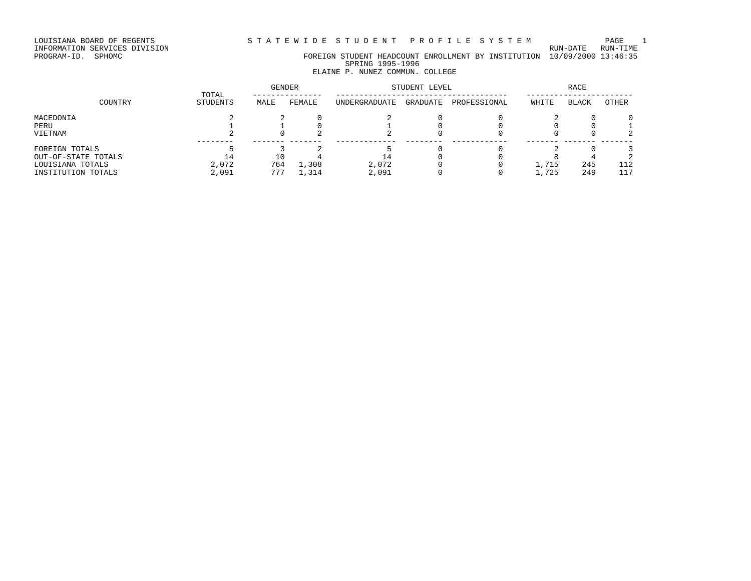LOUISIANA BOARD OF REGENTS STATEWIDE STUDENT PROFILE SYSTEM PAGE 1

INFORMATION SERVICES DIVISION RUN-DATE RUN-TIME

## PROGRAM-ID. SPHOMC FOREIGN STUDENT HEADCOUNT ENROLLMENT BY INSTITUTION 10/09/2000 13:46:35 SPRING 1995-1996

## ELAINE P. NUNEZ COMMUN. COLLEGE

|                     | TOTAL    | <b>GENDER</b> |        | STUDENT LEVEL |          | RACE         |       |              |       |
|---------------------|----------|---------------|--------|---------------|----------|--------------|-------|--------------|-------|
| COUNTRY             | STUDENTS | MALE          | FEMALE | UNDERGRADUATE | GRADUATE | PROFESSIONAL | WHITE | <b>BLACK</b> | OTHER |
| MACEDONIA           |          |               |        |               |          |              |       |              |       |
| PERU                |          |               |        |               |          |              |       |              |       |
| VIETNAM             |          |               |        |               |          |              |       |              |       |
| FOREIGN TOTALS      |          |               |        |               |          |              |       |              |       |
| OUT-OF-STATE TOTALS |          |               |        |               |          |              |       |              |       |
| LOUISIANA TOTALS    | 2,072    | 764           | 1,308  | 2,072         |          |              | 1,715 | 245          | 112   |
| INSTITUTION TOTALS  | 2,091    | 777           | 1,314  | 2,091         |          |              | 1,725 | 249          | 117   |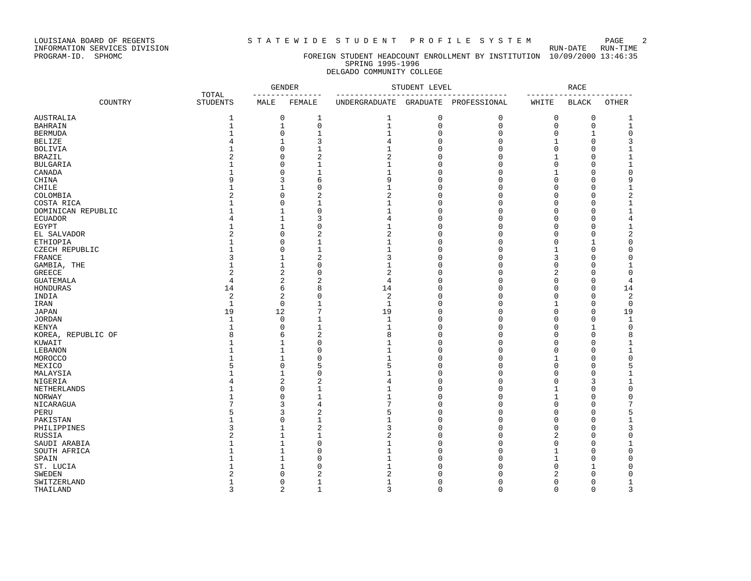LOUISIANA BOARD OF REGENTS STRITEWIDE STUDENT PROFILE SYSTEM PAGE 2<br>INFORMATION SERVICES DIVISION

INFORMATION SERVICES DIVISION<br>PROGRAM-ID. SPHOMC

### FOREIGN STUDENT HEADCOUNT ENROLLMENT BY INSTITUTION 10/09/2000 13:46:35 SPRING 1995-1996 DELGADO COMMUNITY COLLEGE

|                    |                          | <b>GENDER</b><br>--------------- |                                | STUDENT LEVEL                                                      |             | RACE<br>--------- |          |              |              |
|--------------------|--------------------------|----------------------------------|--------------------------------|--------------------------------------------------------------------|-------------|-------------------|----------|--------------|--------------|
| COUNTRY            | TOTAL<br><b>STUDENTS</b> | MALE                             | FEMALE                         | ___________________________<br>UNDERGRADUATE GRADUATE PROFESSIONAL |             | ----------        | WHITE    | <b>BLACK</b> | <b>OTHER</b> |
| AUSTRALIA          | 1                        |                                  | 0<br>1                         | 1                                                                  | 0           | 0                 | 0        | $\mathbf 0$  | 1            |
| BAHRAIN            | $\mathbf{1}$             |                                  | $\mathsf 0$<br>$\mathbf{1}$    | $\mathbf{1}$                                                       | $\mathsf 0$ | 0                 | 0        | 0            | $\mathbf 1$  |
| BERMUDA            | $\mathbf{1}$             |                                  | $\Omega$<br>$\mathbf 1$        | $\mathbf{1}$                                                       | 0           | $\Omega$          | $\Omega$ |              | $\mathsf{O}$ |
| BELIZE             |                          |                                  | 3                              | 4                                                                  | $\Omega$    | $\Omega$          | 1        | $\cap$       | 3            |
| BOLIVIA            | 1                        |                                  | $\mathbf{1}$<br>U              | 1                                                                  | $\Omega$    | O                 | 0        | ∩            | 1            |
| BRAZIL             | $\mathcal{D}$            |                                  | $\overline{a}$<br>O            | $\overline{2}$                                                     | $\Omega$    | $\Omega$          |          | ∩            | 1            |
| BULGARIA           | $\mathbf{1}$             |                                  | $\mathbf{1}$<br>U              | 1                                                                  | $\Omega$    | $\Omega$          | O        | ∩            | 1            |
| CANADA             | $\mathbf{1}$             |                                  | $\mathbf{1}$<br>U              | $\mathbf{1}$                                                       | $\Omega$    | $\Omega$          | 1        | n            | $\mathbf 0$  |
| CHINA              | 9                        |                                  | 6<br>3                         | 9                                                                  | $\Omega$    | $\Omega$          | O        | n            | 9            |
| CHILE              | $\mathbf{1}$             |                                  | $\mathbf{0}$                   | 1                                                                  | $\Omega$    | $\Omega$          | O        | ∩            | 1            |
|                    |                          |                                  | $\overline{2}$<br>U            | $\overline{2}$                                                     | $\Omega$    | $\Omega$          | U        |              | 2            |
| COLOMBIA           | -1                       |                                  | U                              | -1                                                                 | $\Omega$    | U                 | U        |              |              |
| COSTA RICA         |                          |                                  | $\mathbf 1$                    | -1                                                                 | $\Omega$    | O                 | U        | n            | 1            |
| DOMINICAN REPUBLIC |                          |                                  | $\mathbf 0$                    |                                                                    | $\Omega$    | $\cap$            |          |              | 1            |
| ECUADOR            |                          |                                  | 3                              | 4                                                                  |             |                   | U        | ∩            | 4            |
| EGYPT              | $\mathbf{1}$             |                                  | $\mathbf{0}$                   | 1                                                                  | $\Omega$    | $\Omega$          | O        | n            | 1            |
| EL SALVADOR        |                          |                                  | $\overline{2}$<br>U            | $\overline{2}$                                                     | $\Omega$    | $\Omega$          | U        | ∩            | 2            |
| ETHIOPIA           | $\mathbf{1}$             |                                  | $\mathbf 1$<br>O               | 1                                                                  | $\Omega$    | $\Omega$          | U        | 1            | 0            |
| CZECH REPUBLIC     | $\mathbf{1}$             |                                  | $\mathbf{1}$<br>U              | 1                                                                  | $\Omega$    | $\Omega$          | 1        | ∩            | $\Omega$     |
| FRANCE             | 3                        |                                  | $\overline{2}$                 | 3                                                                  | $\Omega$    | O                 |          | n            | $\Omega$     |
| GAMBIA, THE        | $\mathbf{1}$             |                                  | $\Omega$                       | -1                                                                 | $\Omega$    | O                 | U        | n            | 1            |
| GREECE             | $\overline{2}$           |                                  | $\Omega$<br>2                  | $\overline{2}$                                                     | $\Omega$    | $\Omega$          | 2        | n            | 0            |
| GUATEMALA          | 4                        |                                  | $\overline{2}$<br>2            | 4                                                                  | $\Omega$    | $\Omega$          | 0        | n            | 4            |
| HONDURAS           | 14                       |                                  | 8<br>6                         | 14                                                                 | $\Omega$    | $\Omega$          | O        | $\Omega$     | 14           |
| INDIA              | $\overline{2}$           |                                  | $\mathbf{0}$<br>2              | $\overline{2}$                                                     | $\Omega$    | $\Omega$          | O        | $\Omega$     | $\sqrt{2}$   |
| IRAN               | $\mathbf{1}$             |                                  | $\mathbf 0$<br>1               | 1                                                                  | 0           | O                 | 1        | n            | $\mathbf 0$  |
| JAPAN              | 19                       | 12                               | 7                              | 19                                                                 | $\Omega$    | $\Omega$          | U        | n            | 19           |
| <b>JORDAN</b>      | $\mathbf{1}$             |                                  | $\Omega$<br>1                  | $\mathbf{1}$                                                       | $\Omega$    | $\Omega$          | U        | $\Omega$     | $\mathbf{1}$ |
| KENYA              | 1                        |                                  | O<br>1                         | 1                                                                  | $\Omega$    | $\Omega$          | U        |              | $\mathbf 0$  |
| KOREA, REPUBLIC OF | 8                        |                                  | $\overline{2}$<br>6            | 8                                                                  | $\Omega$    | $\Omega$          | U        | ∩            | 8            |
| KUWAIT             | $\mathbf{1}$             |                                  | $\mathbf{0}$                   | 1                                                                  | $\Omega$    | $\Omega$          | O        | n            | 1            |
| LEBANON            | $\mathbf{1}$             |                                  | $\mathbf 0$                    | $\mathbf{1}$                                                       | $\Omega$    | $\Omega$          | O        | ∩            | 1            |
| MOROCCO            |                          |                                  | $\Omega$                       | -1                                                                 | $\Omega$    | $\Omega$          | 1        | ∩            | 0            |
| MEXICO             | 5                        |                                  | 5<br>U                         | 5                                                                  | $\Omega$    | $\Omega$          | U        | ∩            | 5            |
| MALAYSIA           | $\mathbf{1}$             | 1                                | $\Omega$                       | $\mathbf{1}$                                                       | $\Omega$    | $\Omega$          | U        | n            | 1            |
| NIGERIA            |                          |                                  | $\overline{2}$<br>2            | 4                                                                  | $\Omega$    | $\Omega$          | O        | 3            | 1            |
|                    |                          |                                  | $\mathbf 1$<br>0               | 1                                                                  | $\Omega$    | $\Omega$          | 1        | ∩            | 0            |
| NETHERLANDS        |                          |                                  | U                              |                                                                    | $\Omega$    | $\Omega$          |          | ∩            | $\mathbf 0$  |
| NORWAY             |                          |                                  | $\mathbf 1$                    | $\mathbf{1}$<br>7                                                  |             |                   | 1        |              |              |
| NICARAGUA          |                          |                                  | 3<br>4                         |                                                                    | $\Omega$    | $\Omega$          | U        | n            | 7            |
| PERU               |                          |                                  | $\overline{2}$<br>3            | 5                                                                  | $\Omega$    | U                 | U        | n            | 5            |
| PAKISTAN           | -1                       |                                  | $\mathbf{1}$<br>U              | -1                                                                 | $\cap$      | $\cap$            | U        | n            | 1            |
| PHILIPPINES        | 3                        |                                  | $\overline{2}$                 | 3                                                                  | $\Omega$    | $\Omega$          | $\Omega$ | n            | 3            |
| RUSSIA             | $\overline{c}$           |                                  | $\mathbf 1$                    | $\overline{2}$                                                     | $\Omega$    | $\Omega$          | 2        | n            | $\mathsf 0$  |
| SAUDI ARABIA       | $\mathbf{1}$             |                                  | $\mathbf 0$                    | 1                                                                  | $\Omega$    | $\Omega$          | $\Omega$ | $\Omega$     | 1            |
| SOUTH AFRICA       | $\mathbf{1}$             |                                  | $\mathbf{0}$                   | $\mathbf{1}$                                                       | $\Omega$    | $\Omega$          | 1        | $\Omega$     | 0            |
| SPAIN              |                          |                                  | $\mathbf 0$                    | -1                                                                 | O           | U                 |          | ∩            | $\Omega$     |
| ST. LUCIA          | -1                       |                                  | $\Omega$                       | 1                                                                  | $\cap$      | U                 | U        |              | $\Omega$     |
| SWEDEN             |                          |                                  | $\overline{c}$                 | $\overline{c}$                                                     | U           | U                 |          | n            | $\Omega$     |
| SWITZERLAND        | 1                        |                                  | $\mathbf{1}$<br>U              | 1                                                                  | $\Omega$    | $\Omega$          | U        | 0            | 1            |
| THAILAND           | 3                        |                                  | $\overline{a}$<br>$\mathbf{1}$ | 3                                                                  | $\Omega$    | $\Omega$          | $\Omega$ | $\Omega$     | ζ            |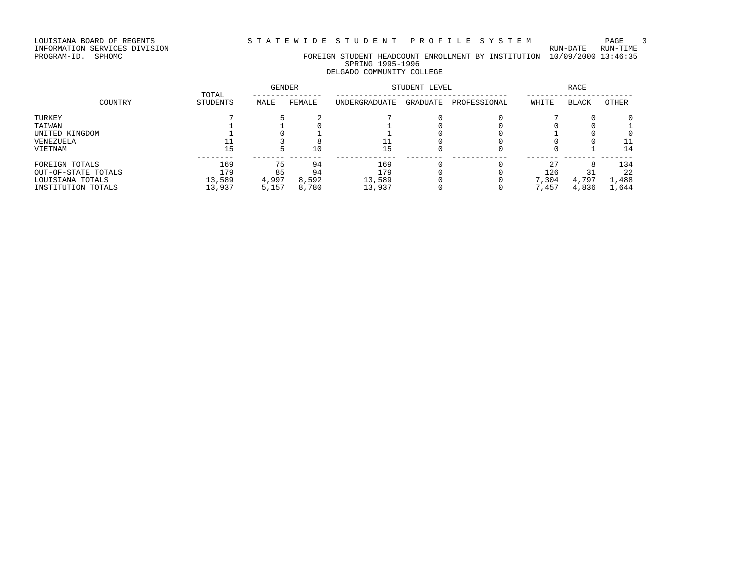LOUISIANA BOARD OF REGENTS STRITEWIDE STUDENT PROFILE SYSTEM PAGE 3<br>INFORMATION SERVICES DIVISION

INFORMATION SERVICES DIVISION<br>PROGRAM-ID. SPHOMC

### FOREIGN STUDENT HEADCOUNT ENROLLMENT BY INSTITUTION 10/09/2000 13:46:35 SPRING 1995-1996 DELGADO COMMUNITY COLLEGE

|                     | TOTAL    | <b>GENDER</b> |        | STUDENT LEVEL |          | <b>RACE</b>  |       |              |       |
|---------------------|----------|---------------|--------|---------------|----------|--------------|-------|--------------|-------|
| COUNTRY             | STUDENTS | MALE          | FEMALE | UNDERGRADUATE | GRADUATE | PROFESSIONAL | WHITE | <b>BLACK</b> | OTHER |
| TURKEY              |          |               |        |               |          |              |       |              |       |
| TAIWAN              |          |               |        |               |          |              |       |              |       |
| UNITED KINGDOM      |          |               |        |               |          |              |       |              |       |
| VENEZUELA           |          |               |        |               |          |              |       |              |       |
| VIETNAM             | 15       |               | 10     | 15            |          |              |       |              | 14    |
| FOREIGN TOTALS      | 169      | 75            | 94     | 169           |          |              | 27    |              | 134   |
| OUT-OF-STATE TOTALS | 179      | 85            | 94     | 179           |          |              | 126   |              | 22    |
| LOUISIANA TOTALS    | 13,589   | 4,997         | 8,592  | 13,589        |          |              | 7,304 | 4,797        | 1,488 |
| INSTITUTION TOTALS  | 13,937   | 5,157         | 8,780  | 13,937        |          |              | 7,457 | 4,836        | 1,644 |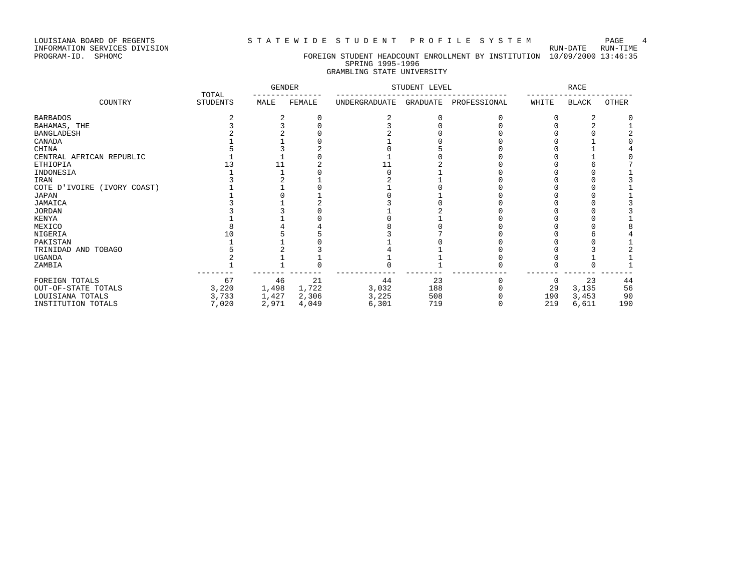### LOUISIANA BOARD OF REGENTS STATEWIDE STUDENT PROFILE SYSTEM PAGE 4

## PROGRAM-ID. SPHOMC FOREIGN STUDENT HEADCOUNT ENROLLMENT BY INSTITUTION 10/09/2000 13:46:35 SPRING 1995-1996 GRAMBLING STATE UNIVERSITY

|                             | TOTAL           | <b>GENDER</b> |        | STUDENT LEVEL        |          | <b>RACE</b>  |       |              |              |
|-----------------------------|-----------------|---------------|--------|----------------------|----------|--------------|-------|--------------|--------------|
| COUNTRY                     | <b>STUDENTS</b> | MALE          | FEMALE | <b>UNDERGRADUATE</b> | GRADUATE | PROFESSIONAL | WHITE | <b>BLACK</b> | <b>OTHER</b> |
| <b>BARBADOS</b>             |                 |               |        |                      |          |              |       |              |              |
| BAHAMAS, THE                |                 |               |        |                      |          |              |       |              |              |
| <b>BANGLADESH</b>           |                 |               |        |                      |          |              |       |              |              |
| CANADA                      |                 |               |        |                      |          |              |       |              |              |
| CHINA                       |                 |               |        |                      |          |              |       |              |              |
| CENTRAL AFRICAN REPUBLIC    |                 |               |        |                      |          |              |       |              |              |
| <b>ETHIOPIA</b>             |                 |               |        |                      |          |              |       |              |              |
| INDONESIA                   |                 |               |        |                      |          |              |       |              |              |
| IRAN                        |                 |               |        |                      |          |              |       |              |              |
| COTE D'IVOIRE (IVORY COAST) |                 |               |        |                      |          |              |       |              |              |
| <b>JAPAN</b>                |                 |               |        |                      |          |              |       |              |              |
| JAMAICA                     |                 |               |        |                      |          |              |       |              |              |
| <b>JORDAN</b>               |                 |               |        |                      |          |              |       |              |              |
| KENYA                       |                 |               |        |                      |          |              |       |              |              |
| MEXICO                      |                 |               |        |                      |          |              |       |              |              |
| NIGERIA                     |                 |               |        |                      |          |              |       |              |              |
| PAKISTAN                    |                 |               |        |                      |          |              |       |              |              |
| TRINIDAD AND TOBAGO         |                 |               |        |                      |          |              |       |              |              |
| <b>UGANDA</b>               |                 |               |        |                      |          |              |       |              |              |
| ZAMBIA                      |                 |               |        |                      |          |              |       |              |              |
| FOREIGN TOTALS              | 67              | 46            | 21     | 44                   | 23       |              | 0     | 23           | 44           |
| OUT-OF-STATE TOTALS         | 3,220           | 1,498         | 1,722  | 3,032                | 188      |              | 29    | 3,135        | 56           |
| LOUISIANA TOTALS            | 3,733           | 1,427         | 2,306  | 3,225                | 508      |              | 190   | 3,453        | 90           |
| INSTITUTION TOTALS          | 7,020           | 2,971         | 4,049  | 6,301                | 719      |              | 219   | 6,611        | 190          |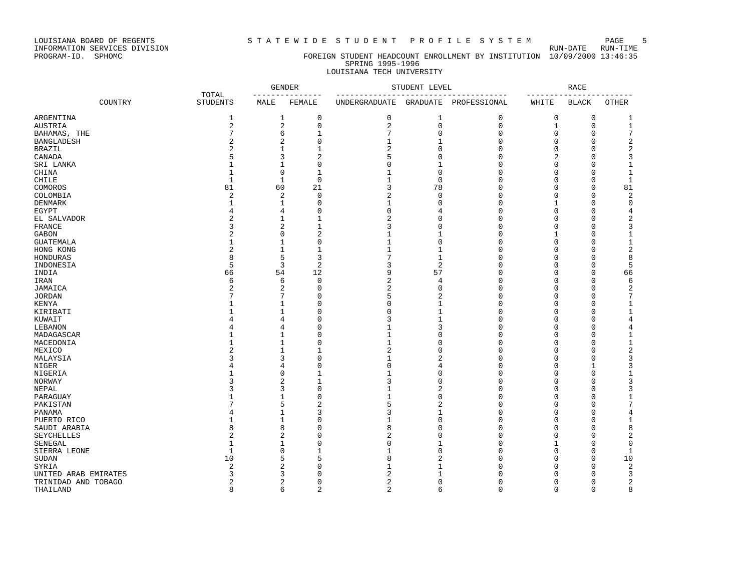### LOUISIANA BOARD OF REGENTS STRTEWIDE STUDENT PROFILE SYSTEM PAGE 5

### PROGRAM-ID. SPHOMC FOREIGN STUDENT HEADCOUNT ENROLLMENT BY INSTITUTION 10/09/2000 13:46:35 SPRING 1995-1996 LOUISIANA TECH UNIVERSITY

|                       |         |                          |                | <b>GENDER</b><br>------------ | STUDENT LEVEL<br>----------------- |                | <b>RACE</b>  |              |              |                         |
|-----------------------|---------|--------------------------|----------------|-------------------------------|------------------------------------|----------------|--------------|--------------|--------------|-------------------------|
|                       | COUNTRY | TOTAL<br><b>STUDENTS</b> | MALE           | FEMALE                        | UNDERGRADUATE GRADUATE             |                | PROFESSIONAL | WHITE        | <b>BLACK</b> | <b>OTHER</b>            |
| ARGENTINA             |         | 1                        | 1              | 0                             | $\mathbf 0$                        | 1              | 0            | $\mathbf 0$  | $\mathbf 0$  | 1                       |
| AUSTRIA               |         | 2                        | $\overline{a}$ | 0                             | 2                                  | $\mathbf 0$    | 0            | $\mathbf{1}$ | $\mathbf{0}$ | $\mathbf{1}$            |
| BAHAMAS, THE          |         | 7                        | 6              | $\mathbf{1}$                  | 7                                  | $\Omega$       | 0            | 0            | $\Omega$     | 7                       |
| <b>BANGLADESH</b>     |         | $\overline{a}$           | 2              | $\Omega$                      | 1                                  | 1              | $\Omega$     | $\Omega$     | $\Omega$     | 2                       |
| BRAZIL                |         | $\overline{2}$           | $\mathbf{1}$   | $\mathbf{1}$                  | $\overline{c}$                     | $\mathbf 0$    | 0            | $\Omega$     | $\Omega$     | $\overline{\mathbf{c}}$ |
| CANADA                |         | 5                        | 3              | $\overline{2}$                | 5                                  | $\mathbf 0$    | 0            | 2            | $\Omega$     | 3                       |
|                       |         | $\mathbf{1}$             | $\mathbf{1}$   | 0                             | $\Omega$                           | $\mathbf{1}$   | 0            | $\Omega$     | $\Omega$     | 1                       |
| SRI LANKA             |         | $\mathbf{1}$             | $\mathbf 0$    | $\mathbf{1}$                  |                                    | $\mathbf 0$    | 0            | $\Omega$     | $\Omega$     | $\mathbf{1}$            |
| CHINA                 |         | $\mathbf{1}$             | $\mathbf{1}$   | $\Omega$                      | 1                                  | $\Omega$       | $\Omega$     | $\Omega$     | $\Omega$     | $\mathbf{1}$            |
| CHILE                 |         |                          |                |                               |                                    |                |              |              | $\Omega$     |                         |
| COMOROS               |         | 81                       | 60             | 21                            | 3                                  | 78             | 0            | $\Omega$     |              | 81                      |
| COLOMBIA              |         | 2                        | 2              | 0                             | $\overline{2}$                     | $\mathbf 0$    | 0            | 0            | $\Omega$     | 2                       |
| DENMARK               |         | $\mathbf{1}$             | 1              | $\Omega$                      | 1                                  | $\mathbf 0$    | 0            | 1            | $\Omega$     | 0                       |
| EGYPT                 |         | 4                        | 4              | 0                             | $\Omega$                           | 4              | 0            | $\Omega$     | $\Omega$     | 4                       |
| EL SALVADOR           |         | 2                        | $\mathbf{1}$   | $\mathbf{1}$                  | $\overline{2}$                     | $\Omega$       | 0            | $\Omega$     | $\Omega$     | 2                       |
| FRANCE                |         | 3                        | $\sqrt{2}$     | $\mathbf{1}$                  | 3                                  | $\mathbf 0$    | 0            | $\Omega$     | $\Omega$     | 3                       |
| <b>GABON</b>          |         | 2                        | $\mathbf 0$    | $\overline{2}$                | $\mathbf{1}$                       | 1              | 0            | 1            | $\Omega$     | $\mathbf{1}$            |
| <b>GUATEMALA</b>      |         | 1                        | $\mathbf{1}$   | 0                             | 1                                  | $\mathbf 0$    | 0            | $\Omega$     | $\Omega$     | $1\,$                   |
| HONG KONG             |         | 2                        | $\mathbf{1}$   | $\mathbf{1}$                  | $\mathbf{1}$                       | 1              | 0            | $\Omega$     | $\Omega$     | 2                       |
| HONDURAS              |         | 8                        | 5              | 3                             | 7                                  | $\mathbf{1}$   | 0            | $\Omega$     | $\Omega$     | 8                       |
| INDONESIA             |         | 5                        | $\overline{3}$ | $\overline{a}$                | 3                                  | $\overline{2}$ | 0            | $\Omega$     | $\Omega$     | 5                       |
| INDIA                 |         | 66                       | 54             | 12                            | 9                                  | 57             | 0            | $\Omega$     | $\Omega$     | 66                      |
| IRAN                  |         | 6                        | 6              | 0                             | 2                                  | 4              | 0            | $\Omega$     | $\Omega$     | 6                       |
| JAMAICA               |         | $\overline{2}$           | $\overline{2}$ | $\Omega$                      | 2                                  | $\Omega$       | 0            | $\Omega$     | $\Omega$     | 2                       |
| <b>JORDAN</b>         |         | 7                        | 7              | $\Omega$                      | 5                                  | $\overline{2}$ | 0            | $\Omega$     | $\Omega$     | 7                       |
| KENYA                 |         | 1                        | $\mathbf{1}$   | 0                             | $\Omega$                           | $\mathbf{1}$   | 0            | $\Omega$     | $\Omega$     | $\mathbf 1$             |
| KIRIBATI              |         |                          | $\mathbf{1}$   | $\Omega$                      | $\Omega$                           | $\mathbf{1}$   | 0            | $\Omega$     | $\Omega$     | 1                       |
| KUWAIT                |         | 4                        | 4              | $\Omega$                      | 3                                  | $\mathbf{1}$   | 0            | $\Omega$     | $\Omega$     | 4                       |
| LEBANON               |         | 4                        | 4              | 0                             | 1                                  | 3              | 0            | $\Omega$     | $\Omega$     | 4                       |
| MADAGASCAR            |         |                          | $\mathbf{1}$   | $\Omega$                      |                                    | $\Omega$       | 0            | $\Omega$     | $\Omega$     | 1                       |
| MACEDONIA             |         | 1                        | $\mathbf{1}$   | 0                             | $\mathbf{1}$                       | $\mathbf 0$    | 0            | $\Omega$     | O            | $1\,$                   |
| MEXICO                |         | 2                        | $\mathbf{1}$   | $\mathbf{1}$                  | $\overline{2}$                     | $\Omega$       | 0            | O            | $\Omega$     | 2                       |
| MALAYSIA              |         | ζ                        | 3              | $\Omega$                      | $\mathbf{1}$                       | $\overline{c}$ | $\Omega$     | $\Omega$     | $\Omega$     | 3                       |
| <b>NIGER</b>          |         | 4                        | 4              | $\Omega$                      | $\Omega$                           | $\overline{4}$ | 0            | $\Omega$     | 1            | 3                       |
| NIGERIA               |         | 1                        | $\mathbf 0$    | $\mathbf{1}$                  |                                    | $\mathbf 0$    | 0            | $\Omega$     | $\Omega$     | $\mathbf 1$             |
| NORWAY                |         | 3                        | $\sqrt{2}$     | $\mathbf{1}$                  | 3                                  | $\mathbf 0$    | 0            | $\Omega$     | $\Omega$     | 3                       |
| NEPAL                 |         | 3                        | 3              | 0                             |                                    | $\overline{2}$ | 0            | O            | $\Omega$     | 3                       |
| PARAGUAY              |         | 1                        | $\mathbf{1}$   | $\Omega$                      | 1                                  | $\Omega$       | $\Omega$     | U            | $\Omega$     | $1\,$                   |
| PAKISTAN              |         | 7                        | 5              | 2                             | 5                                  | $\overline{2}$ | 0            | 0            | $\Omega$     | 7                       |
| PANAMA                |         | 4                        | $\mathbf{1}$   | 3                             | 3                                  | $\mathbf{1}$   | 0            | $\Omega$     | $\Omega$     | 4                       |
| PUERTO RICO           |         | $\mathbf{1}$             | $\mathbf{1}$   | 0                             |                                    | $\mathbf 0$    | 0            | $\Omega$     | $\Omega$     | 1                       |
| SAUDI ARABIA          |         | 8                        | 8              | $\Omega$                      | 8                                  | $\Omega$       | 0            | $\Omega$     | $\Omega$     | 8                       |
|                       |         | 2                        | $\overline{2}$ | $\Omega$                      | $\overline{2}$                     | $\Omega$       | $\Omega$     | U            | $\Omega$     | 2                       |
| SEYCHELLES<br>SENEGAL |         | $\mathbf{1}$             | $\mathbf{1}$   | 0                             | $\mathbf 0$                        | $\mathbf{1}$   | 0            | $\mathbf{1}$ | $\Omega$     | 0                       |
|                       |         |                          |                |                               |                                    |                |              |              |              |                         |
| SIERRA LEONE          |         | $\mathbf{1}$             | $\mathbf 0$    | $\mathbf{1}$                  | $\mathbf{1}$                       | $\mathbf 0$    | 0            | $\Omega$     | $\Omega$     | $\mathbf{1}$            |
| <b>SUDAN</b>          |         | 10                       | 5              | 5                             | 8                                  | $\overline{2}$ | 0            | $\Omega$     | $\Omega$     | 10                      |
| SYRIA                 |         | 2                        | $\overline{2}$ | O                             | 1                                  | 1              | $\Omega$     | O            | $\Omega$     | 2                       |
| UNITED ARAB EMIRATES  |         | 3                        | 3              | 0                             | 2                                  | 1              | 0            | O            | $\Omega$     | 3                       |
| TRINIDAD AND TOBAGO   |         | 2                        | $\overline{2}$ | 0                             | $\overline{\mathbf{c}}$            | $\Omega$       | 0            | $\Omega$     | $\Omega$     | 2                       |
| THAILAND              |         | 8                        | 6              | $\overline{2}$                | $\overline{2}$                     | 6              | 0            | $\Omega$     | $\Omega$     | 8                       |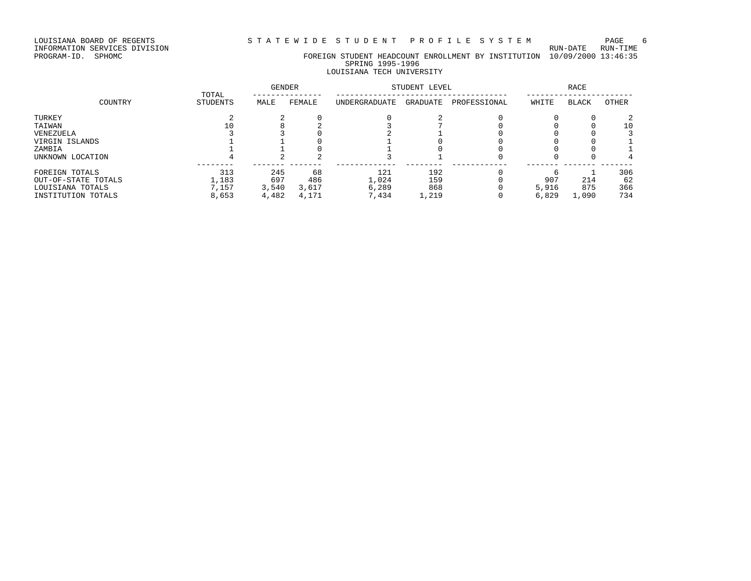LOUISIANA BOARD OF REGENTS STATEWIDE STUDENT PROFILE SYSTEM PAGE 6

INFORMATION SERVICES DIVISION RUN-DATE RUN-TIME

## PROGRAM-ID. SPHOMC FOREIGN STUDENT HEADCOUNT ENROLLMENT BY INSTITUTION 10/09/2000 13:46:35 SPRING 1995-1996 LOUISIANA TECH UNIVERSITY

|                     | TOTAL           | <b>GENDER</b> |        | STUDENT LEVEL |          | RACE         |       |              |       |
|---------------------|-----------------|---------------|--------|---------------|----------|--------------|-------|--------------|-------|
| COUNTRY             | <b>STUDENTS</b> | MALE          | FEMALE | UNDERGRADUATE | GRADUATE | PROFESSIONAL | WHITE | <b>BLACK</b> | OTHER |
| TURKEY              |                 |               |        |               |          |              |       |              |       |
| TAIWAN              | 10              |               |        |               |          |              |       |              | 10    |
| VENEZUELA           |                 |               |        |               |          |              |       |              |       |
| VIRGIN ISLANDS      |                 |               |        |               |          |              |       |              |       |
| ZAMBIA              |                 |               |        |               |          |              |       |              |       |
| UNKNOWN LOCATION    |                 |               |        |               |          |              |       |              |       |
| FOREIGN TOTALS      | 313             | 245           | 68     | 121           | 192      |              |       |              | 306   |
| OUT-OF-STATE TOTALS | 1,183           | 697           | 486    | 1,024         | 159      |              | 907   | 214          | 62    |
| LOUISIANA TOTALS    | 7,157           | 3,540         | 3,617  | 6,289         | 868      |              | 5,916 | 875          | 366   |
| INSTITUTION TOTALS  | 8,653           | 4,482         | 4,171  | 7,434         | 1,219    |              | 6,829 | 1,090        | 734   |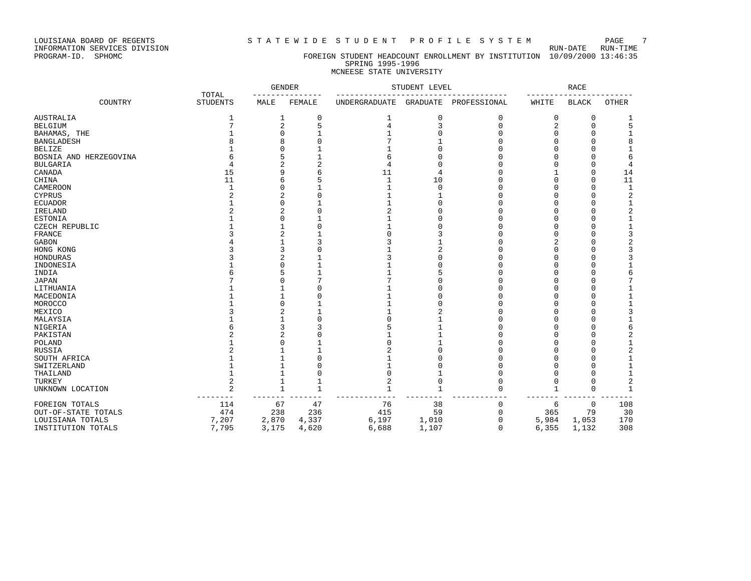LOUISIANA BOARD OF REGENTS STATEWIDE STUDENT PROFILE SYSTEM PAGE 7

## PROGRAM-ID. SPHOMC FOREIGN STUDENT HEADCOUNT ENROLLMENT BY INSTITUTION 10/09/2000 13:46:35 SPRING 1995-1996 MCNEESE STATE UNIVERSITY

|                        |                          | <b>GENDER</b>  |             | STUDENT LEVEL        |                 | <b>RACE</b>  |              |              |                |
|------------------------|--------------------------|----------------|-------------|----------------------|-----------------|--------------|--------------|--------------|----------------|
| COUNTRY                | TOTAL<br><b>STUDENTS</b> | MALE           | FEMALE      | <b>UNDERGRADUATE</b> | <b>GRADUATE</b> | PROFESSIONAL | WHITE        | <b>BLACK</b> | <b>OTHER</b>   |
| <b>AUSTRALIA</b>       | 1                        | 1              | 0           |                      | 0               | 0            | 0            | $\mathbf 0$  |                |
| <b>BELGIUM</b>         |                          | $\overline{c}$ | 5           | 4                    | P               | $\cap$       | 2            | $\Omega$     | 5              |
| BAHAMAS, THE           |                          |                |             |                      |                 |              | 0            |              |                |
| <b>BANGLADESH</b>      |                          |                |             |                      |                 |              |              |              | 8              |
| <b>BELIZE</b>          |                          |                |             |                      |                 |              |              |              |                |
| BOSNIA AND HERZEGOVINA |                          |                |             |                      |                 |              |              |              | 6              |
| <b>BULGARIA</b>        |                          |                |             |                      |                 |              |              |              | 4              |
| CANADA                 | 15                       |                | 6           | 11                   | 4               |              |              | $\cap$       | 14             |
| CHINA                  | 11                       |                |             |                      | 10              |              |              |              | 11             |
| CAMEROON               | -1                       |                |             |                      | $\Omega$        |              |              |              | $\mathbf{1}$   |
| CYPRUS                 |                          |                | $\Omega$    |                      |                 |              |              |              | 2              |
| <b>ECUADOR</b>         |                          |                |             |                      |                 |              |              |              | $\mathbf{1}$   |
| IRELAND                |                          |                |             | 2                    |                 |              |              |              | $\sqrt{2}$     |
| <b>ESTONIA</b>         |                          |                |             |                      |                 |              |              |              | $\mathbf{1}$   |
| CZECH REPUBLIC         |                          |                |             |                      |                 |              |              |              | $\mathbf{1}$   |
| FRANCE                 |                          |                |             |                      |                 |              |              |              | 3              |
| GABON                  |                          |                |             |                      |                 |              |              |              | 2              |
| HONG KONG              |                          |                |             |                      |                 |              |              |              | 3              |
| HONDURAS               |                          |                |             |                      |                 |              |              |              | 3              |
| INDONESIA              |                          |                |             |                      |                 |              |              |              |                |
| INDIA                  |                          |                |             |                      |                 |              |              |              | 6              |
| <b>JAPAN</b>           |                          |                |             |                      |                 |              |              |              | 7              |
| LITHUANIA              |                          |                |             |                      |                 |              |              |              |                |
| MACEDONIA              |                          |                |             |                      |                 |              |              |              |                |
| MOROCCO                |                          |                |             |                      |                 |              |              |              | $\mathbf{1}$   |
| MEXICO                 |                          |                |             |                      |                 |              |              |              | 3              |
| MALAYSIA               |                          |                |             |                      |                 |              |              |              |                |
| NIGERIA                |                          |                |             |                      |                 |              |              |              | 6              |
| PAKISTAN               |                          |                |             |                      |                 |              |              |              | 2              |
| POLAND                 |                          |                |             |                      |                 |              |              |              |                |
| RUSSIA                 |                          |                |             |                      |                 |              |              |              | $\overline{2}$ |
| SOUTH AFRICA           |                          |                |             |                      |                 |              |              |              |                |
| SWITZERLAND            |                          |                |             |                      |                 |              |              |              |                |
| THAILAND               |                          |                | C           |                      |                 |              | U            | ∩            | $\mathbf{1}$   |
| TURKEY                 |                          |                |             | 2                    |                 |              | 0            | n            | $\overline{2}$ |
| UNKNOWN LOCATION       |                          | $\mathbf{1}$   | $\mathbf 1$ |                      | 1               |              | $\mathbf{1}$ | $\mathbf 0$  | $\mathbf{1}$   |
| FOREIGN TOTALS         | 114                      | 67             | 47          | 76                   | 38              | $\Omega$     | 6            | $\mathbf 0$  | 108            |
| OUT-OF-STATE TOTALS    | 474                      | 238            | 236         | 415                  | 59              | $\Omega$     | 365          | 79           | 30             |
| LOUISIANA TOTALS       | 7,207                    | 2,870          | 4,337       | 6,197                | 1,010           | n            | 5,984        | 1,053        | 170            |
| INSTITUTION TOTALS     | 7,795                    | 3,175          | 4,620       | 6,688                | 1,107           | $\Omega$     | 6,355        | 1,132        | 308            |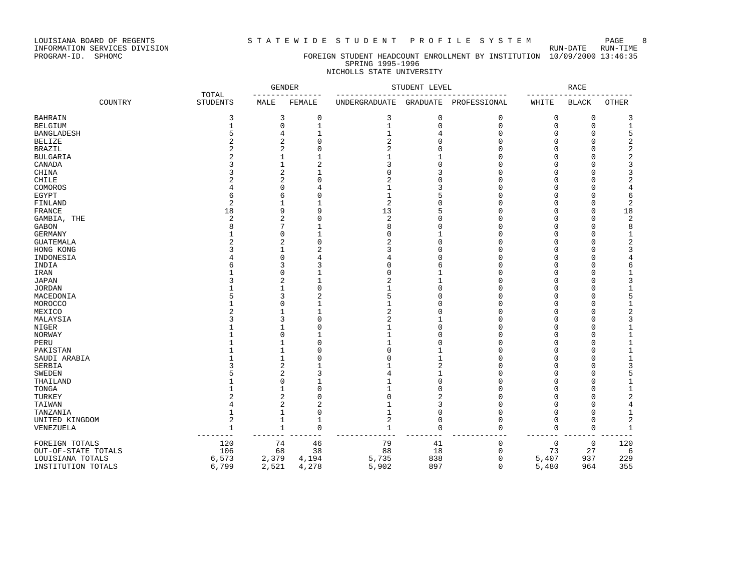LOUISIANA BOARD OF REGENTS STA TEWIDE STUDENT PROFILE SYSTEM PAGE 8<br>INFORMATION SERVICES DIVISION

INFORMATION SERVICES DIVISION<br>PROGRAM-ID. SPHOMC

### FOREIGN STUDENT HEADCOUNT ENROLLMENT BY INSTITUTION 10/09/2000 13:46:35 SPRING 1995-1996 NICHOLLS STATE UNIVERSITY

| TOTAL               |         |                 |              | <b>GENDER</b>  | STUDENT LEVEL                       |                |             | RACE                |              |                         |
|---------------------|---------|-----------------|--------------|----------------|-------------------------------------|----------------|-------------|---------------------|--------------|-------------------------|
|                     | COUNTRY | <b>STUDENTS</b> | MALE         | FEMALE         | UNDERGRADUATE GRADUATE PROFESSIONAL |                |             | WHITE               | <b>BLACK</b> | <b>OTHER</b>            |
| BAHRAIN             |         | 3               | 3            | 0              | 3                                   | 0              | 0           | 0                   | 0            | 3                       |
| BELGIUM             |         | 1               | $\mathbf 0$  | 1              | 1                                   | $\Omega$       | $\Omega$    | $\Omega$            | $\Omega$     | 1                       |
| BANGLADESH          |         | 5               | 4            | 1              | 1                                   | 4              | U           | U                   | ∩            | 5                       |
| BELIZE              |         | $\overline{2}$  | 2            | $\mathbf 0$    | $\overline{2}$                      | U              | U           | O                   |              | 2                       |
| BRAZIL              |         |                 | 2            | $\Omega$       | 2                                   | U              | n           | U                   |              | 2                       |
| BULGARIA            |         |                 |              | 1              |                                     |                |             | U                   |              | $\overline{\mathbf{c}}$ |
| CANADA              |         |                 |              | $\overline{2}$ |                                     | U              |             |                     |              | 3                       |
| CHINA               |         |                 | 2            | 1              | $\Omega$                            | 3              |             | U                   |              | 3                       |
| CHILE               |         |                 | 2            | $\Omega$       | 2                                   | U              | $\Omega$    | U                   |              | 2                       |
| COMOROS             |         |                 | U            | 4              | 1                                   | 3              |             | U                   |              | 4                       |
| EGYPT               |         | 6               | 6            | $\Omega$       | $\mathbf{1}$                        | 5              | U           | U                   |              | 6                       |
| FINLAND             |         | $\overline{2}$  |              | 1              | $\overline{2}$                      | U              | n           | U                   |              | $\overline{2}$          |
| FRANCE              |         | 18              | 9            | 9              | 13                                  | 5              | U           | U                   | ∩            | 18                      |
| GAMBIA, THE         |         | $\overline{c}$  | 2            | $\Omega$       | $\overline{2}$                      | $\Omega$       | $\cap$      | U                   |              | 2                       |
| GABON               |         | 8               |              | $\mathbf{1}$   | 8                                   | O              | U           | U                   |              | 8                       |
| GERMANY             |         |                 | O            | $\mathbf{1}$   | $\Omega$                            |                | $\cap$      | O                   |              | 1                       |
| GUATEMALA           |         |                 | 2            | $\Omega$       | $\overline{2}$                      | $\Omega$       | $\cap$      | U                   |              | 2                       |
| HONG KONG           |         |                 | 1            | $\overline{2}$ | 3                                   | Ω              |             | U                   |              | 3                       |
| INDONESIA           |         |                 | O            | 4              |                                     | Ω              | $\cap$      | U                   |              | 4                       |
| INDIA               |         |                 | 3            | 3              |                                     | 6              | C           | U                   |              | 6                       |
| IRAN                |         |                 | U            | $\mathbf{1}$   | $\Omega$                            |                | $\Omega$    | U                   |              | 1                       |
| JAPAN               |         |                 | 2            | $\mathbf 1$    | $\overline{2}$                      |                | n           | U                   |              | 3                       |
| JORDAN              |         |                 |              | $\Omega$       |                                     | O              | $\cap$      | U                   |              | 1                       |
| MACEDONIA           |         |                 | 3            | $\overline{2}$ | 5                                   | $\Omega$       | C           |                     |              | 5                       |
| MOROCCO             |         |                 | U            | $\mathbf{1}$   | 1                                   | Ω              | $\Omega$    | U                   |              | $\mathbf{1}$            |
| MEXICO              |         |                 |              | $\mathbf{1}$   | $\overline{2}$                      | Ω              | U           |                     |              | $\overline{c}$          |
| MALAYSIA            |         |                 | 3            | $\mathbf{0}$   | $\overline{c}$                      |                | $\Omega$    | U                   |              | 3                       |
| NIGER               |         |                 |              | $\mathbf{0}$   | 1                                   | $\Omega$       | C           |                     |              | $1\,$                   |
| NORWAY              |         |                 | U            | 1              | $\mathbf{1}$                        | Ω              | O           | U                   |              | $\mathbf 1$             |
| PERU                |         |                 |              | $\Omega$       |                                     | Ω              | C           |                     |              | $1\,$                   |
| PAKISTAN            |         |                 |              | $\Omega$       | $\cap$                              | 1              | U           | U                   |              | $\mathbf 1$             |
| SAUDI ARABIA        |         |                 |              | $\Omega$       | $\cap$                              | $\mathbf{1}$   |             |                     |              | $\mathbf 1$             |
| SERBIA              |         |                 | 2            | $\mathbf{1}$   |                                     | $\overline{a}$ | $\Omega$    | U                   |              | 3                       |
| SWEDEN              |         |                 | 2            | 3              |                                     |                | U           |                     |              | 5                       |
| THAILAND            |         |                 | U            | $\mathbf{1}$   |                                     | $\Omega$       | $\Omega$    | U                   |              | $\mathbf{1}$            |
| TONGA               |         |                 |              | $\mathbf{0}$   |                                     | $\Omega$       |             | U                   |              | 1                       |
| TURKEY              |         |                 | 2            | $\mathbf{0}$   | $\Omega$                            | 2              | C           | U                   |              | $\overline{c}$          |
| TAIWAN              |         |                 | 2            | $\overline{2}$ |                                     | 3              | U           | U                   |              | 4                       |
| TANZANIA            |         |                 |              | $\mathbf{0}$   |                                     | $\Omega$       | $\Omega$    | O                   |              | $\mathbf 1$             |
| UNITED KINGDOM      |         | $\overline{c}$  |              | $\mathbf{1}$   | $\overline{2}$                      | $\Omega$       | $\Omega$    | $\Omega$            | ∩            | 2                       |
|                     |         | $\mathbf{1}$    | $\mathbf{1}$ | $\mathbf{0}$   | $\mathbf{1}$                        | $\Omega$       | $\Omega$    | 0                   | $\Omega$     | 1                       |
| VENEZUELA           |         |                 |              |                |                                     |                |             |                     |              |                         |
| FOREIGN TOTALS      |         | 120             | 74           | 46             | 79                                  | 41             | 0           | $\mathsf{O}\xspace$ | $\mathbf 0$  | 120                     |
| OUT-OF-STATE TOTALS |         | 106             | 68           | 38             | 88                                  | 18             | 0           | 73                  | 27           | 6                       |
| LOUISIANA TOTALS    |         | 6,573           | 2,379        | 4,194          | 5,735                               | 838            | 0           | 5,407               | 937          | 229                     |
| INSTITUTION TOTALS  |         | 6,799           | 2,521        | 4,278          | 5,902                               | 897            | $\mathbf 0$ | 5,480               | 964          | 355                     |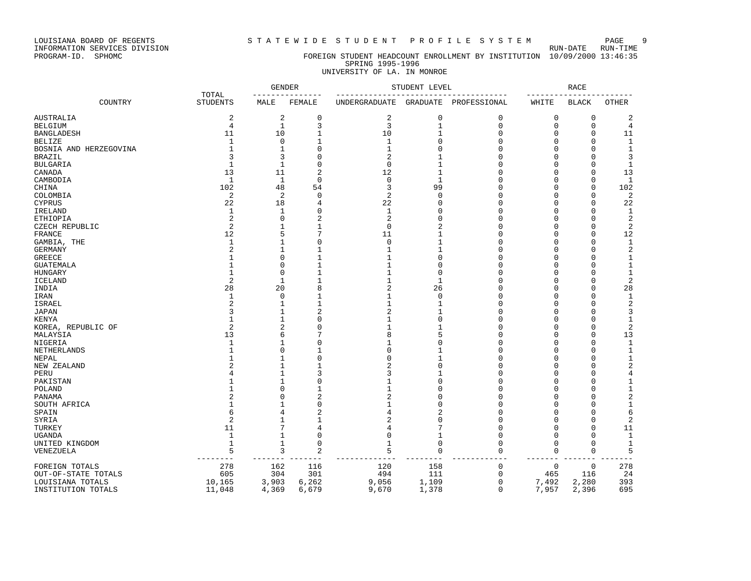INFORMATION SERVICES DIVISION RUN-DATE RUN-TIME

### PROGRAM-ID. SPHOMC FOREIGN STUDENT HEADCOUNT ENROLLMENT BY INSTITUTION 10/09/2000 13:46:35 SPRING 1995-1996 UNIVERSITY OF LA. IN MONROE

|                        |                          | <b>GENDER</b><br>------------- |                | STUDENT LEVEL                       | _____________________________________ | <b>RACE</b><br>$- - - - -$<br>-------- |          |              |                |
|------------------------|--------------------------|--------------------------------|----------------|-------------------------------------|---------------------------------------|----------------------------------------|----------|--------------|----------------|
| COUNTRY                | TOTAL<br><b>STUDENTS</b> | MALE                           | FEMALE         | UNDERGRADUATE GRADUATE PROFESSIONAL |                                       |                                        | WHITE    | BLACK        | OTHER          |
| AUSTRALIA              | $\overline{2}$           | $\overline{c}$                 | 0              | 2                                   | 0                                     | 0                                      | 0        | 0            | 2              |
| BELGIUM                | $\overline{4}$           | $\mathbf{1}$                   | 3              | 3                                   | $\mathbf{1}$                          | $\mathbf{0}$                           | $\Omega$ | $\mathbf 0$  | 4              |
| BANGLADESH             | 11                       | 10                             | $\mathbf{1}$   | 10                                  | $\mathbf{1}$                          | $\mathbf{0}$                           | $\Omega$ | $\Omega$     | 11             |
| BELIZE                 | 1                        | $\mathbf 0$                    | $\mathbf{1}$   | 1                                   | $\Omega$                              | $\Omega$                               | $\cap$   | $\Omega$     | 1              |
| BOSNIA AND HERZEGOVINA | $\mathbf{1}$             | $1\,$                          | $\Omega$       | $\mathbf 1$                         | $\Omega$                              | $\Omega$                               | U        | $\Omega$     | $\mathbf{1}$   |
| BRAZIL                 | 3                        | 3                              | $\Omega$       | $\overline{c}$                      |                                       | $\Omega$                               | U        | <sup>0</sup> | 3              |
| BULGARIA               | 1                        | 1                              | $\mathbf 0$    | $\mathbf 0$                         | $\mathbf{1}$                          | 0                                      | U        | <sup>0</sup> | $\mathbf{1}$   |
| CANADA                 | 13                       | 11                             | $\overline{2}$ | 12                                  | $\mathbf{1}$                          | O                                      | U        | $\Omega$     | 13             |
| CAMBODIA               | 1                        | 1                              | $\Omega$       | $\mathbf 0$                         | $\mathbf{1}$                          | O                                      | U        | $\Omega$     | 1              |
| CHINA                  | 102                      | 48                             | 54             | 3                                   | 99                                    | $\mathbf 0$                            | O        | $\mathbf 0$  | 102            |
| COLOMBIA               | $\sqrt{2}$               | $\overline{c}$                 | $\mathbf 0$    | $\overline{2}$                      | $\Omega$                              | $\Omega$                               | U        | $\Omega$     | $\overline{c}$ |
| CYPRUS                 | 22                       | 18                             | $\overline{4}$ | 22                                  | $\mathbf 0$                           | $\mathbf{0}$                           | $\Omega$ | $\Omega$     | 22             |
| IRELAND                | 1                        | $\mathbf{1}$                   | $\Omega$       | 1                                   | $\Omega$                              | $\mathbf 0$                            | U        | $\Omega$     | 1              |
| ETHIOPIA               | 2                        | $\Omega$                       | $\overline{2}$ | 2                                   | $\Omega$                              | O                                      | U        | ∩            | 2              |
| CZECH REPUBLIC         | $\overline{2}$           |                                | 1              | $\mathbf 0$                         | $\overline{2}$                        | O                                      | U        | $\Omega$     | 2              |
| FRANCE                 | 12                       | 5                              | 7              | 11                                  | 1                                     | O                                      | U        | $\Omega$     | 12             |
| GAMBIA, THE            | $\mathbf{1}$             | 1                              | $\Omega$       | $\Omega$                            | $\mathbf{1}$                          | $\Omega$                               | O        | <sup>0</sup> | $\mathbf{1}$   |
| GERMANY                | $\overline{2}$           | 1                              | $\mathbf{1}$   | $\mathbf 1$                         | $\mathbf{1}$                          | $\mathbf 0$                            | O        | <sup>0</sup> | $\sqrt{2}$     |
| GREECE                 | 1                        | $\Omega$                       | $\mathbf{1}$   | 1                                   | $\Omega$                              | $\Omega$                               | O        | $\Omega$     | $1\,$          |
| GUATEMALA              | $\mathbf{1}$             | $\Omega$                       | $\mathbf{1}$   | $\mathbf 1$                         | $\Omega$                              | $\Omega$                               | U        | $\cap$       | $\mathbf{1}$   |
| HUNGARY                | 1                        | 0                              | 1              | 1                                   | $\Omega$                              | O                                      | U        | Λ            | 1              |
| <b>ICELAND</b>         | $\overline{2}$           | 1                              | 1              | 1                                   | $\mathbf{1}$                          | $\Omega$                               | U        | ∩            | $\overline{2}$ |
| INDIA                  | 28                       | 20                             | 8              | 2                                   | 26                                    | $\Omega$                               | U        | ∩            | 28             |
| IRAN                   | $\mathbf{1}$             | $\Omega$                       | 1              | $\mathbf 1$                         | $\Omega$                              | O                                      | U        | $\Omega$     | $\mathbf{1}$   |
| ISRAEL                 | $\overline{c}$           | $\mathbf{1}$                   | $\mathbf{1}$   | 1                                   | -1                                    | $\mathbf{0}$                           | U        | <sup>0</sup> | $\overline{2}$ |
| JAPAN                  | 3                        |                                | $\overline{c}$ | $\overline{2}$                      | $\mathbf{1}$                          | $\Omega$                               | $\Omega$ | $\cap$       | 3              |
| KENYA                  | $\mathbf{1}$             |                                | $\Omega$       | $\mathbf 1$                         | $\Omega$                              | $\Omega$                               | $\Omega$ | $\Omega$     | $1\,$          |
| KOREA, REPUBLIC OF     | $\overline{2}$           | 2                              | $\Omega$       | 1                                   | 1                                     | $\Omega$                               | U        | $\Omega$     | $\sqrt{2}$     |
| MALAYSIA               | 13                       | 6                              | 7              | 8                                   | 5                                     | O                                      | U        | <sup>0</sup> | 13             |
| NIGERIA                | 1                        |                                | $\Omega$       | 1                                   | $\Omega$                              | $\mathbf 0$                            | U        | n            | 1              |
| NETHERLANDS            | $\mathbf{1}$             | $\cap$                         | $\mathbf{1}$   | $\mathbf 0$                         | 1                                     | $\Omega$                               | U        | ∩            | 1              |
| NEPAL                  | $\mathbf{1}$             |                                | $\Omega$       | $\Omega$                            | 1                                     | O                                      | O        | $\Omega$     | $\mathbf{1}$   |
| NEW ZEALAND            |                          |                                | $\mathbf{1}$   | $\overline{c}$                      | $\Omega$                              | 0                                      | O        | $\Omega$     | 2              |
| PERU                   | 4                        | 1                              | 3              | 3                                   | $\mathbf{1}$                          | 0                                      | U        | $\Omega$     | 4              |
| PAKISTAN               |                          |                                | $\Omega$       | $\mathbf 1$                         | $\Omega$                              | $\Omega$                               | $\cap$   | $\cap$       | $\mathbf{1}$   |
| POLAND                 |                          | $\Omega$                       | 1              | 1                                   | $\Omega$                              | 0                                      | $\Omega$ | $\Omega$     | $1\,$          |
| PANAMA                 | $\overline{\mathbf{c}}$  | O                              | $\overline{2}$ | $\overline{c}$                      | $\Omega$                              | 0                                      |          | ∩            | $\overline{c}$ |
| SOUTH AFRICA           | 1                        |                                | $\Omega$       | $\mathbf{1}$                        | $\Omega$                              | O                                      | U        | ∩            | 1              |
| SPAIN                  | 6                        |                                | $\overline{c}$ | 4                                   | $\overline{2}$                        | $\Omega$                               | U        | ∩            | 6              |
|                        | $\overline{2}$           |                                | $\mathbf{1}$   | 2                                   | $\Omega$                              | $\Omega$                               | U        | $\Omega$     | $\overline{2}$ |
| SYRIA                  | 11                       | 7                              | $\overline{4}$ | 4                                   | 7                                     | $\mathbf{0}$                           | $\Omega$ | $\Omega$     | 11             |
| TURKEY                 | $\mathbf{1}$             | $\mathbf{1}$                   | $\Omega$       | $\mathbf 0$                         | $\mathbf{1}$                          | $\mathbf{0}$                           | $\Omega$ | <sup>0</sup> | 1              |
| UGANDA                 | $\mathbf{1}$             | $\mathbf{1}$                   | $\mathbf 0$    | $\mathbf 1$                         | $\Omega$                              | $\mathbf 0$                            | $\Omega$ | $\Omega$     | $\mathbf{1}$   |
| UNITED KINGDOM         |                          |                                |                |                                     |                                       |                                        |          |              |                |
| VENEZUELA              | 5<br>---------           | 3<br>$- - - -$                 | 2              | 5                                   | 0                                     | $\mathbf 0$                            | 0        | $\mathbf 0$  | 5              |
| FOREIGN TOTALS         | 278                      | 162                            | 116            | 120                                 | 158                                   | $\mathbf 0$                            | $\Omega$ | $\Omega$     | 278            |
| OUT-OF-STATE TOTALS    | 605                      | 304                            | 301            | 494                                 | 111                                   | $\mathbf 0$                            | 465      | 116          | 24             |
| LOUISIANA TOTALS       | 10,165                   | 3,903                          | 6,262          | 9,056                               | 1,109                                 | 0                                      | 7,492    | 2,280        | 393            |
| INSTITUTION TOTALS     | 11,048                   | 4,369                          | 6,679          | 9,670                               | 1,378                                 | $\Omega$                               | 7,957    | 2,396        | 695            |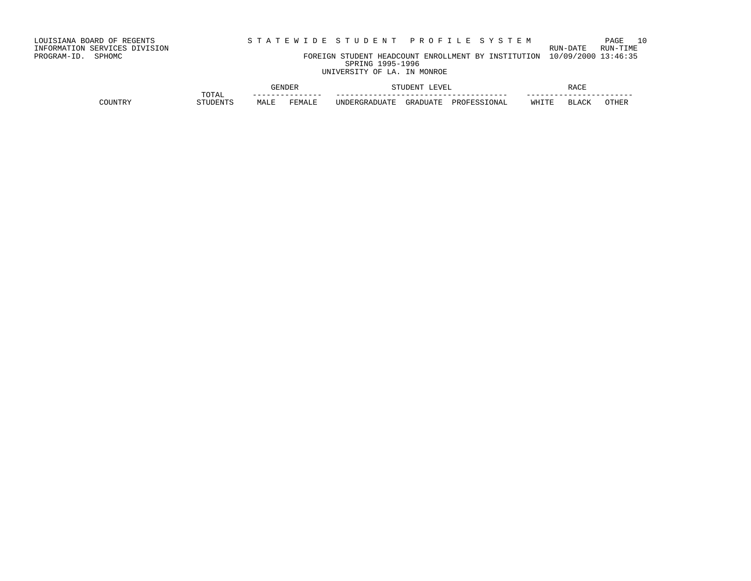INFORMATION SERVICES DIVISION RUN-DATE RUN-TIME PROGRAM-ID. SPHOMC FOREIGN STUDENT HEADCOUNT ENROLLMENT BY INSTITUTION 10/09/2000 13:46:35 SPRING 1995-1996

UNIVERSITY OF LA. IN MONROE

|          |       |        |         |               | ET.<br> |                   | הר/י<br>ロンロン |                                   |               |  |
|----------|-------|--------|---------|---------------|---------|-------------------|--------------|-----------------------------------|---------------|--|
|          | TOTAL | --     | ------- | ---           |         |                   | ---          | ------------------                | ----          |  |
| ידותדורי | 'NPI  | تستحبب | FEMALL  | ΤN<br>1 A ' I | ו בקב   | ∢ס בים מח<br>∩NA⊥ | ᄢᄄᅚᅲ         | $-$<br>┑┯<br>$\cdot \mathbf{A}$ ' | $\bigcap \Pi$ |  |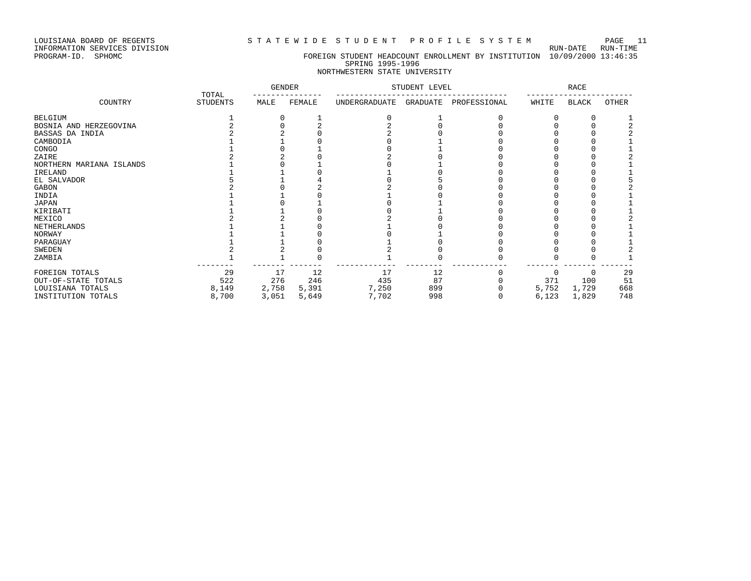### LOUISIANA BOARD OF REGENTS S T A T E W I D E S T U D E N T P R O F I L E S Y S T E M PAGE 11

## PROGRAM-ID. SPHOMC FOREIGN STUDENT HEADCOUNT ENROLLMENT BY INSTITUTION 10/09/2000 13:46:35 SPRING 1995-1996

## NORTHWESTERN STATE UNIVERSITY

|                          | TOTAL           | <b>GENDER</b> |        | STUDENT LEVEL |          |              | RACE  |              |       |
|--------------------------|-----------------|---------------|--------|---------------|----------|--------------|-------|--------------|-------|
| COUNTRY                  | <b>STUDENTS</b> | MALE          | FEMALE | UNDERGRADUATE | GRADUATE | PROFESSIONAL | WHITE | BLACK        | OTHER |
| <b>BELGIUM</b>           |                 |               |        |               |          |              |       |              |       |
| BOSNIA AND HERZEGOVINA   |                 |               |        |               |          |              |       |              |       |
| BASSAS DA INDIA          |                 |               |        |               |          |              |       |              |       |
| CAMBODIA                 |                 |               |        |               |          |              |       |              |       |
| CONGO                    |                 |               |        |               |          |              |       |              |       |
| ZAIRE                    |                 |               |        |               |          |              |       |              |       |
| NORTHERN MARIANA ISLANDS |                 |               |        |               |          |              |       |              |       |
| IRELAND                  |                 |               |        |               |          |              |       |              |       |
| EL SALVADOR              |                 |               |        |               |          |              |       |              |       |
| GABON                    |                 |               |        |               |          |              |       |              |       |
| INDIA                    |                 |               |        |               |          |              |       |              |       |
| JAPAN                    |                 |               |        |               |          |              |       |              |       |
| KIRIBATI                 |                 |               |        |               |          |              |       |              |       |
| MEXICO                   |                 |               |        |               |          |              |       |              |       |
| NETHERLANDS              |                 |               |        |               |          |              |       |              |       |
| NORWAY                   |                 |               |        |               |          |              |       |              |       |
| PARAGUAY                 |                 |               |        |               |          |              |       |              |       |
| SWEDEN                   |                 |               |        |               |          |              |       |              |       |
| ZAMBIA                   |                 |               |        |               |          |              |       |              |       |
| FOREIGN TOTALS           | 29              | 17            | 12     | 17            | 12       |              |       | <sup>0</sup> | 29    |
| OUT-OF-STATE TOTALS      | 522             | 276           | 246    | 435           | 87       |              | 371   | 100          | 51    |
| LOUISIANA TOTALS         | 8,149           | 2,758         | 5,391  | 7,250         | 899      |              | 5,752 | 1,729        | 668   |
| INSTITUTION TOTALS       | 8,700           | 3,051         | 5,649  | 7,702         | 998      |              | 6,123 | 1,829        | 748   |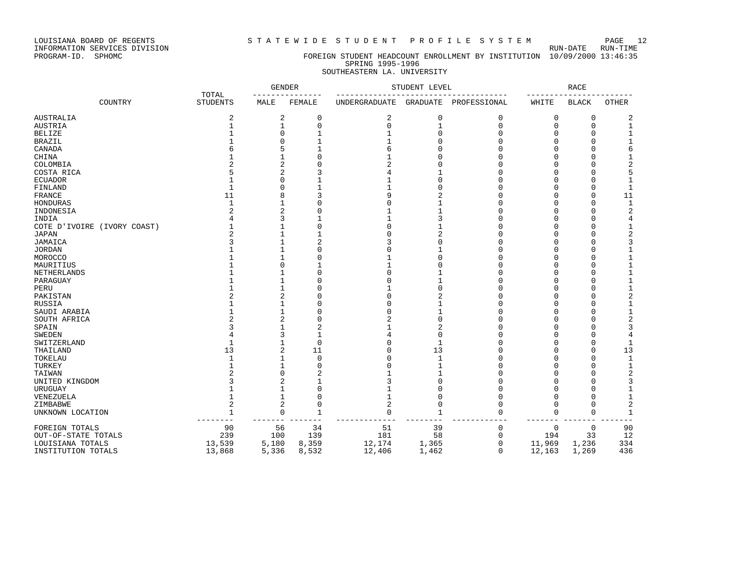STATEWIDE STUDENT PROFILE SYSTEM PAGE 12<br>RUN-DATE RUN-TIME

LOUISIANA BOARD OF REGENTS<br>INFORMATION SERVICES DIVISION<br>PROGRAM-ID. SPHOMC

### FOREIGN STUDENT HEADCOUNT ENROLLMENT BY INSTITUTION 10/09/2000 13:46:35 SPRING 1995-1996 SOUTHEASTERN LA. UNIVERSITY

|                             |                          | <b>GENDER</b> |              |                      | STUDENT LEVEL |                       |        | <b>RACE</b>  |                |
|-----------------------------|--------------------------|---------------|--------------|----------------------|---------------|-----------------------|--------|--------------|----------------|
| COUNTRY                     | TOTAL<br><b>STUDENTS</b> | MALE          | FEMALE       | <b>UNDERGRADUATE</b> |               | GRADUATE PROFESSIONAL | WHITE  | <b>BLACK</b> | <b>OTHER</b>   |
| AUSTRALIA                   | 2                        | 2             | 0            | $\overline{2}$       | 0             | 0                     | 0      | 0            | 2              |
| AUSTRIA                     |                          | 1             | 0            | $\Omega$             | 1             | 0                     | 0      | $\Omega$     | -1             |
| BELIZE                      |                          |               |              |                      |               | O                     | N      |              | -1             |
| BRAZIL                      |                          |               |              |                      |               | U                     | U      | n            |                |
| CANADA                      |                          |               |              |                      |               | U                     |        |              |                |
| CHINA                       |                          |               | U            |                      |               | U                     |        |              |                |
| COLOMBIA                    |                          |               |              |                      |               | U                     |        |              |                |
| COSTA RICA                  |                          |               |              |                      |               | U                     |        |              | 5              |
|                             |                          |               |              |                      |               | O                     |        |              | -1             |
| ECUADOR                     |                          |               |              |                      |               | O                     |        | n            | -1             |
| FINLAND                     |                          |               |              |                      |               |                       |        | $\cap$       |                |
| FRANCE                      | 11                       |               | 3            |                      |               | O                     | N      |              | 11             |
| HONDURAS                    |                          |               | O            |                      |               | O                     | N      | $\cap$       | $\overline{1}$ |
| INDONESIA                   |                          |               | $\Omega$     |                      |               | O                     | U      | $\cap$       | 2              |
| INDIA                       |                          |               |              |                      |               | O                     | U      |              |                |
| COTE D'IVOIRE (IVORY COAST) |                          |               | $\Omega$     |                      |               | U                     |        |              | -1             |
| JAPAN                       |                          |               |              |                      |               | U                     |        |              |                |
| JAMAICA                     |                          |               | 2            |                      |               | U                     |        |              |                |
| JORDAN                      |                          |               | Ω            |                      |               | U                     |        |              |                |
| MOROCCO                     |                          |               | Ω            |                      |               | U                     |        |              |                |
| MAURITIUS                   |                          |               |              |                      |               | O                     |        |              |                |
| NETHERLANDS                 |                          |               | O            |                      |               | U                     |        | n            |                |
| PARAGUAY                    |                          |               | O            |                      |               | U                     |        | n            |                |
| PERU                        |                          |               | O            |                      |               | U                     |        | $\cap$       |                |
| PAKISTAN                    |                          |               | O            |                      |               | O                     | U      | n            |                |
| RUSSIA                      |                          |               | O            |                      |               | U                     | U      |              |                |
| SAUDI ARABIA                |                          |               | O            |                      |               | U                     |        |              | -1             |
| SOUTH AFRICA                |                          |               | O            |                      |               | O                     |        |              |                |
| SPAIN                       |                          |               | 2            |                      |               | O                     |        |              |                |
| SWEDEN                      |                          |               | $\mathbf{1}$ |                      | O             | O                     |        |              | 4              |
| SWITZERLAND                 |                          |               | $\Omega$     |                      | 1             | U                     |        |              | -1             |
| THAILAND                    | 13                       |               | 11           |                      | 13            | O                     |        | n            | 13             |
| TOKELAU                     |                          |               | $\Omega$     |                      |               | O                     |        | $\cap$       | 1              |
| TURKEY                      |                          |               | $\Omega$     |                      |               | $\Omega$              |        |              | -1             |
| TAIWAN                      |                          |               | 2            |                      |               | O                     |        | $\cap$       |                |
| UNITED KINGDOM              |                          |               |              |                      |               | O                     |        |              |                |
| URUGUAY                     |                          |               | 0            |                      |               | O                     | N      |              |                |
| VENEZUELA                   |                          |               | $\Omega$     |                      |               | U                     | U      |              |                |
| ZIMBABWE                    |                          |               | $\Omega$     |                      | U             | O                     | U      |              | 2              |
|                             |                          | $\Omega$      | $\mathbf{1}$ | $\Omega$             | $\mathbf{1}$  | U                     | $\cap$ | $\Omega$     | $\mathbf{1}$   |
| UNKNOWN LOCATION            | 1                        |               |              |                      |               |                       |        |              |                |
| FOREIGN TOTALS              | 90                       | 56            | 34           | 51                   | 39            | 0                     | 0      | 0            | 90             |
| OUT-OF-STATE TOTALS         | 239                      | 100           | 139          | 181                  | 58            | 0                     | 194    | 33           | 12             |
| LOUISIANA TOTALS            | 13,539                   | 5,180         | 8,359        | 12,174               | 1,365         | 0                     | 11,969 | 1,236        | 334            |
| INSTITUTION TOTALS          | 13,868                   | 5,336         | 8,532        | 12,406               | 1,462         | $\Omega$              | 12,163 | 1,269        | 436            |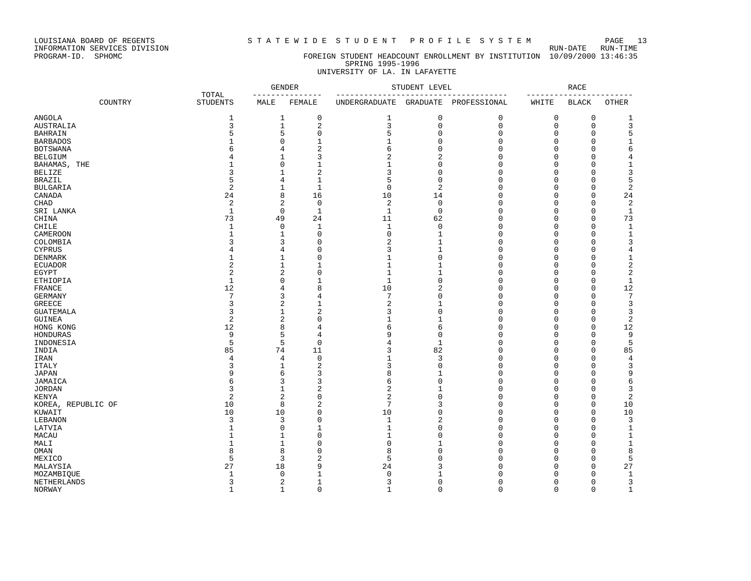LOUISIANA BOARD OF REGENTS STATEWIDE STUDENT PROFILE SYSTEM PAGE 13

INFORMATION SERVICES DIVISION RUN-DATE RUN-TIME

### PROGRAM-ID. SPHOMC FOREIGN STUDENT HEADCOUNT ENROLLMENT BY INSTITUTION 10/09/2000 13:46:35 SPRING 1995-1996 UNIVERSITY OF LA. IN LAFAYETTE

|                    |         |                          | <b>GENDER</b><br>$- - - - -$<br>$- - -$ |                         | STUDENT LEVEL<br>------------------- |                 |              | <b>RACE</b> |              |                |  |
|--------------------|---------|--------------------------|-----------------------------------------|-------------------------|--------------------------------------|-----------------|--------------|-------------|--------------|----------------|--|
|                    | COUNTRY | TOTAL<br><b>STUDENTS</b> | MALE                                    | FEMALE                  | UNDERGRADUATE                        | <b>GRADUATE</b> | PROFESSIONAL | WHITE       | <b>BLACK</b> | <b>OTHER</b>   |  |
| <b>ANGOLA</b>      |         | 1                        |                                         | 1<br>0                  | $\mathbf{1}$                         | 0               | 0            | 0           | 0            | 1              |  |
| <b>AUSTRALIA</b>   |         | 3                        | $\mathbf 1$                             | $\overline{a}$          | 3                                    | $\mathbf 0$     | 0            | $\mathbf 0$ | 0            | 3              |  |
| <b>BAHRAIN</b>     |         | 5                        | 5                                       | $\mathbf 0$             | 5                                    | $\mathbf 0$     | 0            | 0           | 0            | 5              |  |
| <b>BARBADOS</b>    |         |                          | $\mathbf 0$                             | $\mathbf{1}$            | $\mathbf{1}$                         | $\mathbf 0$     | 0            | $\Omega$    | $\Omega$     | $\mathbf{1}$   |  |
| <b>BOTSWANA</b>    |         | 6                        | 4                                       | $\overline{c}$          | 6                                    | $\mathbf 0$     | $\Omega$     | $\Omega$    | 0            | 6              |  |
| <b>BELGIUM</b>     |         |                          | 1                                       | 3                       | $\overline{2}$                       | $\overline{2}$  | 0            | 0           | 0            | $\overline{4}$ |  |
| BAHAMAS, THE       |         |                          | 0                                       | 1                       | 1                                    | 0               | 0            | 0           | 0            | $\mathbf{1}$   |  |
| <b>BELIZE</b>      |         | 3                        | 1                                       | $\overline{2}$          | 3                                    | $\mathbf 0$     | 0            | 0           | 0            | 3              |  |
| <b>BRAZIL</b>      |         | 5                        | 4                                       | $\mathbf{1}$            | 5                                    | 0               | 0            | $\Omega$    | Ω            | 5              |  |
|                    |         | $\overline{2}$           |                                         | $\mathbf{1}$            | $\mathbf 0$                          | $\overline{2}$  | 0            | $\Omega$    | Ω            |                |  |
| <b>BULGARIA</b>    |         |                          | 1                                       |                         |                                      |                 |              |             | $\Omega$     | $\sqrt{2}$     |  |
| CANADA             |         | 24                       |                                         | 8<br>16                 | 10                                   | 14              | $\Omega$     | $\Omega$    |              | 24             |  |
| CHAD               |         | $\overline{2}$           | $\overline{2}$                          | $\mathbf 0$             | 2                                    | $\mathbf 0$     | 0            | 0           | 0            | 2              |  |
| SRI LANKA          |         | $\mathbf{1}$             |                                         | 0<br>$\mathbf{1}$       | $\mathbf{1}$                         | $\mathsf 0$     | 0            | 0           | 0            | $\mathbf 1$    |  |
| CHINA              |         | 73                       | 49                                      | 24                      | 11                                   | 62              | 0            | $\mathbf 0$ | $\Omega$     | 73             |  |
| CHILE              |         | $\mathbf{1}$             |                                         | 0<br>1                  | $\mathbf{1}$                         | 0               | 0            | 0           | 0            | $\mathbf 1$    |  |
| CAMEROON           |         | 1                        | 1                                       | $\Omega$                | $\mathbf 0$                          | 1               | $\Omega$     | $\Omega$    | Ω            | $\mathbf{1}$   |  |
| COLOMBIA           |         | 3                        | 3                                       | $\mathbf 0$             | 2                                    | $\mathbf{1}$    | 0            | 0           | 0            | 3              |  |
| <b>CYPRUS</b>      |         | 4                        | 4                                       | $\mathbf 0$             | 3                                    | $\mathbf{1}$    | 0            | 0           | 0            | $\overline{4}$ |  |
| DENMARK            |         | 1                        | 1                                       | $\mathbf 0$             | $\mathbf{1}$                         | $\mathbf 0$     | 0            | $\Omega$    | 0            | $\mathbf 1$    |  |
| <b>ECUADOR</b>     |         | 2                        | 1                                       | 1                       | $\mathbf{1}$                         | $\mathbf{1}$    | 0            | $\Omega$    | $\Omega$     | $\overline{c}$ |  |
| EGYPT              |         | $\overline{c}$           | $\overline{2}$                          | $\mathbf 0$             | $\mathbf{1}$                         | $\mathbf{1}$    | 0            | 0           | 0            | $\overline{2}$ |  |
| ETHIOPIA           |         | $\mathbf{1}$             | $\mathbf 0$                             | $\mathbf{1}$            | $\mathbf{1}$                         | $\mathbf 0$     | 0            | $\mathbf 0$ | 0            | $\mathbf 1$    |  |
| FRANCE             |         | 12                       | $\overline{4}$                          | 8                       | 10                                   | $\overline{2}$  | $\Omega$     | 0           | 0            | 12             |  |
| <b>GERMANY</b>     |         | 7                        | 3                                       | 4                       | $\overline{7}$                       | $\mathbf 0$     | 0            | 0           | 0            | $\overline{7}$ |  |
| <b>GREECE</b>      |         | 3                        |                                         | $\overline{c}$<br>1     | 2                                    | $\mathbf{1}$    | 0            | 0           | 0            | 3              |  |
| <b>GUATEMALA</b>   |         | 3                        | 1                                       | $\overline{2}$          | 3                                    | $\mathbf 0$     | 0            | 0           | Ω            | 3              |  |
| <b>GUINEA</b>      |         | $\overline{2}$           | $\overline{2}$                          | $\mathbf 0$             | 1                                    | 1               | 0            | 0           | 0            | $\overline{2}$ |  |
| HONG KONG          |         | 12                       | 8                                       | $\overline{4}$          | 6                                    | 6               | $\Omega$     | $\Omega$    | O            | 12             |  |
| HONDURAS           |         | 9                        | 5                                       | 4                       | 9                                    | $\mathbf 0$     | 0            | $\Omega$    | $\Omega$     | 9              |  |
| INDONESIA          |         | 5                        | 5                                       | $\mathbf 0$             | 4                                    | $\mathbf{1}$    | 0            | 0           | 0            | 5              |  |
| INDIA              |         | 85                       | 74                                      | 11                      | 3                                    | 82              | 0            | $\mathbf 0$ | 0            | 85             |  |
| IRAN               |         | 4                        | $\overline{4}$                          | $\mathbf 0$             | $\mathbf{1}$                         | 3               | 0            | $\mathbf 0$ | $\Omega$     | $\bf 4$        |  |
| <b>ITALY</b>       |         | 3                        | 1                                       | $\overline{2}$          | 3                                    | $\mathbf 0$     | 0            | 0           | $\Omega$     | 3              |  |
| JAPAN              |         | 9                        |                                         | 3<br>6                  | 8                                    | $\mathbf{1}$    | 0            | 0           | Ω            | 9              |  |
| JAMAICA            |         | 6                        | 3                                       | 3                       | 6                                    | $\mathbf 0$     | 0            | $\Omega$    | Ω            | 6              |  |
|                    |         | 3                        | 1                                       | $\overline{2}$          | 2                                    | $\mathbf{1}$    | 0            |             | 0            | 3              |  |
| <b>JORDAN</b>      |         |                          |                                         | $\mathbf 0$             |                                      | $\mathbf 0$     |              | 0           |              |                |  |
| KENYA              |         | $\overline{2}$           |                                         | $\overline{c}$          | $\overline{2}$<br>7                  | 3               | 0            | $\Omega$    | 0            | $\overline{c}$ |  |
| KOREA, REPUBLIC OF |         | 10                       | 8                                       | $\overline{2}$          |                                      |                 | 0            | $\Omega$    | 0            | 10             |  |
| KUWAIT             |         | 10                       | 10                                      | $\mathbf 0$             | 10                                   | $\mathsf 0$     | 0            | 0           | $\Omega$     | 10             |  |
| LEBANON            |         | 3                        | 3                                       | $\mathbf 0$             | $\mathbf{1}$                         | $\overline{a}$  | 0            | $\mathbf 0$ | $\Omega$     | 3              |  |
| LATVIA             |         | $\mathbf{1}$             | $\mathbf 0$                             | $\mathbf{1}$            | $\mathbf{1}$                         | $\mathbf 0$     | $\Omega$     | $\Omega$    | 0            | $\mathbf 1$    |  |
| MACAU              |         | $\mathbf{1}$             | 1                                       | $\mathbf 0$             | 1                                    | 0               | 0            | 0           | 0            | $\mathbf 1$    |  |
| MALI               |         | 1                        | 1                                       | $\mathbf 0$             | $\Omega$                             | $\mathbf{1}$    | 0            | $\Omega$    | 0            | 1              |  |
| OMAN               |         | 8                        | 8                                       | $\mathbf 0$             | 8                                    | $\mathbf 0$     | 0            | 0           | 0            | 8              |  |
| MEXICO             |         | 5                        | 3                                       | $\overline{2}$          | 5                                    | 0               | 0            | $\Omega$    | Ω            | 5              |  |
| MALAYSIA           |         | 27                       | 18                                      | 9                       | 24                                   | 3               | $\Omega$     | $\Omega$    | $\Omega$     | 27             |  |
| MOZAMBIQUE         |         | $\mathbf{1}$             | $\Omega$                                | $\mathbf{1}$            | $\mathbf 0$                          | $\mathbf{1}$    | 0            | $\Omega$    | 0            | $\mathbf{1}$   |  |
| NETHERLANDS        |         | 3                        | $\overline{c}$                          | $\mathbf{1}$            | 3                                    | 0               | 0            | 0           | 0            | 3              |  |
| NORWAY             |         | $\mathbf{1}$             |                                         | $\mathbf 1$<br>$\Omega$ | $\mathbf{1}$                         | $\Omega$        | $\Omega$     | $\Omega$    | $\Omega$     | $1\,$          |  |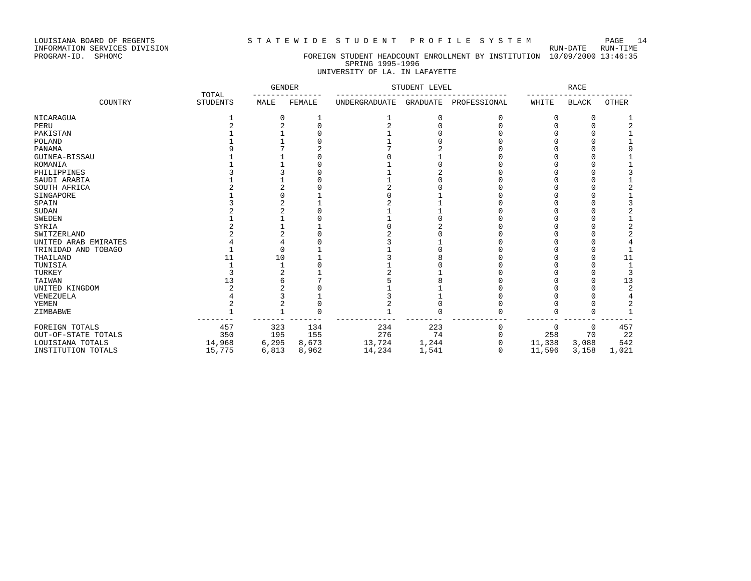### LOUISIANA BOARD OF REGENTS S T A T E W I D E S T U D E N T P R O F I L E S Y S T E M PAGE 14

## PROGRAM-ID. SPHOMC FOREIGN STUDENT HEADCOUNT ENROLLMENT BY INSTITUTION 10/09/2000 13:46:35 SPRING 1995-1996

## UNIVERSITY OF LA. IN LAFAYETTE

|                      | TOTAL           |       | <b>GENDER</b> | STUDENT LEVEL        |          | <b>RACE</b>  |        |              |                |
|----------------------|-----------------|-------|---------------|----------------------|----------|--------------|--------|--------------|----------------|
| COUNTRY              | <b>STUDENTS</b> | MALE  | FEMALE        | <b>UNDERGRADUATE</b> | GRADUATE | PROFESSIONAL | WHITE  | <b>BLACK</b> | <b>OTHER</b>   |
| NICARAGUA            |                 |       |               |                      |          | 0            | C      | 0            |                |
| PERU                 |                 |       |               |                      |          |              |        |              |                |
| PAKISTAN             |                 |       |               |                      |          |              |        |              |                |
| POLAND               |                 |       |               |                      |          |              |        |              |                |
| PANAMA               |                 |       |               |                      |          |              |        |              |                |
| GUINEA-BISSAU        |                 |       |               |                      |          |              |        |              |                |
| ROMANIA              |                 |       |               |                      |          |              |        |              |                |
| PHILIPPINES          |                 |       |               |                      |          |              |        |              |                |
| SAUDI ARABIA         |                 |       |               |                      |          |              |        |              |                |
| SOUTH AFRICA         |                 |       |               |                      |          |              |        |              |                |
| SINGAPORE            |                 |       |               |                      |          |              |        |              |                |
| SPAIN                |                 |       |               |                      |          |              |        |              |                |
| <b>SUDAN</b>         |                 |       |               |                      |          |              |        |              |                |
| <b>SWEDEN</b>        |                 |       |               |                      |          |              |        |              |                |
| SYRIA                |                 |       |               |                      |          |              |        |              |                |
| SWITZERLAND          |                 |       |               |                      |          |              |        |              |                |
| UNITED ARAB EMIRATES |                 |       |               |                      |          |              |        |              |                |
| TRINIDAD AND TOBAGO  |                 |       |               |                      |          |              |        |              |                |
| THAILAND             |                 | 10    |               |                      |          |              |        |              | 11             |
| TUNISIA              |                 |       |               |                      |          |              |        |              |                |
| TURKEY               |                 |       |               |                      |          |              |        |              |                |
| TAIWAN               | 13              |       |               |                      |          |              |        |              | 13             |
| UNITED KINGDOM       |                 |       |               |                      |          |              |        |              | $\overline{a}$ |
| VENEZUELA            |                 |       |               |                      |          |              |        |              |                |
| YEMEN                |                 |       |               |                      |          |              |        |              | 2              |
| ZIMBABWE             |                 |       |               |                      |          |              |        | U            |                |
| FOREIGN TOTALS       | 457             | 323   | 134           | 234                  | 223      |              | 0      | $\mathbf 0$  | 457            |
| OUT-OF-STATE TOTALS  | 350             | 195   | 155           | 276                  | 74       |              | 258    | 70           | 22             |
| LOUISIANA TOTALS     | 14,968          | 6,295 | 8,673         | 13,724               | 1,244    |              | 11,338 | 3,088        | 542            |
| INSTITUTION TOTALS   | 15,775          | 6,813 | 8,962         | 14,234               | 1,541    | U            | 11,596 | 3,158        | 1,021          |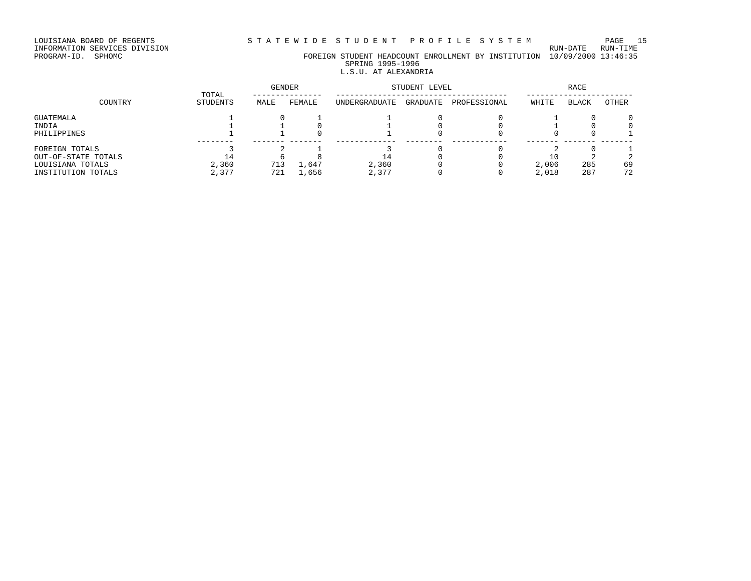# INFORMATION SERVICES DIVISION RUN-DATE RUN-TIME

PROGRAM-ID. SPHOMC FOREIGN STUDENT HEADCOUNT ENROLLMENT BY INSTITUTION 10/09/2000 13:46:35 SPRING 1995-1996

## L.S.U. AT ALEXANDRIA

|                     | TOTAL    | <b>GENDER</b> |        | STUDENT LEVEL        |          | RACE         |       |              |       |
|---------------------|----------|---------------|--------|----------------------|----------|--------------|-------|--------------|-------|
| COUNTRY             | STUDENTS | MALE          | FEMALE | <b>UNDERGRADUATE</b> | GRADUATE | PROFESSIONAL | WHITE | <b>BLACK</b> | OTHER |
| GUATEMALA           |          |               |        |                      |          |              |       |              |       |
| INDIA               |          |               |        |                      |          |              |       |              |       |
| PHILIPPINES         |          |               |        |                      |          |              |       |              |       |
| FOREIGN TOTALS      |          |               |        |                      |          |              |       |              |       |
| OUT-OF-STATE TOTALS | 14       |               |        | - 4                  |          |              | 10    |              |       |
| LOUISIANA TOTALS    | 2,360    | 713           | 1,647  | 2,360                |          |              | 2,006 | 285          | 69    |
| INSTITUTION TOTALS  | 2,377    | 721           | 1,656  | 2,377                |          |              | 2,018 | 287          | 72    |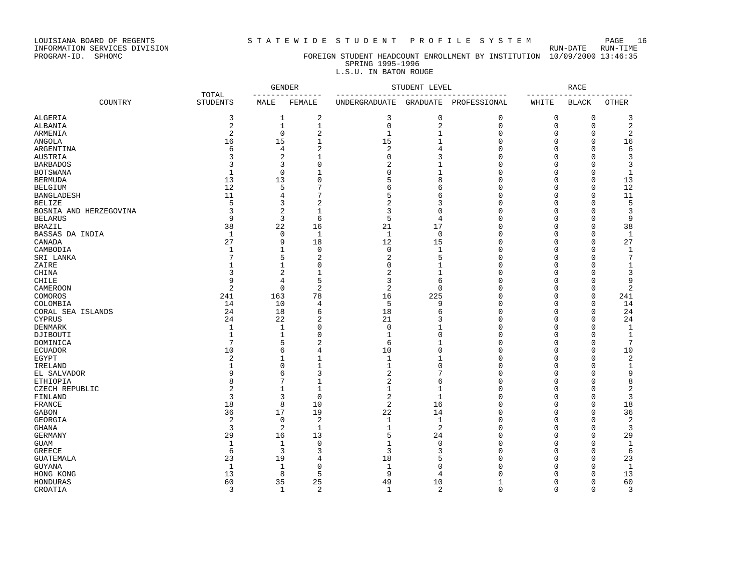### LOUISIANA BOARD OF REGENTS S T A T E W I D E S T U D E N T P R O F I L E S Y S T E M PAGE 16

## PROGRAM-ID. SPHOMC FOREIGN STUDENT HEADCOUNT ENROLLMENT BY INSTITUTION 10/09/2000 13:46:35 SPRING 1995-1996

## L.S.U. IN BATON ROUGE

|                        |                          | <b>GENDER</b>  |                   | STUDENT LEVEL  |                | <b>RACE</b>  |             |              |                |
|------------------------|--------------------------|----------------|-------------------|----------------|----------------|--------------|-------------|--------------|----------------|
| COUNTRY                | TOTAL<br><b>STUDENTS</b> | MALE           | FEMALE            | UNDERGRADUATE  | GRADUATE       | PROFESSIONAL | WHITE       | <b>BLACK</b> | <b>OTHER</b>   |
| ALGERIA                | 3                        | 1              | 2                 | 3              | $\mathbf 0$    | 0            | 0           | 0            | 3              |
| ALBANIA                | 2                        | $\mathbf{1}$   | $\mathbf{1}$      | $\mathbf 0$    | $\overline{2}$ | $\mathbf{0}$ | $\mathbf 0$ | $\mathbf 0$  | $\sqrt{2}$     |
| ARMENIA                | $\overline{2}$           | $\mathbf 0$    | $\overline{c}$    | $\mathbf{1}$   | $\mathbf{1}$   | $\mathbf{0}$ | 0           | $\mathbf 0$  | $\overline{2}$ |
| <b>ANGOLA</b>          | 16                       | 15             | $\mathbf{1}$      | 15             | 1              | $\Omega$     | $\Omega$    | $\mathbf 0$  | 16             |
| ARGENTINA              | 6                        | $\overline{4}$ | $\overline{2}$    | $\sqrt{2}$     | $\overline{4}$ | $\mathbf{0}$ | $\Omega$    | $\mathbf 0$  | $\sqrt{6}$     |
| AUSTRIA                |                          | $\overline{2}$ | $\mathbf{1}$      | $\mathbf 0$    | 3              | $\mathbf{0}$ | $\Omega$    | $\mathbf 0$  | 3              |
| <b>BARBADOS</b>        |                          | 3              | 0                 | $\overline{2}$ |                | $\Omega$     | $\Omega$    | 0            | 3              |
| <b>BOTSWANA</b>        | $\mathbf{1}$             | $\Omega$       | $\mathbf{1}$      | $\Omega$       |                | $\Omega$     | $\Omega$    | $\Omega$     | $\mathbf{1}$   |
| <b>BERMUDA</b>         | 13                       | 13             | $\Omega$          | 5              | 8              | $\Omega$     | $\Omega$    | 0            | 13             |
| <b>BELGIUM</b>         | 12                       | 5              | 7                 | 6              | 6              | $\Omega$     | $\Omega$    | $\Omega$     | 12             |
| <b>BANGLADESH</b>      | 11                       | 4              | 7                 | 5              | 6              | $\Omega$     | $\Omega$    | $\Omega$     | 11             |
| <b>BELIZE</b>          | 5                        | 3              | $\overline{c}$    | $\overline{2}$ | 3              | $\Omega$     | $\Omega$    | $\mathbf 0$  | 5              |
|                        | 3                        | $\overline{c}$ |                   | 3              | $\Omega$       | $\mathbf{0}$ | $\Omega$    | $\mathbf 0$  | 3              |
| BOSNIA AND HERZEGOVINA | 9                        | 3              | $\mathbf{1}$<br>6 | 5              | $\overline{4}$ | $\mathbf{0}$ | $\Omega$    | $\mathbf 0$  |                |
| <b>BELARUS</b>         |                          |                |                   |                |                |              |             |              | 9              |
| <b>BRAZIL</b>          | 38                       | 22             | 16                | 21             | 17             | $\mathbf{0}$ | $\Omega$    | $\mathbf 0$  | 38             |
| BASSAS DA INDIA        | 1                        | $\mathbf 0$    | 1                 | $\mathbf{1}$   | $\Omega$       | $\Omega$     | $\Omega$    | $\Omega$     | 1              |
| CANADA                 | 27                       | 9              | 18                | 12             | 15             | $\mathbf{0}$ | $\Omega$    | $\mathbf 0$  | 27             |
| CAMBODIA               | $\mathbf{1}$             | $\mathbf{1}$   | $\Omega$          | $\mathbf 0$    | 1              | $\mathbf{0}$ | $\Omega$    | 0            | 1              |
| SRI LANKA              |                          | 5              | 2                 | 2              | 5              | $\mathbf{0}$ | $\Omega$    | $\mathbf 0$  | $\overline{7}$ |
| ZAIRE                  |                          | $\mathbf{1}$   | $\Omega$          | $\Omega$       | 1              | $\Omega$     | $\Omega$    | $\Omega$     | $\mathbf{1}$   |
| CHINA                  | 3                        | $\overline{2}$ | $\mathbf{1}$      | $\overline{2}$ | 1              | $\mathbf{0}$ | $\Omega$    | $\mathbf 0$  | 3              |
| CHILE                  | 9                        | $\overline{4}$ | 5                 | 3              | 6              | $\Omega$     | $\Omega$    | $\mathbf 0$  | 9              |
| CAMEROON               | $\overline{2}$           | $\mathbf 0$    | $\overline{a}$    | $\overline{2}$ | $\mathbf 0$    | $\mathbf{0}$ | $\Omega$    | $\mathbf 0$  | $\overline{2}$ |
| COMOROS                | 241                      | 163            | 78                | 16             | 225            | $\mathbf{0}$ | $\Omega$    | $\mathbf 0$  | 241            |
| COLOMBIA               | 14                       | 10             | 4                 | 5              | 9              | $\mathbf{0}$ | $\Omega$    | 0            | 14             |
| CORAL SEA ISLANDS      | 24                       | 18             | 6                 | 18             | 6              | $\mathbf{0}$ | $\Omega$    | 0            | 24             |
| <b>CYPRUS</b>          | 24                       | 22             | 2                 | 21             | 3              | $\mathbf{0}$ | $\Omega$    | $\mathbf 0$  | 24             |
| <b>DENMARK</b>         | $\mathbf{1}$             | $\mathbf{1}$   | $\Omega$          | $\Omega$       | 1              | $\Omega$     | $\Omega$    | $\Omega$     | $\mathbf{1}$   |
| DJIBOUTI               | $\mathbf{1}$             | 1              | $\Omega$          | $\mathbf{1}$   | $\Omega$       | $\Omega$     | $\Omega$    | $\mathbf 0$  | $\mathbf{1}$   |
| DOMINICA               | 7                        | 5              | 2                 | 6              | 1              | $\mathbf 0$  | 0           | 0            | $\overline{7}$ |
| <b>ECUADOR</b>         | 10                       | 6              | 4                 | 10             | $\Omega$       | $\Omega$     | $\Omega$    | $\mathbf 0$  | 10             |
| EGYPT                  | $\overline{c}$           | $\mathbf{1}$   | $\mathbf{1}$      | $\mathbf{1}$   | 1              | $\mathbf{0}$ | $\Omega$    | $\mathbf 0$  | $\sqrt{2}$     |
| IRELAND                |                          | $\mathbf 0$    | $\mathbf{1}$      | $\mathbf{1}$   | $\Omega$       | $\Omega$     | $\Omega$    | $\mathbf 0$  | $\mathbf{1}$   |
| EL SALVADOR            | 9                        | 6              | 3                 | 2              | 7              | $\mathbf 0$  | $\Omega$    | $\Omega$     | 9              |
| ETHIOPIA               | 8                        | 7              | $\mathbf{1}$      | $\overline{2}$ | 6              | $\mathbf{0}$ | $\Omega$    | $\Omega$     | 8              |
| CZECH REPUBLIC         | $\overline{2}$           | $\mathbf{1}$   | $\mathbf{1}$      | $\mathbf{1}$   | 1              | $\Omega$     | $\Omega$    | 0            | $\overline{2}$ |
| FINLAND                | 3                        | 3              | $\mathbf 0$       | $\overline{2}$ | $\mathbf{1}$   | $\Omega$     | $\Omega$    | $\Omega$     | 3              |
| FRANCE                 | 18                       | 8              | 10                | $\overline{2}$ | 16             | $\Omega$     | $\Omega$    | $\Omega$     | 18             |
| GABON                  | 36                       | 17             | 19                | 22             | 14             | 0            | $\Omega$    | $\mathbf 0$  | 36             |
| GEORGIA                | $\overline{c}$           | $\mathbf 0$    | $\overline{2}$    | $\mathbf{1}$   | $\mathbf{1}$   | $\mathbf{0}$ | $\Omega$    | $\mathbf 0$  | $\overline{2}$ |
| GHANA                  | 3                        | $\overline{2}$ | $\mathbf{1}$      | $1\,$          | $\overline{2}$ | $\mathbf{0}$ | $\Omega$    | $\mathbf 0$  | 3              |
| <b>GERMANY</b>         | 29                       | 16             | 13                | 5              | 24             | $\mathbf 0$  | $\Omega$    | 0            | 29             |
| <b>GUAM</b>            | $\mathbf{1}$             | $\mathbf{1}$   | $\circ$           | $\mathbf{1}$   | $\Omega$       | $\mathbf{0}$ | $\Omega$    | $\mathbf 0$  | 1              |
| <b>GREECE</b>          | 6                        | 3              | 3                 | 3              | 3              | $\mathbf{0}$ | $\Omega$    | $\mathbf 0$  | 6              |
| <b>GUATEMALA</b>       | 23                       | 19             | 4                 | 18             | 5              | $\Omega$     | Ω           | $\mathbf 0$  | 23             |
| <b>GUYANA</b>          | $\mathbf{1}$             | $\mathbf{1}$   | $\Omega$          | $\mathbf{1}$   | $\Omega$       | $\Omega$     | $\Omega$    | $\Omega$     | $\mathbf{1}$   |
| HONG KONG              | 13                       | 8              | 5                 | 9              | $\overline{4}$ | $\Omega$     | Ω           | $\Omega$     | 13             |
| HONDURAS               | 60                       | 35             | 25                | 49             | 10             | 1            | $\Omega$    | 0            | 60             |
| CROATIA                | 3                        | $\mathbf{1}$   | $\overline{2}$    | $\mathbf{1}$   | $\overline{a}$ | $\Omega$     | $\Omega$    | $\Omega$     | $\overline{3}$ |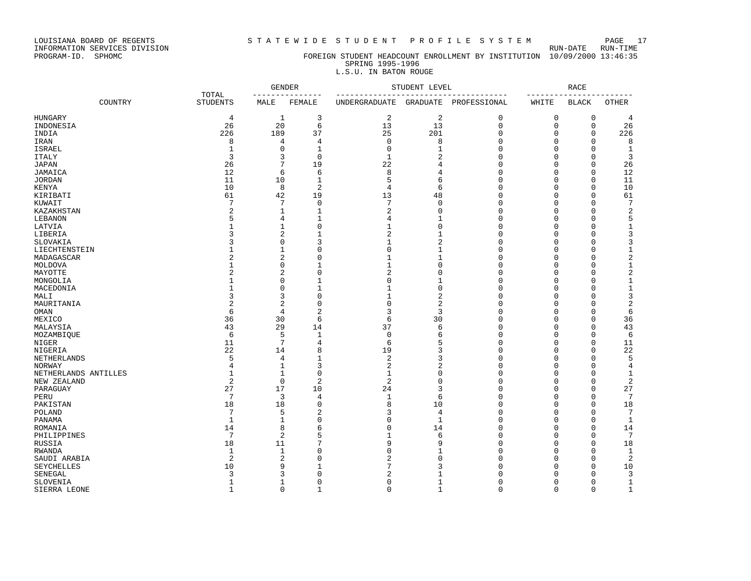INFORMATION SERVICES DIVISION RUN-DATE RUN-TIME

## PROGRAM-ID. SPHOMC FOREIGN STUDENT HEADCOUNT ENROLLMENT BY INSTITUTION 10/09/2000 13:46:35 SPRING 1995-1996

## L.S.U. IN BATON ROUGE

|                       |                          | <b>GENDER</b>   |                | STUDENT LEVEL<br>---------- |                |              | <b>RACE</b><br>---- |              |                 |
|-----------------------|--------------------------|-----------------|----------------|-----------------------------|----------------|--------------|---------------------|--------------|-----------------|
| COUNTRY               | TOTAL<br><b>STUDENTS</b> | MALE            | FEMALE         | UNDERGRADUATE               | GRADUATE       | PROFESSIONAL | WHITE               | <b>BLACK</b> | <b>OTHER</b>    |
| <b>HUNGARY</b>        | 4                        | 1               | 3              | 2                           | $\sqrt{2}$     | 0            | $\mathbf 0$         | 0            | 4               |
| INDONESIA             | 26                       | 20              | 6              | 13                          | 13             | $\mathbf 0$  | 0                   | $\mathbf 0$  | 26              |
| INDIA                 | 226                      | 189             | 37             | 25                          | 201            | $\mathbf 0$  | 0                   | $\mathbf 0$  | 226             |
| IRAN                  | 8                        | $\overline{4}$  | 4              | $\Omega$                    | 8              | $\mathbf 0$  | 0                   | $\Omega$     | 8               |
| <b>ISRAEL</b>         | $\mathbf{1}$             | $\mathbf 0$     | $\mathbf{1}$   | $\mathbf 0$                 | $\mathbf{1}$   | $\Omega$     | 0                   | $\mathbf 0$  | $\mathbf{1}$    |
| <b>ITALY</b>          | 3                        | 3               | 0              | $\mathbf{1}$                | $\overline{c}$ | $\mathbf 0$  | 0                   | $\mathbf 0$  | 3               |
| <b>JAPAN</b>          | 26                       | 7               | 19             | 22                          | 4              | $\Omega$     | 0                   | $\mathbf 0$  | 26              |
| JAMAICA               | 12                       | 6               | 6              | 8                           | 4              | $\Omega$     | 0                   | $\mathbf 0$  | 12              |
| <b>JORDAN</b>         | 11                       | 10              | $\mathbf{1}$   | 5                           | 6              | $\Omega$     | 0                   | 0            | 11              |
| KENYA                 | 10                       | 8               | $\overline{2}$ | 4                           | 6              | $\Omega$     | $\Omega$            | $\Omega$     | 10              |
| KIRIBATI              | 61                       | 42              | 19             | 13                          | 48             | $\Omega$     | $\Omega$            | $\Omega$     | 61              |
| KUWAIT                | 7                        | $7\phantom{.0}$ | $\mathbf 0$    | 7                           | $\mathbf 0$    | $\mathbf 0$  | 0                   | $\mathbf 0$  | $7\phantom{.0}$ |
|                       | 2                        | $\mathbf{1}$    | $\mathbf{1}$   | $\sqrt{2}$                  | $\mathbf 0$    | $\mathsf 0$  | 0                   | $\mathbf 0$  | $\sqrt{2}$      |
| KAZAKHSTAN<br>LEBANON | 5                        | $\overline{4}$  | $\mathbf{1}$   | $\overline{4}$              | $\mathbf{1}$   | $\Omega$     | 0                   | $\mathbf 0$  |                 |
|                       |                          |                 |                | $\mathbf{1}$                |                |              | 0                   | $\mathbf 0$  | 5               |
| LATVIA                |                          | $\mathbf{1}$    | $\mathbf 0$    |                             | $\mathbf 0$    | $\mathbf 0$  |                     |              | $\mathbf 1$     |
| LIBERIA               | 3                        | $\overline{2}$  | $\mathbf{1}$   | $\overline{2}$              | $\mathbf{1}$   | $\Omega$     | $\Omega$            | $\mathbf 0$  | 3               |
| SLOVAKIA              | 3                        | $\mathbf 0$     | 3              | 1                           | $\overline{c}$ | $\Omega$     | 0                   | $\mathbf 0$  | 3               |
| LIECHTENSTEIN         |                          | 1               | 0              | $\Omega$                    | $\mathbf{1}$   | $\mathbf 0$  | 0                   | $\mathbf 0$  | $\mathbf 1$     |
| MADAGASCAR            | 2                        | $\overline{2}$  | $\Omega$       | 1                           | $\mathbf{1}$   | $\Omega$     | $\Omega$            | $\mathbf 0$  | $\overline{c}$  |
| MOLDOVA               |                          | $\Omega$        | $\mathbf{1}$   | $\mathbf{1}$                | $\Omega$       | $\mathbf 0$  | $\Omega$            | $\Omega$     | $\mathbf 1$     |
| MAYOTTE               | $\overline{2}$           | $\overline{2}$  | $\mathbf 0$    | $\overline{2}$              | $\mathbf 0$    | $\Omega$     | 0                   | $\mathbf 0$  | $\overline{c}$  |
| MONGOLIA              | 1                        | $\mathbf 0$     | $\mathbf{1}$   | $\Omega$                    | $\mathbf{1}$   | $\Omega$     | 0                   | $\mathbf 0$  | $\mathbf 1$     |
| MACEDONIA             | 1                        | $\mathbf 0$     | $\mathbf{1}$   | $\mathbf{1}$                | $\mathbf 0$    | $\Omega$     | 0                   | $\mathbf 0$  | $\mathbf 1$     |
| MALI                  | 3                        | 3               | $\mathbf 0$    | $\mathbf{1}$                | $\overline{2}$ | $\Omega$     | 0                   | $\mathbf 0$  | 3               |
| MAURITANIA            | 2                        | $\overline{c}$  | $\mathbf 0$    | $\Omega$                    | $\overline{2}$ | $\mathbf 0$  | 0                   | $\mathbf 0$  | $\sqrt{2}$      |
| OMAN                  | 6                        | $\overline{4}$  | $\overline{a}$ | 3                           | 3              | $\Omega$     | O                   | $\mathbf 0$  | 6               |
| MEXICO                | 36                       | 30              | 6              | 6                           | 30             | $\mathbf{0}$ | 0                   | $\mathbf 0$  | 36              |
| MALAYSIA              | 43                       | 29              | 14             | 37                          | 6              | $\Omega$     | $\Omega$            | $\Omega$     | 43              |
| MOZAMBIQUE            | 6                        | 5               | $\mathbf{1}$   | $\Omega$                    | 6              | $\Omega$     | 0                   | $\mathbf 0$  | 6               |
| NIGER                 | 11                       | $\overline{7}$  | 4              | 6                           | 5              | $\mathsf 0$  | 0                   | 0            | 11              |
| NIGERIA               | 22                       | 14              | 8              | 19                          | 3              | $\Omega$     | 0                   | $\mathbf 0$  | 22              |
| NETHERLANDS           | 5                        | $\overline{4}$  | $\mathbf{1}$   | $\overline{2}$              | 3              | $\Omega$     | 0                   | $\mathbf 0$  | 5               |
| <b>NORWAY</b>         | 4                        | $\mathbf{1}$    | 3              | 2                           | $\overline{2}$ | $\mathbf 0$  | 0                   | $\mathbf 0$  | $\overline{4}$  |
| NETHERLANDS ANTILLES  | 1                        | $\mathbf{1}$    | $\mathbf 0$    | $\mathbf 1$                 | $\Omega$       | $\Omega$     | 0                   | $\Omega$     | 1               |
| NEW ZEALAND           | 2                        | $\mathbf 0$     | 2              | $\overline{c}$              | $\Omega$       | $\Omega$     | 0                   | $\mathbf 0$  | $\overline{2}$  |
| PARAGUAY              | 27                       | 17              | 10             | 24                          | 3              | $\Omega$     | 0                   | $\mathbf 0$  | 27              |
|                       | 7                        | 3               |                | $\mathbf 1$                 | 6              | $\Omega$     | 0                   | $\Omega$     | $7\phantom{.0}$ |
| PERU                  |                          |                 | 4              |                             |                | $\Omega$     |                     | $\Omega$     |                 |
| PAKISTAN              | 18                       | 18              | $\Omega$       | 8                           | 10             |              | 0                   |              | 18              |
| POLAND                | $\overline{7}$           | 5               | 2              | 3                           | 4              | $\Omega$     | 0                   | $\mathbf 0$  | $7\phantom{.0}$ |
| PANAMA                | $\mathbf{1}$             | $\mathbf{1}$    | $\mathbf 0$    | $\Omega$                    | $\mathbf{1}$   | $\Omega$     | $\Omega$            | $\Omega$     | $\mathbf{1}$    |
| ROMANIA               | 14                       | 8               | 6              | $\Omega$                    | 14             | $\Omega$     | 0                   | $\mathbf 0$  | 14              |
| PHILIPPINES           | 7                        | $\overline{2}$  | 5              | $\mathbf{1}$                | 6              | $\mathbf 0$  | 0                   | 0            | $7\phantom{.0}$ |
| RUSSIA                | 18                       | 11              | 7              | 9                           | 9              | $\Omega$     | 0                   | $\mathbf 0$  | 18              |
| <b>RWANDA</b>         | $\mathbf{1}$             | $\mathbf{1}$    | $\Omega$       | $\Omega$                    | $\mathbf{1}$   | $\mathbf 0$  | 0                   | $\mathbf 0$  | 1               |
| SAUDI ARABIA          | $\overline{2}$           | $\overline{2}$  | $\Omega$       | 2                           | $\Omega$       | $\Omega$     | O                   | $\mathbf 0$  | $\overline{2}$  |
| <b>SEYCHELLES</b>     | 10                       | 9               | $\mathbf{1}$   | 7                           | ζ              | $\Omega$     | O                   | $\Omega$     | 10              |
| SENEGAL               | 3                        | 3               | $\Omega$       | $\overline{a}$              | 1              | $\Omega$     | 0                   | $\Omega$     | 3               |
| SLOVENIA              | 1                        | 1               | $\mathbf 0$    | $\Omega$                    | $\mathbf{1}$   | $\Omega$     | 0                   | $\mathbf 0$  | $\mathbf{1}$    |
| SIERRA LEONE          | $\mathbf{1}$             | $\Omega$        | $\overline{1}$ | $\Omega$                    | $\mathbf{1}$   | $\Omega$     | $\Omega$            | $\Omega$     | $\mathbf{1}$    |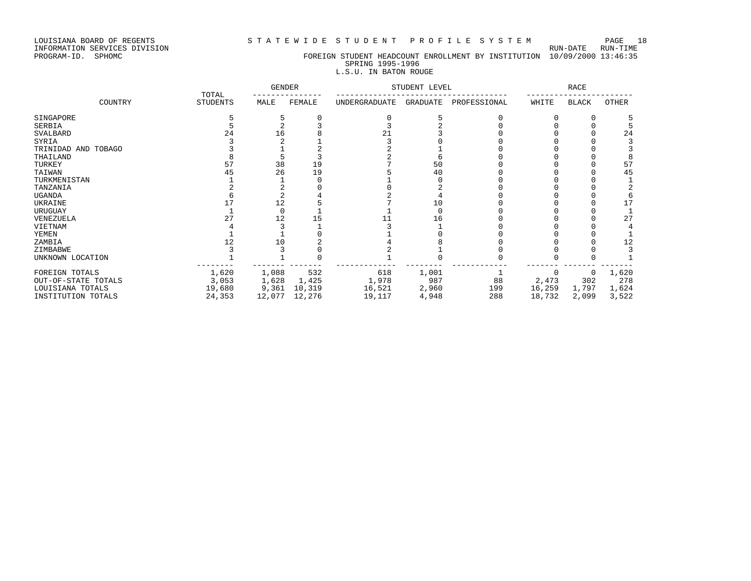### LOUISIANA BOARD OF REGENTS S T A T E W I D E S T U D E N T P R O F I L E S Y S T E M PAGE 18

## PROGRAM-ID. SPHOMC FOREIGN STUDENT HEADCOUNT ENROLLMENT BY INSTITUTION 10/09/2000 13:46:35 SPRING 1995-1996

## L.S.U. IN BATON ROUGE

|                     |                          | <b>GENDER</b> |        |               | STUDENT LEVEL |              |        | RACE         |       |
|---------------------|--------------------------|---------------|--------|---------------|---------------|--------------|--------|--------------|-------|
| COUNTRY             | TOTAL<br><b>STUDENTS</b> | MALE          | FEMALE | UNDERGRADUATE | GRADUATE      | PROFESSIONAL | WHITE  | <b>BLACK</b> | OTHER |
| SINGAPORE           |                          |               |        |               |               |              |        |              |       |
| SERBIA              |                          |               |        |               |               |              |        |              |       |
| SVALBARD            | 24                       | 16            |        | 21            |               |              |        |              | 24    |
| SYRIA               |                          |               |        |               |               |              |        |              |       |
| TRINIDAD AND TOBAGO |                          |               |        |               |               |              |        |              |       |
| THAILAND            |                          |               |        |               |               |              |        |              |       |
| TURKEY              | 57                       | 38            | 19     |               | 50            |              |        |              | 57    |
| TAIWAN              | 45                       | 26            | 19     |               | 40            |              |        |              | 45    |
| TURKMENISTAN        |                          |               |        |               |               |              |        |              |       |
| TANZANIA            |                          |               |        |               |               |              |        |              |       |
| <b>UGANDA</b>       |                          |               |        |               |               |              |        |              |       |
| UKRAINE             |                          |               |        |               | 10            |              |        |              | 17    |
| URUGUAY             |                          |               |        |               |               |              |        |              |       |
| VENEZUELA           | 27                       | 12            |        |               | 16            |              |        |              | 27    |
| VIETNAM             |                          |               |        |               |               |              |        |              |       |
| YEMEN               |                          |               |        |               |               |              |        |              |       |
| ZAMBIA              |                          |               |        |               |               |              |        |              | 12    |
| ZIMBABWE            |                          |               |        |               |               |              |        |              |       |
| UNKNOWN LOCATION    |                          |               |        |               |               |              |        |              |       |
| FOREIGN TOTALS      | 1,620                    | 1,088         | 532    | 618           | 1,001         |              |        | 0            | 1,620 |
| OUT-OF-STATE TOTALS | 3,053                    | 1,628         | 1,425  | 1,978         | 987           | 88           | 2,473  | 302          | 278   |
| LOUISIANA TOTALS    | 19,680                   | 9,361         | 10,319 | 16,521        | 2,960         | 199          | 16,259 | 1,797        | 1,624 |
| INSTITUTION TOTALS  | 24,353                   | 12,077        | 12,276 | 19,117        | 4,948         | 288          | 18,732 | 2,099        | 3,522 |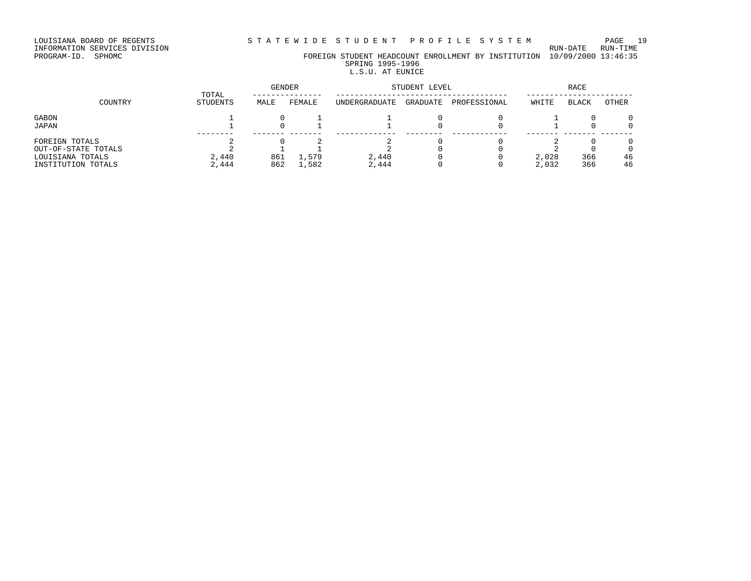# INFORMATION SERVICES DIVISION RUN-DATE RUN-TIME

PROGRAM-ID. SPHOMC FOREIGN STUDENT HEADCOUNT ENROLLMENT BY INSTITUTION 10/09/2000 13:46:35 SPRING 1995-1996 L.S.U. AT EUNICE

## GENDER STUDENT LEVEL RACE TOTAL --------------- ------------------------------------- ----------------------- COUNTRY STUDENTS MALE FEMALE UNDERGRADUATE GRADUATE PROFESSIONAL WHITE BLACK OTHER  $\begin{array}{cccccccccccccccccc} \text{GABON} & & & & & 1 & & 0 & 1 & 1 & 0 & 0 & 1 & 0 & 0 & 1 & 0 & 0 \end{array}$ JAPAN 1 0 1 1 0 0 1 0 0 -------- ------- ------- ------------- -------- ------------ ------- ------- ------- FOREIGN TOTALS 2 0 2 2 0 0 2 0 0  $\texttt{OUT}-\texttt{OF}-\texttt{STATE}$  TOTALS 2 1 1 2 0 0 2 0 0 LOUISIANA TOTALS 2,440 861 1,579 2,440 0 0 2,028 366 46 INSTITUTION TOTALS 2,444 862 1,582 2,444 0 0 2,032 366 46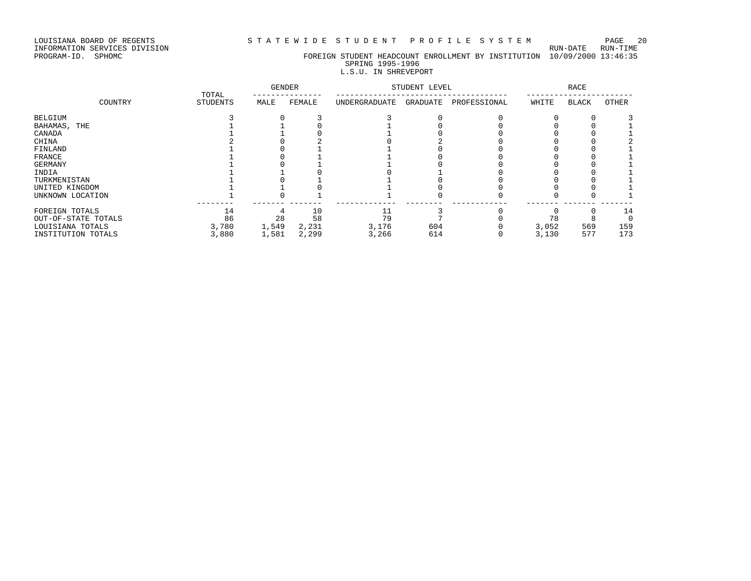INFORMATION SERVICES DIVISION RUN-DATE RUN-TIME

## PROGRAM-ID. SPHOMC FOREIGN STUDENT HEADCOUNT ENROLLMENT BY INSTITUTION 10/09/2000 13:46:35 SPRING 1995-1996

## L.S.U. IN SHREVEPORT

|                     | TOTAL           | <b>GENDER</b> |        |               | STUDENT LEVEL |              | <b>RACE</b> |              |       |  |
|---------------------|-----------------|---------------|--------|---------------|---------------|--------------|-------------|--------------|-------|--|
| COUNTRY             | <b>STUDENTS</b> | MALE          | FEMALE | UNDERGRADUATE | GRADUATE      | PROFESSIONAL | WHITE       | <b>BLACK</b> | OTHER |  |
| BELGIUM             |                 |               |        |               |               |              |             |              |       |  |
| BAHAMAS, THE        |                 |               |        |               |               |              |             |              |       |  |
| CANADA              |                 |               |        |               |               |              |             |              |       |  |
| CHINA               |                 |               |        |               |               |              |             |              |       |  |
| FINLAND             |                 |               |        |               |               |              |             |              |       |  |
| FRANCE              |                 |               |        |               |               |              |             |              |       |  |
| GERMANY             |                 |               |        |               |               |              |             |              |       |  |
| INDIA               |                 |               |        |               |               |              |             |              |       |  |
| TURKMENISTAN        |                 |               |        |               |               |              |             |              |       |  |
| UNITED KINGDOM      |                 |               |        |               |               |              |             |              |       |  |
| UNKNOWN LOCATION    |                 |               |        |               |               |              |             |              |       |  |
| FOREIGN TOTALS      | 14              |               | 10     |               |               |              |             |              | 14    |  |
| OUT-OF-STATE TOTALS | 86              | 28            | 58     | 79            |               |              | 78          |              |       |  |
| LOUISIANA TOTALS    | 3,780           | 1,549         | 2,231  | 3,176         | 604           |              | 3,052       | 569          | 159   |  |
| INSTITUTION TOTALS  | 3,880           | 1,581         | 2,299  | 3,266         | 614           |              | 3,130       | 577          | 173   |  |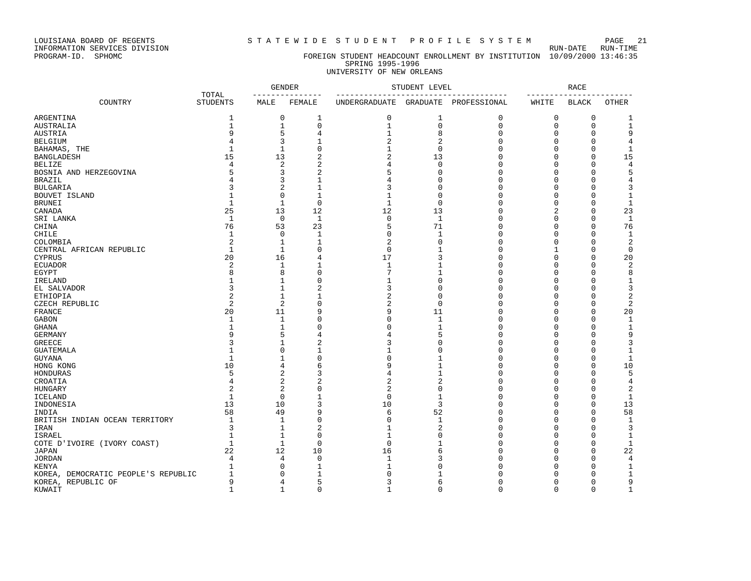LOUISIANA BOARD OF REGENTS STRITEWIDE STUDENT PROFILE SYSTEM PAGE 21<br>INFORMATION SERVICES DIVISION

INFORMATION SERVICES DIVISION<br>PROGRAM-ID. SPHOMC

### FOREIGN STUDENT HEADCOUNT ENROLLMENT BY INSTITUTION 10/09/2000 13:46:35 SPRING 1995-1996 UNIVERSITY OF NEW ORLEANS

|                                     |                          | <b>GENDER</b>  |                |                | STUDENT LEVEL  |              |              | <b>RACE</b>  |                |
|-------------------------------------|--------------------------|----------------|----------------|----------------|----------------|--------------|--------------|--------------|----------------|
| COUNTRY                             | TOTAL<br><b>STUDENTS</b> | MALE           | FEMALE         | UNDERGRADUATE  | GRADUATE       | PROFESSIONAL | WHITE        | <b>BLACK</b> | OTHER          |
| ARGENTINA                           | $\mathbf{1}$             | 0              | $\mathbf{1}$   | $\mathsf 0$    | $\mathbf{1}$   | 0            | 0            | 0            | 1              |
| <b>AUSTRALIA</b>                    | $\mathbf{1}$             | $\mathbf{1}$   | 0              | $\mathbf{1}$   | $\mathbf 0$    | $\mathsf 0$  | $\mathbf 0$  | 0            | $\mathbf{1}$   |
| <b>AUSTRIA</b>                      | 9                        | 5              | 4              | $\mathbf{1}$   | 8              | $\Omega$     | $\Omega$     | $\mathbf 0$  | 9              |
| <b>BELGIUM</b>                      | 4                        | 3              | 1              | 2              | $\overline{c}$ | $\Omega$     | $\Omega$     | $\Omega$     | 4              |
| BAHAMAS, THE                        | $\mathbf{1}$             | $\mathbf{1}$   | $\Omega$       | $\mathbf{1}$   | $\Omega$       | $\cap$       | ∩            | $\Omega$     | $\mathbf 1$    |
| <b>BANGLADESH</b>                   | 15                       | 13             | $\overline{2}$ | 2              | 13             | $\Omega$     | $\cap$       | $\mathbf 0$  | 15             |
| <b>BELIZE</b>                       | $\overline{4}$           | $\overline{c}$ | 2              | 4              | $\Omega$       | $\Omega$     | O            | $\Omega$     | $\overline{4}$ |
| BOSNIA AND HERZEGOVINA              | 5                        | 3              | 2              | 5              | $\Omega$       | $\Omega$     | $\cap$       | $\Omega$     | 5              |
| <b>BRAZIL</b>                       | 4                        | 3              | 1              | 4              | $\Omega$       | $\Omega$     | n            | $\Omega$     | 4              |
| <b>BULGARIA</b>                     | ς                        | $\overline{2}$ | $\mathbf{1}$   | 3              | $\Omega$       | $\Omega$     | U            | $\Omega$     | 3              |
| BOUVET ISLAND                       |                          | $\Omega$       | $\mathbf{1}$   | 1              | $\Omega$       | $\Omega$     | n            | $\Omega$     | 1              |
| <b>BRUNEI</b>                       | $\mathbf{1}$             | $1\,$          | $\mathbf 0$    | $\mathbf{1}$   | $\Omega$       | $\Omega$     | $\Omega$     | $\Omega$     | $1\,$          |
| CANADA                              | 25                       | 13             | 12             | 12             | 13             | $\Omega$     | 2            | $\mathbf 0$  | 23             |
| SRI LANKA                           | $\mathbf{1}$             | 0              | 1              | 0              | $\mathbf{1}$   | $\Omega$     | $\Omega$     | 0            | 1              |
| CHINA                               | 76                       | 53             | 23             | 5              | 71             | $\Omega$     | $\Omega$     | $\Omega$     | 76             |
| CHILE                               | $\mathbf{1}$             | $\Omega$       | $\mathbf{1}$   | $\Omega$       | $\mathbf{1}$   | $\Omega$     | C            | $\Omega$     | $\mathbf{1}$   |
| COLOMBIA                            | $\sqrt{2}$               | $\mathbf{1}$   | $1\,$          | 2              | $\Omega$       | $\Omega$     | $\Omega$     | $\mathbf 0$  | 2              |
| CENTRAL AFRICAN REPUBLIC            | $\mathbf{1}$             | $\mathbf{1}$   | $\Omega$       | $\mathbf 0$    |                | $\Omega$     | $\mathbf{1}$ | $\Omega$     | $\mathbf 0$    |
| <b>CYPRUS</b>                       | 20                       | 16             | 4              | 17             | 3              | $\Omega$     | $\cap$       | $\Omega$     | 20             |
| <b>ECUADOR</b>                      | $\overline{2}$           | 1              | 1              | 1              |                | $\Omega$     | n            | $\Omega$     | $\overline{2}$ |
| EGYPT                               | $\mathsf{R}$             | 8              | $\Omega$       | 7              | -1             | $\Omega$     | U            | $\Omega$     | 8              |
| IRELAND                             |                          | $\mathbf{1}$   | 0              | $\mathbf{1}$   | $\Omega$       | $\Omega$     | U            | $\Omega$     | 1              |
| EL SALVADOR                         | ζ                        | $1\,$          | 2              | 3              | $\Omega$       | $\Omega$     | C            | $\Omega$     | 3              |
| <b>ETHIOPIA</b>                     | $\overline{2}$           | $\mathbf{1}$   | $\mathbf{1}$   | $\overline{2}$ | $\Omega$       | $\Omega$     | O            | $\Omega$     | 2              |
|                                     | $\overline{2}$           | 2              | 0              | 2              | $\Omega$       | $\Omega$     | n            | 0            | 2              |
| CZECH REPUBLIC<br><b>FRANCE</b>     | 20                       | 11             | 9              | 9              | 11             | $\Omega$     | $\cap$       | $\Omega$     | 20             |
| <b>GABON</b>                        | $\mathbf{1}$             | $\mathbf{1}$   | 0              | 0              | $\mathbf{1}$   | $\Omega$     | U            | $\Omega$     |                |
|                                     |                          |                |                |                |                |              |              |              | $\mathbf{1}$   |
| <b>GHANA</b>                        |                          | $\mathbf{1}$   | $\Omega$       | $\Omega$       | $\mathbf{1}$   | $\Omega$     | $\cap$       | $\Omega$     | $\mathbf{1}$   |
| <b>GERMANY</b>                      | 9                        | 5              | 4              | 4              | 5              | $\Omega$     | C            | $\Omega$     | 9              |
| <b>GREECE</b>                       | 3                        | 1              | 2              | 3              | U              | $\Omega$     | n            | $\Omega$     | 3              |
| <b>GUATEMALA</b>                    |                          | $\mathbf 0$    | $\mathbf{1}$   | 1              | $\Omega$       | $\Omega$     |              | $\Omega$     | 1              |
| <b>GUYANA</b>                       | $\mathbf{1}$             | $\mathbf{1}$   | $\Omega$       | 0              |                | $\Omega$     | O            | $\Omega$     | $\mathbf{1}$   |
| HONG KONG                           | 10                       | 4              | 6              | 9              |                | $\Omega$     | U            | $\Omega$     | 10             |
| HONDURAS                            | 5                        | $\overline{c}$ | 3              | 4              | $\mathbf{1}$   | $\Omega$     | $\cap$       | $\Omega$     | 5              |
| CROATIA                             | 4                        | $\overline{2}$ | 2              | 2              | $\overline{a}$ | $\Omega$     | U            | $\Omega$     | 4              |
| <b>HUNGARY</b>                      | $\overline{c}$           | 2              | $\Omega$       | 2              | $\Omega$       | $\Omega$     |              | $\Omega$     | 2              |
| <b>ICELAND</b>                      | $\mathbf{1}$             | $\Omega$       | $\mathbf{1}$   | $\mathbf 0$    | $\mathbf{1}$   | $\Omega$     | n            | $\Omega$     | $\mathbf{1}$   |
| INDONESIA                           | 13                       | 10             | 3              | 10             | 3              | $\Omega$     | U            | $\Omega$     | 13             |
| INDIA                               | 58                       | 49             | 9              | 6              | 52             | $\Omega$     | C            | $\Omega$     | 58             |
| BRITISH INDIAN OCEAN TERRITORY      | $\mathbf{1}$             | 1              | $\Omega$       | $\mathbf 0$    | $\mathbf{1}$   | $\Omega$     | $\cap$       | $\Omega$     | $\mathbf 1$    |
| IRAN                                | 3                        | $\mathbf{1}$   | $\overline{a}$ | $\mathbf{1}$   | $\mathcal{D}$  | $\Omega$     | U            | $\Omega$     | 3              |
| ISRAEL                              | $\mathbf{1}$             | $\mathbf{1}$   | 0              | $\mathbf{1}$   | $\Omega$       | $\Omega$     | n            | $\Omega$     | $\mathbf 1$    |
| COTE D'IVOIRE (IVORY COAST)         | $\mathbf{1}$             | $\mathbf{1}$   | 0              | $\mathbf 0$    |                | $\Omega$     |              | $\mathbf 0$  | $\mathbf{1}$   |
| <b>JAPAN</b>                        | 22                       | 12             | 10             | 16             | 6              | $\Omega$     | U            | $\mathbf 0$  | 22             |
| <b>JORDAN</b>                       | $\overline{4}$           | $\overline{4}$ | 0              | $\mathbf{1}$   | 3              | $\Omega$     |              | $\Omega$     | 4              |
| <b>KENYA</b>                        | $\mathbf{1}$             | $\Omega$       | 1              | $\mathbf{1}$   | Λ              | $\Omega$     |              | $\Omega$     | $\mathbf{1}$   |
| KOREA, DEMOCRATIC PEOPLE'S REPUBLIC | 1                        | $\Omega$       | 1              | $\Omega$       |                | $\Omega$     |              | $\Omega$     | 1              |
| KOREA, REPUBLIC OF                  | 9                        | 4              | 5              | 3              | 6              | $\Omega$     |              | $\mathbf 0$  | 9              |
| KUWAIT                              | $\mathbf{1}$             | $\mathbf{1}$   | 0              | $\mathbf{1}$   | $\Omega$       | $\Omega$     | $\Omega$     | $\Omega$     | $\mathbf{1}$   |
|                                     |                          |                |                |                |                |              |              |              |                |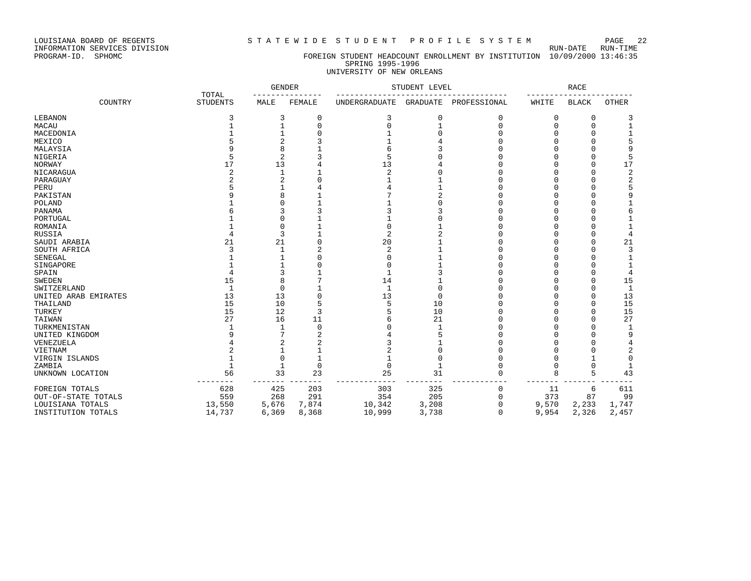LOUISIANA BOARD OF REGENTS STATEWIDE STUDENT PROFILE SYSTEM PAGE 22

## PROGRAM-ID. SPHOMC FOREIGN STUDENT HEADCOUNT ENROLLMENT BY INSTITUTION 10/09/2000 13:46:35 SPRING 1995-1996 UNIVERSITY OF NEW ORLEANS

|                      |                          | <b>GENDER</b>  |             |                      | STUDENT LEVEL |              |        | RACE         |                |  |
|----------------------|--------------------------|----------------|-------------|----------------------|---------------|--------------|--------|--------------|----------------|--|
| COUNTRY              | TOTAL<br><b>STUDENTS</b> | MALE           | FEMALE      | <b>UNDERGRADUATE</b> | GRADUATE      | PROFESSIONAL | WHITE  | <b>BLACK</b> | OTHER          |  |
| LEBANON              |                          | 3              | 0           | 3                    | $\Omega$      | 0            | 0      | $\Omega$     | 3              |  |
| MACAU                |                          |                | $\Omega$    |                      |               | $\cap$       | $\cap$ | $\bigcap$    | $\mathbf 1$    |  |
| MACEDONIA            |                          |                |             |                      |               |              |        |              | 1              |  |
| MEXICO               |                          |                |             |                      |               |              |        |              |                |  |
| MALAYSIA             |                          |                |             |                      |               |              |        |              |                |  |
| NIGERIA              |                          | $\overline{c}$ |             |                      |               |              |        |              | 5              |  |
| NORWAY               | 17                       | 13             |             | 13                   |               |              |        |              | 17             |  |
| NICARAGUA            |                          |                |             | $\overline{a}$       |               |              |        |              | 2              |  |
| PARAGUAY             |                          |                |             |                      |               |              |        |              | $\overline{c}$ |  |
| PERU                 |                          |                |             |                      |               |              |        |              |                |  |
| PAKISTAN             |                          |                |             |                      |               |              |        |              | 9              |  |
| POLAND               |                          |                |             |                      |               |              |        |              |                |  |
| PANAMA               |                          |                |             |                      |               |              |        |              | 6              |  |
| PORTUGAL             |                          |                |             |                      |               |              |        |              | 1              |  |
| ROMANIA              |                          |                |             |                      |               |              |        |              | $\mathbf{1}$   |  |
| RUSSIA               |                          | 3              |             | $\overline{c}$       |               |              |        |              | $\overline{4}$ |  |
| SAUDI ARABIA         | 21                       | 21             |             | 20                   |               |              |        |              | 21             |  |
| SOUTH AFRICA         |                          |                |             | $\overline{c}$       |               |              |        |              | 3              |  |
| SENEGAL              |                          |                |             |                      |               |              |        |              | $\mathbf{1}$   |  |
| SINGAPORE            |                          |                |             |                      |               |              |        |              | 1              |  |
| SPAIN                |                          |                |             |                      |               |              |        |              | 4              |  |
| SWEDEN               | 15                       |                |             | 14                   |               |              |        |              | 15             |  |
| SWITZERLAND          | $\mathbf{1}$             | $\Omega$       |             | 1                    |               |              |        |              | $\mathbf{1}$   |  |
| UNITED ARAB EMIRATES | 13                       | 13             | 0           | 13                   | $\Omega$      |              |        |              | 13             |  |
| THAILAND             | 15                       | 10             |             |                      | 10            |              |        |              | 15             |  |
| TURKEY               | 15                       | 12             | 3           |                      | 10            |              |        |              | 15             |  |
| TAIWAN               | 27                       | 16             | 11          |                      | 21            |              |        |              | 27             |  |
| TURKMENISTAN         |                          |                | $\Omega$    |                      |               |              |        |              | $\mathbf{1}$   |  |
| UNITED KINGDOM       |                          |                |             |                      |               |              |        |              | 9              |  |
| VENEZUELA            |                          |                |             |                      |               |              |        |              |                |  |
| VIETNAM              |                          |                |             |                      |               |              |        |              | 2              |  |
| VIRGIN ISLANDS       |                          |                |             |                      |               |              |        |              | $\Omega$       |  |
| ZAMBIA               |                          |                | $\mathbf 0$ | ∩                    |               |              | $\cap$ | ∩            | 1              |  |
| UNKNOWN LOCATION     | 56                       | 33             | 23          | 25                   | 31            | $\cap$       | 8      | 5            | 43             |  |
| FOREIGN TOTALS       | 628                      | 425            | 203         | 303                  | 325           | 0            | 11     | 6            | 611            |  |
| OUT-OF-STATE TOTALS  | 559                      | 268            | 291         | 354                  | 205           | 0            | 373    | 87           | 99             |  |
| LOUISIANA TOTALS     | 13,550                   | 5,676          | 7,874       | 10,342               | 3,208         | O            | 9,570  | 2,233        | 1,747          |  |
| INSTITUTION TOTALS   | 14,737                   | 6,369          | 8,368       | 10,999               | 3,738         | $\Omega$     | 9,954  | 2,326        | 2,457          |  |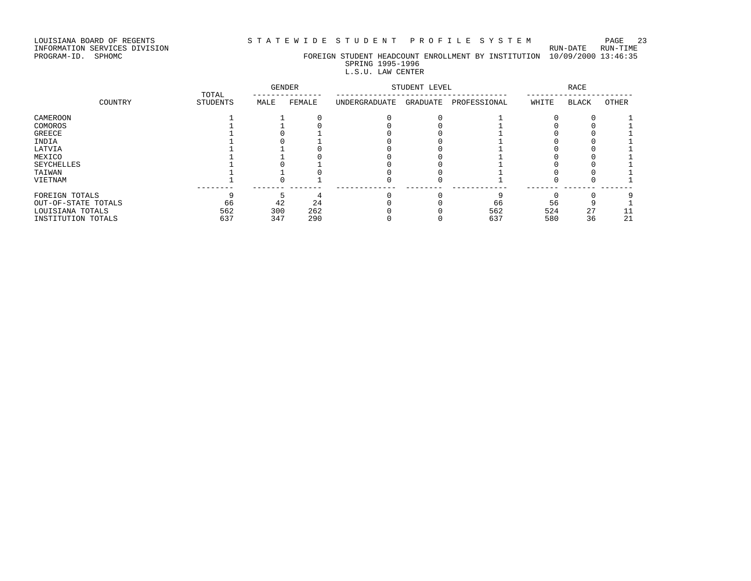LOUISIANA BOARD OF REGENTS STATEWIDE STUDENT PROFILE SYSTEM PAGE 23

## INFORMATION SERVICES DIVISION RUN-DATE RUN-TIME

PROGRAM-ID. SPHOMC FOREIGN STUDENT HEADCOUNT ENROLLMENT BY INSTITUTION 10/09/2000 13:46:35 SPRING 1995-1996

## L.S.U. LAW CENTER

|                     | TOTAL           | <b>GENDER</b> |        | STUDENT LEVEL |          | RACE         |       |       |       |
|---------------------|-----------------|---------------|--------|---------------|----------|--------------|-------|-------|-------|
| COUNTRY             | <b>STUDENTS</b> | MALE          | FEMALE | UNDERGRADUATE | GRADUATE | PROFESSIONAL | WHITE | BLACK | OTHER |
| CAMEROON            |                 |               |        |               |          |              |       |       |       |
| COMOROS             |                 |               |        |               |          |              |       |       |       |
| GREECE              |                 |               |        |               |          |              |       |       |       |
| INDIA               |                 |               |        |               |          |              |       |       |       |
| LATVIA              |                 |               |        |               |          |              |       |       |       |
| MEXICO              |                 |               |        |               |          |              |       |       |       |
| SEYCHELLES          |                 |               |        |               |          |              |       |       |       |
| TAIWAN              |                 |               |        |               |          |              |       |       |       |
| VIETNAM             |                 |               |        |               |          |              |       |       |       |
| FOREIGN TOTALS      |                 |               |        |               |          |              |       |       |       |
| OUT-OF-STATE TOTALS | 66              | 42            | 24     |               |          | 66           | 56    |       |       |
| LOUISIANA TOTALS    | 562             | 300           | 262    |               |          | 562          | 524   | 27    |       |
| INSTITUTION TOTALS  | 637             | 347           | 290    |               |          | 637          | 580   | 36    | 21    |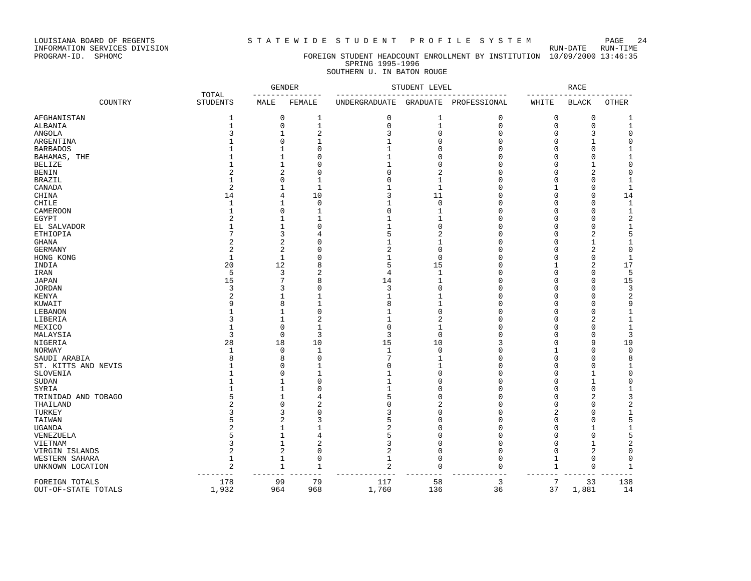LOUISIANA BOARD OF REGENTS STATEWIDE STUDENT PROFILE SYSTEM PAGE 24

INFORMATION SERVICES DIVISION RUN-DATE RUN-TIME

### PROGRAM-ID. SPHOMC FOREIGN STUDENT HEADCOUNT ENROLLMENT BY INSTITUTION 10/09/2000 13:46:35 SPRING 1995-1996 SOUTHERN U. IN BATON ROUGE

| TOTAL<br>COUNTRY<br><b>STUDENTS</b><br>MALE<br>FEMALE<br><b>UNDERGRADUATE</b><br>GRADUATE<br>PROFESSIONAL<br>WHITE<br><b>BLACK</b><br><b>OTHER</b><br>$1\,$<br>$\mathbf 0$<br>0<br>AFGHANISTAN<br>1<br>0<br>1<br>0<br>0<br>1<br>$\mathbf 1$<br>$\mathsf 0$<br>$\mathbf{1}$<br>$\mathsf 0$<br>$\mathsf 0$<br>$\mathbf 1$<br>$\mathbf 0$<br>$\mathbf 1$<br>0<br>ALBANIA<br>3<br>$\mathbf{1}$<br>$\overline{2}$<br>3<br>$\mathbf 0$<br>$\mathbf 0$<br>3<br>0<br>ANGOLA<br>0<br>$\Omega$<br>$\Omega$<br>$\mathsf 0$<br>ARGENTINA<br>1<br>1<br>$\Omega$<br>0<br>1<br>$\Omega$<br><b>BARBADOS</b><br>1<br>$\mathbf{1}$<br>$\Omega$<br>$\mathbf{1}$<br>$\Omega$<br>$\Omega$<br>$\mathbf 0$<br>1<br>$\mathbf 1$<br>BAHAMAS, THE<br>1<br>$\mathbf{1}$<br>$\Omega$<br>$\mathbf{1}$<br>$\Omega$<br>$\Omega$<br>$\mathbf 0$<br>$\Omega$<br>$\mathsf 0$<br><b>BELIZE</b><br>1<br>$\mathbf{1}$<br>$\mathbf{1}$<br>$\Omega$<br>$\Omega$<br>$\mathbf{1}$<br>$\Omega$<br>0<br>$\overline{2}$<br>$\overline{2}$<br>2<br>$\mathsf 0$<br>$\overline{2}$<br>$\mathbf 0$<br>$\Omega$<br><b>BENIN</b><br>$\Omega$<br>0<br>$\Omega$<br>$\Omega$<br>$\Omega$<br>$\mathbf 1$<br><b>BRAZIL</b><br>1<br>$\mathbf{1}$<br>1<br>$\Omega$<br>0<br>$\overline{2}$<br>$\mathbf{1}$<br>CANADA<br>$\mathbf 1$<br>$\mathbf 1$<br>$\mathbf 1$<br>$\mathbf{1}$<br>$\mathbf 0$<br>$\Omega$<br>1<br>14<br>10<br>3<br>11<br>$\mathbf 0$<br>14<br>CHINA<br>$\mathbf 0$<br>$\Omega$<br>4<br>$\mathbf{1}$<br>$\mathbf 1$<br>$\mathbf 0$<br>$\mathbf{1}$<br><b>CHILE</b><br>$\mathbf{1}$<br>$\mathbf{0}$<br>$\Omega$<br>$\mathbf 0$<br>$\Omega$<br>$\mathbf 1$<br>$\mathbf{1}$<br>$\mathbf 0$<br>$\mathbf 0$<br>CAMEROON<br>$\Omega$<br>1<br>0<br>$\Omega$<br>1<br>$\sqrt{2}$<br><b>EGYPT</b><br>$\overline{a}$<br>1<br>$\mathbf{1}$<br>$\Omega$<br>$\Omega$<br>$\Omega$<br>1<br>EL SALVADOR<br>$\mathbf{1}$<br>$\mathbf{1}$<br>$\mathbf{1}$<br>$\Omega$<br>$\Omega$<br>$\mathsf 0$<br>0<br>$1\,$<br>$\Omega$<br>5<br>7<br>5<br>$\overline{2}$<br>$\overline{2}$<br><b>ETHIOPIA</b><br>3<br>$\Omega$<br>$\mathbf 0$<br>4<br>$\overline{a}$<br>$\overline{2}$<br>$\mathbf{1}$<br><b>GHANA</b><br>1<br>1<br>$\Omega$<br>0<br>1<br>O<br>$\overline{2}$<br>$\overline{2}$<br>$\mathbf 0$<br>$\overline{2}$<br>$\mathbf 0$<br>2<br>$\mathsf 0$<br><b>GERMANY</b><br>0<br>∩<br>$\mathbf{1}$<br>$\mathbf 0$<br>$\mathbf{1}$<br>$\Omega$<br>$\mathbf{1}$<br>$\Omega$<br>$\mathbf 0$<br>0<br>$\mathbf{1}$<br>HONG KONG<br>20<br>12<br>5<br>15<br>2<br>17<br>8<br>$\mathbf 0$<br>INDIA<br>1<br>5<br>$\overline{c}$<br>5<br>3<br>4<br>$\mathbf{1}$<br>$\Omega$<br>$\mathbf 0$<br>$\Omega$<br>IRAN<br>15<br>7<br>14<br>$\mathbf{1}$<br>$\Omega$<br>$\Omega$<br>15<br>JAPAN<br>8<br>0<br>3<br>3<br>$\Omega$<br>$\mathbf 0$<br>3<br><b>JORDAN</b><br>3<br>$\Omega$<br>0<br>$\Omega$<br>$\overline{2}$<br>$\overline{2}$<br>$\Omega$<br>KENYA<br>1<br>1<br>1<br>0<br>0<br>1<br>9<br>8<br>9<br>8<br>$\mathbf{1}$<br>$\Omega$<br>$\mathbf 0$<br>$\Omega$<br>KUWAIT<br>1<br>LEBANON<br>$\Omega$<br>$\mathbf 0$<br>$\Omega$<br>$\mathbf 0$<br>$\Omega$<br>1<br>1<br>1<br>$\mathbf{1}$<br>2<br>LIBERIA<br>$\mathbf{1}$<br>$\overline{2}$<br>$\mathbf{1}$<br>2<br>$\Omega$<br>$\mathbf{1}$<br>3<br>0<br>$\mathbf 1$<br>MEXICO<br>$\mathbf{1}$<br>$\Omega$<br>$\Omega$<br>$\mathbf{1}$<br>$\Omega$<br>$\Omega$<br>$\Omega$<br>$\mathbf{1}$<br>3<br>$\mathbf 0$<br>3<br>3<br>3<br>$\mathbf 0$<br>MALAYSIA<br>0<br>0<br>0<br>28<br>18<br>10<br>15<br>10<br>3<br>9<br>19<br>NIGERIA<br>$\mathsf 0$<br>$\mathbf 0$<br>$\Omega$<br>$\mathsf 0$<br><b>NORWAY</b><br>1<br>0<br>1<br>1<br>1<br>$\Omega$<br>7<br>8<br>$\Omega$<br>8<br>SAUDI ARABIA<br>8<br>$\mathbf{1}$<br>$\Omega$<br>0<br>$\Omega$<br>$\Omega$<br>$\Omega$<br>$\Omega$<br>$\Omega$<br>$\mathbf{1}$<br>ST. KITTS AND NEVIS<br>1<br>$\Omega$<br>$\mathbf{1}$<br>$\mathbf{1}$<br>SLOVENIA<br>$\mathbf 0$<br>$\Omega$<br>0<br>1<br>0<br>$\mathbf{1}$<br>1<br>0<br>1<br>$\mathbf 0$<br>$\Omega$<br>$\mathbf 0$<br>1<br>$\Omega$<br>$\mathbf{1}$<br>$\mathbf 0$<br>SUDAN<br>1<br>1<br>$\Omega$<br>$\Omega$<br>0<br>1<br>SYRIA<br>1<br>1<br>$\Omega$<br>1<br>0<br>5<br>3<br>5<br>$\Omega$<br>$\Omega$<br>2<br>TRINIDAD AND TOBAGO<br>1<br>4<br>0<br>$\overline{c}$<br>$\overline{a}$<br>$\overline{2}$<br>$\overline{c}$<br>$\Omega$<br>$\Omega$<br>$\Omega$<br>$\Omega$<br>$\Omega$<br>THAILAND<br>$\mathbf 1$<br>TURKEY<br>3<br>3<br>$\Omega$<br>3<br>$\Omega$<br>$\Omega$<br>2<br>$\Omega$<br>5<br>5<br>5<br>$\mathbf 0$<br>TAIWAN<br>$\overline{2}$<br>3<br>$\Omega$<br>$\mathbf 0$<br>$\Omega$<br>$\overline{2}$<br>$\overline{2}$<br>$\mathbf 1$<br>$\Omega$<br>$\Omega$<br><b>UGANDA</b><br>1<br>0<br>-1<br>1<br>5<br>5<br>$\mathbf{1}$<br>5<br>$\Omega$<br>$\Omega$<br>0<br>VENEZUELA<br>4<br>0<br>3<br>$\overline{2}$<br>$\mathbf 1$<br>$\overline{2}$<br>3<br>$\mathbf 0$<br>$\Omega$<br>VIETNAM<br>0<br>1<br>2<br>$\sqrt{2}$<br>2<br>$\Omega$<br>$\Omega$<br>2<br>$\mathsf 0$<br>$\Omega$<br>$\mathbf 0$<br>VIRGIN ISLANDS<br>$\mathbf{1}$<br>$\mathbf{1}$<br>$\mathbf 0$<br>WESTERN SAHARA<br>$\mathbf{0}$<br>$\mathbf 1$<br>$\mathbf 0$<br>$\mathbf 0$<br>$\mathbf 1$<br>0<br>2<br>$\mathbf{1}$<br>2<br>$\mathbf 0$<br>$\mathbf 0$<br>$\mathbf 1$<br>$\mathbf{1}$<br>0<br>UNKNOWN LOCATION<br>1<br>178<br>99<br>79<br>117<br>58<br>3<br>7<br>33<br>138<br>FOREIGN TOTALS<br>1,932<br>964<br>1,760<br>37<br>OUT-OF-STATE TOTALS<br>968<br>136<br>36<br>1,881<br>14 |  | GENDER |  | STUDENT LEVEL |  |  | <b>RACE</b> |  |  |
|---------------------------------------------------------------------------------------------------------------------------------------------------------------------------------------------------------------------------------------------------------------------------------------------------------------------------------------------------------------------------------------------------------------------------------------------------------------------------------------------------------------------------------------------------------------------------------------------------------------------------------------------------------------------------------------------------------------------------------------------------------------------------------------------------------------------------------------------------------------------------------------------------------------------------------------------------------------------------------------------------------------------------------------------------------------------------------------------------------------------------------------------------------------------------------------------------------------------------------------------------------------------------------------------------------------------------------------------------------------------------------------------------------------------------------------------------------------------------------------------------------------------------------------------------------------------------------------------------------------------------------------------------------------------------------------------------------------------------------------------------------------------------------------------------------------------------------------------------------------------------------------------------------------------------------------------------------------------------------------------------------------------------------------------------------------------------------------------------------------------------------------------------------------------------------------------------------------------------------------------------------------------------------------------------------------------------------------------------------------------------------------------------------------------------------------------------------------------------------------------------------------------------------------------------------------------------------------------------------------------------------------------------------------------------------------------------------------------------------------------------------------------------------------------------------------------------------------------------------------------------------------------------------------------------------------------------------------------------------------------------------------------------------------------------------------------------------------------------------------------------------------------------------------------------------------------------------------------------------------------------------------------------------------------------------------------------------------------------------------------------------------------------------------------------------------------------------------------------------------------------------------------------------------------------------------------------------------------------------------------------------------------------------------------------------------------------------------------------------------------------------------------------------------------------------------------------------------------------------------------------------------------------------------------------------------------------------------------------------------------------------------------------------------------------------------------------------------------------------------------------------------------------------------------------------------------------------------------------------------------------------------------------------------------------------------------------------------------------------------------------------------------------------------------------------------------------------------------------------------------------------------------------------------------------------------------------------------------------------------------------------------------------------------------------------------------------------------------------------------------------------------------------------------------------------------------------------------------------------------------------------------------------------------------------------------------------------------------------------------------------------------------------------------------------------------------------------------------------------------------------------------------------------------------------------------------------------------------------------------------------------------------------------------------------------------------------------------------------------------------------------------------------------------------------------------------------------------|--|--------|--|---------------|--|--|-------------|--|--|
|                                                                                                                                                                                                                                                                                                                                                                                                                                                                                                                                                                                                                                                                                                                                                                                                                                                                                                                                                                                                                                                                                                                                                                                                                                                                                                                                                                                                                                                                                                                                                                                                                                                                                                                                                                                                                                                                                                                                                                                                                                                                                                                                                                                                                                                                                                                                                                                                                                                                                                                                                                                                                                                                                                                                                                                                                                                                                                                                                                                                                                                                                                                                                                                                                                                                                                                                                                                                                                                                                                                                                                                                                                                                                                                                                                                                                                                                                                                                                                                                                                                                                                                                                                                                                                                                                                                                                                                                                                                                                                                                                                                                                                                                                                                                                                                                                                                                                                                                                                                                                                                                                                                                                                                                                                                                                                                                                                                                                                                               |  |        |  |               |  |  |             |  |  |
|                                                                                                                                                                                                                                                                                                                                                                                                                                                                                                                                                                                                                                                                                                                                                                                                                                                                                                                                                                                                                                                                                                                                                                                                                                                                                                                                                                                                                                                                                                                                                                                                                                                                                                                                                                                                                                                                                                                                                                                                                                                                                                                                                                                                                                                                                                                                                                                                                                                                                                                                                                                                                                                                                                                                                                                                                                                                                                                                                                                                                                                                                                                                                                                                                                                                                                                                                                                                                                                                                                                                                                                                                                                                                                                                                                                                                                                                                                                                                                                                                                                                                                                                                                                                                                                                                                                                                                                                                                                                                                                                                                                                                                                                                                                                                                                                                                                                                                                                                                                                                                                                                                                                                                                                                                                                                                                                                                                                                                                               |  |        |  |               |  |  |             |  |  |
|                                                                                                                                                                                                                                                                                                                                                                                                                                                                                                                                                                                                                                                                                                                                                                                                                                                                                                                                                                                                                                                                                                                                                                                                                                                                                                                                                                                                                                                                                                                                                                                                                                                                                                                                                                                                                                                                                                                                                                                                                                                                                                                                                                                                                                                                                                                                                                                                                                                                                                                                                                                                                                                                                                                                                                                                                                                                                                                                                                                                                                                                                                                                                                                                                                                                                                                                                                                                                                                                                                                                                                                                                                                                                                                                                                                                                                                                                                                                                                                                                                                                                                                                                                                                                                                                                                                                                                                                                                                                                                                                                                                                                                                                                                                                                                                                                                                                                                                                                                                                                                                                                                                                                                                                                                                                                                                                                                                                                                                               |  |        |  |               |  |  |             |  |  |
|                                                                                                                                                                                                                                                                                                                                                                                                                                                                                                                                                                                                                                                                                                                                                                                                                                                                                                                                                                                                                                                                                                                                                                                                                                                                                                                                                                                                                                                                                                                                                                                                                                                                                                                                                                                                                                                                                                                                                                                                                                                                                                                                                                                                                                                                                                                                                                                                                                                                                                                                                                                                                                                                                                                                                                                                                                                                                                                                                                                                                                                                                                                                                                                                                                                                                                                                                                                                                                                                                                                                                                                                                                                                                                                                                                                                                                                                                                                                                                                                                                                                                                                                                                                                                                                                                                                                                                                                                                                                                                                                                                                                                                                                                                                                                                                                                                                                                                                                                                                                                                                                                                                                                                                                                                                                                                                                                                                                                                                               |  |        |  |               |  |  |             |  |  |
|                                                                                                                                                                                                                                                                                                                                                                                                                                                                                                                                                                                                                                                                                                                                                                                                                                                                                                                                                                                                                                                                                                                                                                                                                                                                                                                                                                                                                                                                                                                                                                                                                                                                                                                                                                                                                                                                                                                                                                                                                                                                                                                                                                                                                                                                                                                                                                                                                                                                                                                                                                                                                                                                                                                                                                                                                                                                                                                                                                                                                                                                                                                                                                                                                                                                                                                                                                                                                                                                                                                                                                                                                                                                                                                                                                                                                                                                                                                                                                                                                                                                                                                                                                                                                                                                                                                                                                                                                                                                                                                                                                                                                                                                                                                                                                                                                                                                                                                                                                                                                                                                                                                                                                                                                                                                                                                                                                                                                                                               |  |        |  |               |  |  |             |  |  |
|                                                                                                                                                                                                                                                                                                                                                                                                                                                                                                                                                                                                                                                                                                                                                                                                                                                                                                                                                                                                                                                                                                                                                                                                                                                                                                                                                                                                                                                                                                                                                                                                                                                                                                                                                                                                                                                                                                                                                                                                                                                                                                                                                                                                                                                                                                                                                                                                                                                                                                                                                                                                                                                                                                                                                                                                                                                                                                                                                                                                                                                                                                                                                                                                                                                                                                                                                                                                                                                                                                                                                                                                                                                                                                                                                                                                                                                                                                                                                                                                                                                                                                                                                                                                                                                                                                                                                                                                                                                                                                                                                                                                                                                                                                                                                                                                                                                                                                                                                                                                                                                                                                                                                                                                                                                                                                                                                                                                                                                               |  |        |  |               |  |  |             |  |  |
|                                                                                                                                                                                                                                                                                                                                                                                                                                                                                                                                                                                                                                                                                                                                                                                                                                                                                                                                                                                                                                                                                                                                                                                                                                                                                                                                                                                                                                                                                                                                                                                                                                                                                                                                                                                                                                                                                                                                                                                                                                                                                                                                                                                                                                                                                                                                                                                                                                                                                                                                                                                                                                                                                                                                                                                                                                                                                                                                                                                                                                                                                                                                                                                                                                                                                                                                                                                                                                                                                                                                                                                                                                                                                                                                                                                                                                                                                                                                                                                                                                                                                                                                                                                                                                                                                                                                                                                                                                                                                                                                                                                                                                                                                                                                                                                                                                                                                                                                                                                                                                                                                                                                                                                                                                                                                                                                                                                                                                                               |  |        |  |               |  |  |             |  |  |
|                                                                                                                                                                                                                                                                                                                                                                                                                                                                                                                                                                                                                                                                                                                                                                                                                                                                                                                                                                                                                                                                                                                                                                                                                                                                                                                                                                                                                                                                                                                                                                                                                                                                                                                                                                                                                                                                                                                                                                                                                                                                                                                                                                                                                                                                                                                                                                                                                                                                                                                                                                                                                                                                                                                                                                                                                                                                                                                                                                                                                                                                                                                                                                                                                                                                                                                                                                                                                                                                                                                                                                                                                                                                                                                                                                                                                                                                                                                                                                                                                                                                                                                                                                                                                                                                                                                                                                                                                                                                                                                                                                                                                                                                                                                                                                                                                                                                                                                                                                                                                                                                                                                                                                                                                                                                                                                                                                                                                                                               |  |        |  |               |  |  |             |  |  |
|                                                                                                                                                                                                                                                                                                                                                                                                                                                                                                                                                                                                                                                                                                                                                                                                                                                                                                                                                                                                                                                                                                                                                                                                                                                                                                                                                                                                                                                                                                                                                                                                                                                                                                                                                                                                                                                                                                                                                                                                                                                                                                                                                                                                                                                                                                                                                                                                                                                                                                                                                                                                                                                                                                                                                                                                                                                                                                                                                                                                                                                                                                                                                                                                                                                                                                                                                                                                                                                                                                                                                                                                                                                                                                                                                                                                                                                                                                                                                                                                                                                                                                                                                                                                                                                                                                                                                                                                                                                                                                                                                                                                                                                                                                                                                                                                                                                                                                                                                                                                                                                                                                                                                                                                                                                                                                                                                                                                                                                               |  |        |  |               |  |  |             |  |  |
|                                                                                                                                                                                                                                                                                                                                                                                                                                                                                                                                                                                                                                                                                                                                                                                                                                                                                                                                                                                                                                                                                                                                                                                                                                                                                                                                                                                                                                                                                                                                                                                                                                                                                                                                                                                                                                                                                                                                                                                                                                                                                                                                                                                                                                                                                                                                                                                                                                                                                                                                                                                                                                                                                                                                                                                                                                                                                                                                                                                                                                                                                                                                                                                                                                                                                                                                                                                                                                                                                                                                                                                                                                                                                                                                                                                                                                                                                                                                                                                                                                                                                                                                                                                                                                                                                                                                                                                                                                                                                                                                                                                                                                                                                                                                                                                                                                                                                                                                                                                                                                                                                                                                                                                                                                                                                                                                                                                                                                                               |  |        |  |               |  |  |             |  |  |
|                                                                                                                                                                                                                                                                                                                                                                                                                                                                                                                                                                                                                                                                                                                                                                                                                                                                                                                                                                                                                                                                                                                                                                                                                                                                                                                                                                                                                                                                                                                                                                                                                                                                                                                                                                                                                                                                                                                                                                                                                                                                                                                                                                                                                                                                                                                                                                                                                                                                                                                                                                                                                                                                                                                                                                                                                                                                                                                                                                                                                                                                                                                                                                                                                                                                                                                                                                                                                                                                                                                                                                                                                                                                                                                                                                                                                                                                                                                                                                                                                                                                                                                                                                                                                                                                                                                                                                                                                                                                                                                                                                                                                                                                                                                                                                                                                                                                                                                                                                                                                                                                                                                                                                                                                                                                                                                                                                                                                                                               |  |        |  |               |  |  |             |  |  |
|                                                                                                                                                                                                                                                                                                                                                                                                                                                                                                                                                                                                                                                                                                                                                                                                                                                                                                                                                                                                                                                                                                                                                                                                                                                                                                                                                                                                                                                                                                                                                                                                                                                                                                                                                                                                                                                                                                                                                                                                                                                                                                                                                                                                                                                                                                                                                                                                                                                                                                                                                                                                                                                                                                                                                                                                                                                                                                                                                                                                                                                                                                                                                                                                                                                                                                                                                                                                                                                                                                                                                                                                                                                                                                                                                                                                                                                                                                                                                                                                                                                                                                                                                                                                                                                                                                                                                                                                                                                                                                                                                                                                                                                                                                                                                                                                                                                                                                                                                                                                                                                                                                                                                                                                                                                                                                                                                                                                                                                               |  |        |  |               |  |  |             |  |  |
|                                                                                                                                                                                                                                                                                                                                                                                                                                                                                                                                                                                                                                                                                                                                                                                                                                                                                                                                                                                                                                                                                                                                                                                                                                                                                                                                                                                                                                                                                                                                                                                                                                                                                                                                                                                                                                                                                                                                                                                                                                                                                                                                                                                                                                                                                                                                                                                                                                                                                                                                                                                                                                                                                                                                                                                                                                                                                                                                                                                                                                                                                                                                                                                                                                                                                                                                                                                                                                                                                                                                                                                                                                                                                                                                                                                                                                                                                                                                                                                                                                                                                                                                                                                                                                                                                                                                                                                                                                                                                                                                                                                                                                                                                                                                                                                                                                                                                                                                                                                                                                                                                                                                                                                                                                                                                                                                                                                                                                                               |  |        |  |               |  |  |             |  |  |
|                                                                                                                                                                                                                                                                                                                                                                                                                                                                                                                                                                                                                                                                                                                                                                                                                                                                                                                                                                                                                                                                                                                                                                                                                                                                                                                                                                                                                                                                                                                                                                                                                                                                                                                                                                                                                                                                                                                                                                                                                                                                                                                                                                                                                                                                                                                                                                                                                                                                                                                                                                                                                                                                                                                                                                                                                                                                                                                                                                                                                                                                                                                                                                                                                                                                                                                                                                                                                                                                                                                                                                                                                                                                                                                                                                                                                                                                                                                                                                                                                                                                                                                                                                                                                                                                                                                                                                                                                                                                                                                                                                                                                                                                                                                                                                                                                                                                                                                                                                                                                                                                                                                                                                                                                                                                                                                                                                                                                                                               |  |        |  |               |  |  |             |  |  |
|                                                                                                                                                                                                                                                                                                                                                                                                                                                                                                                                                                                                                                                                                                                                                                                                                                                                                                                                                                                                                                                                                                                                                                                                                                                                                                                                                                                                                                                                                                                                                                                                                                                                                                                                                                                                                                                                                                                                                                                                                                                                                                                                                                                                                                                                                                                                                                                                                                                                                                                                                                                                                                                                                                                                                                                                                                                                                                                                                                                                                                                                                                                                                                                                                                                                                                                                                                                                                                                                                                                                                                                                                                                                                                                                                                                                                                                                                                                                                                                                                                                                                                                                                                                                                                                                                                                                                                                                                                                                                                                                                                                                                                                                                                                                                                                                                                                                                                                                                                                                                                                                                                                                                                                                                                                                                                                                                                                                                                                               |  |        |  |               |  |  |             |  |  |
|                                                                                                                                                                                                                                                                                                                                                                                                                                                                                                                                                                                                                                                                                                                                                                                                                                                                                                                                                                                                                                                                                                                                                                                                                                                                                                                                                                                                                                                                                                                                                                                                                                                                                                                                                                                                                                                                                                                                                                                                                                                                                                                                                                                                                                                                                                                                                                                                                                                                                                                                                                                                                                                                                                                                                                                                                                                                                                                                                                                                                                                                                                                                                                                                                                                                                                                                                                                                                                                                                                                                                                                                                                                                                                                                                                                                                                                                                                                                                                                                                                                                                                                                                                                                                                                                                                                                                                                                                                                                                                                                                                                                                                                                                                                                                                                                                                                                                                                                                                                                                                                                                                                                                                                                                                                                                                                                                                                                                                                               |  |        |  |               |  |  |             |  |  |
|                                                                                                                                                                                                                                                                                                                                                                                                                                                                                                                                                                                                                                                                                                                                                                                                                                                                                                                                                                                                                                                                                                                                                                                                                                                                                                                                                                                                                                                                                                                                                                                                                                                                                                                                                                                                                                                                                                                                                                                                                                                                                                                                                                                                                                                                                                                                                                                                                                                                                                                                                                                                                                                                                                                                                                                                                                                                                                                                                                                                                                                                                                                                                                                                                                                                                                                                                                                                                                                                                                                                                                                                                                                                                                                                                                                                                                                                                                                                                                                                                                                                                                                                                                                                                                                                                                                                                                                                                                                                                                                                                                                                                                                                                                                                                                                                                                                                                                                                                                                                                                                                                                                                                                                                                                                                                                                                                                                                                                                               |  |        |  |               |  |  |             |  |  |
|                                                                                                                                                                                                                                                                                                                                                                                                                                                                                                                                                                                                                                                                                                                                                                                                                                                                                                                                                                                                                                                                                                                                                                                                                                                                                                                                                                                                                                                                                                                                                                                                                                                                                                                                                                                                                                                                                                                                                                                                                                                                                                                                                                                                                                                                                                                                                                                                                                                                                                                                                                                                                                                                                                                                                                                                                                                                                                                                                                                                                                                                                                                                                                                                                                                                                                                                                                                                                                                                                                                                                                                                                                                                                                                                                                                                                                                                                                                                                                                                                                                                                                                                                                                                                                                                                                                                                                                                                                                                                                                                                                                                                                                                                                                                                                                                                                                                                                                                                                                                                                                                                                                                                                                                                                                                                                                                                                                                                                                               |  |        |  |               |  |  |             |  |  |
|                                                                                                                                                                                                                                                                                                                                                                                                                                                                                                                                                                                                                                                                                                                                                                                                                                                                                                                                                                                                                                                                                                                                                                                                                                                                                                                                                                                                                                                                                                                                                                                                                                                                                                                                                                                                                                                                                                                                                                                                                                                                                                                                                                                                                                                                                                                                                                                                                                                                                                                                                                                                                                                                                                                                                                                                                                                                                                                                                                                                                                                                                                                                                                                                                                                                                                                                                                                                                                                                                                                                                                                                                                                                                                                                                                                                                                                                                                                                                                                                                                                                                                                                                                                                                                                                                                                                                                                                                                                                                                                                                                                                                                                                                                                                                                                                                                                                                                                                                                                                                                                                                                                                                                                                                                                                                                                                                                                                                                                               |  |        |  |               |  |  |             |  |  |
|                                                                                                                                                                                                                                                                                                                                                                                                                                                                                                                                                                                                                                                                                                                                                                                                                                                                                                                                                                                                                                                                                                                                                                                                                                                                                                                                                                                                                                                                                                                                                                                                                                                                                                                                                                                                                                                                                                                                                                                                                                                                                                                                                                                                                                                                                                                                                                                                                                                                                                                                                                                                                                                                                                                                                                                                                                                                                                                                                                                                                                                                                                                                                                                                                                                                                                                                                                                                                                                                                                                                                                                                                                                                                                                                                                                                                                                                                                                                                                                                                                                                                                                                                                                                                                                                                                                                                                                                                                                                                                                                                                                                                                                                                                                                                                                                                                                                                                                                                                                                                                                                                                                                                                                                                                                                                                                                                                                                                                                               |  |        |  |               |  |  |             |  |  |
|                                                                                                                                                                                                                                                                                                                                                                                                                                                                                                                                                                                                                                                                                                                                                                                                                                                                                                                                                                                                                                                                                                                                                                                                                                                                                                                                                                                                                                                                                                                                                                                                                                                                                                                                                                                                                                                                                                                                                                                                                                                                                                                                                                                                                                                                                                                                                                                                                                                                                                                                                                                                                                                                                                                                                                                                                                                                                                                                                                                                                                                                                                                                                                                                                                                                                                                                                                                                                                                                                                                                                                                                                                                                                                                                                                                                                                                                                                                                                                                                                                                                                                                                                                                                                                                                                                                                                                                                                                                                                                                                                                                                                                                                                                                                                                                                                                                                                                                                                                                                                                                                                                                                                                                                                                                                                                                                                                                                                                                               |  |        |  |               |  |  |             |  |  |
|                                                                                                                                                                                                                                                                                                                                                                                                                                                                                                                                                                                                                                                                                                                                                                                                                                                                                                                                                                                                                                                                                                                                                                                                                                                                                                                                                                                                                                                                                                                                                                                                                                                                                                                                                                                                                                                                                                                                                                                                                                                                                                                                                                                                                                                                                                                                                                                                                                                                                                                                                                                                                                                                                                                                                                                                                                                                                                                                                                                                                                                                                                                                                                                                                                                                                                                                                                                                                                                                                                                                                                                                                                                                                                                                                                                                                                                                                                                                                                                                                                                                                                                                                                                                                                                                                                                                                                                                                                                                                                                                                                                                                                                                                                                                                                                                                                                                                                                                                                                                                                                                                                                                                                                                                                                                                                                                                                                                                                                               |  |        |  |               |  |  |             |  |  |
|                                                                                                                                                                                                                                                                                                                                                                                                                                                                                                                                                                                                                                                                                                                                                                                                                                                                                                                                                                                                                                                                                                                                                                                                                                                                                                                                                                                                                                                                                                                                                                                                                                                                                                                                                                                                                                                                                                                                                                                                                                                                                                                                                                                                                                                                                                                                                                                                                                                                                                                                                                                                                                                                                                                                                                                                                                                                                                                                                                                                                                                                                                                                                                                                                                                                                                                                                                                                                                                                                                                                                                                                                                                                                                                                                                                                                                                                                                                                                                                                                                                                                                                                                                                                                                                                                                                                                                                                                                                                                                                                                                                                                                                                                                                                                                                                                                                                                                                                                                                                                                                                                                                                                                                                                                                                                                                                                                                                                                                               |  |        |  |               |  |  |             |  |  |
|                                                                                                                                                                                                                                                                                                                                                                                                                                                                                                                                                                                                                                                                                                                                                                                                                                                                                                                                                                                                                                                                                                                                                                                                                                                                                                                                                                                                                                                                                                                                                                                                                                                                                                                                                                                                                                                                                                                                                                                                                                                                                                                                                                                                                                                                                                                                                                                                                                                                                                                                                                                                                                                                                                                                                                                                                                                                                                                                                                                                                                                                                                                                                                                                                                                                                                                                                                                                                                                                                                                                                                                                                                                                                                                                                                                                                                                                                                                                                                                                                                                                                                                                                                                                                                                                                                                                                                                                                                                                                                                                                                                                                                                                                                                                                                                                                                                                                                                                                                                                                                                                                                                                                                                                                                                                                                                                                                                                                                                               |  |        |  |               |  |  |             |  |  |
|                                                                                                                                                                                                                                                                                                                                                                                                                                                                                                                                                                                                                                                                                                                                                                                                                                                                                                                                                                                                                                                                                                                                                                                                                                                                                                                                                                                                                                                                                                                                                                                                                                                                                                                                                                                                                                                                                                                                                                                                                                                                                                                                                                                                                                                                                                                                                                                                                                                                                                                                                                                                                                                                                                                                                                                                                                                                                                                                                                                                                                                                                                                                                                                                                                                                                                                                                                                                                                                                                                                                                                                                                                                                                                                                                                                                                                                                                                                                                                                                                                                                                                                                                                                                                                                                                                                                                                                                                                                                                                                                                                                                                                                                                                                                                                                                                                                                                                                                                                                                                                                                                                                                                                                                                                                                                                                                                                                                                                                               |  |        |  |               |  |  |             |  |  |
|                                                                                                                                                                                                                                                                                                                                                                                                                                                                                                                                                                                                                                                                                                                                                                                                                                                                                                                                                                                                                                                                                                                                                                                                                                                                                                                                                                                                                                                                                                                                                                                                                                                                                                                                                                                                                                                                                                                                                                                                                                                                                                                                                                                                                                                                                                                                                                                                                                                                                                                                                                                                                                                                                                                                                                                                                                                                                                                                                                                                                                                                                                                                                                                                                                                                                                                                                                                                                                                                                                                                                                                                                                                                                                                                                                                                                                                                                                                                                                                                                                                                                                                                                                                                                                                                                                                                                                                                                                                                                                                                                                                                                                                                                                                                                                                                                                                                                                                                                                                                                                                                                                                                                                                                                                                                                                                                                                                                                                                               |  |        |  |               |  |  |             |  |  |
|                                                                                                                                                                                                                                                                                                                                                                                                                                                                                                                                                                                                                                                                                                                                                                                                                                                                                                                                                                                                                                                                                                                                                                                                                                                                                                                                                                                                                                                                                                                                                                                                                                                                                                                                                                                                                                                                                                                                                                                                                                                                                                                                                                                                                                                                                                                                                                                                                                                                                                                                                                                                                                                                                                                                                                                                                                                                                                                                                                                                                                                                                                                                                                                                                                                                                                                                                                                                                                                                                                                                                                                                                                                                                                                                                                                                                                                                                                                                                                                                                                                                                                                                                                                                                                                                                                                                                                                                                                                                                                                                                                                                                                                                                                                                                                                                                                                                                                                                                                                                                                                                                                                                                                                                                                                                                                                                                                                                                                                               |  |        |  |               |  |  |             |  |  |
|                                                                                                                                                                                                                                                                                                                                                                                                                                                                                                                                                                                                                                                                                                                                                                                                                                                                                                                                                                                                                                                                                                                                                                                                                                                                                                                                                                                                                                                                                                                                                                                                                                                                                                                                                                                                                                                                                                                                                                                                                                                                                                                                                                                                                                                                                                                                                                                                                                                                                                                                                                                                                                                                                                                                                                                                                                                                                                                                                                                                                                                                                                                                                                                                                                                                                                                                                                                                                                                                                                                                                                                                                                                                                                                                                                                                                                                                                                                                                                                                                                                                                                                                                                                                                                                                                                                                                                                                                                                                                                                                                                                                                                                                                                                                                                                                                                                                                                                                                                                                                                                                                                                                                                                                                                                                                                                                                                                                                                                               |  |        |  |               |  |  |             |  |  |
|                                                                                                                                                                                                                                                                                                                                                                                                                                                                                                                                                                                                                                                                                                                                                                                                                                                                                                                                                                                                                                                                                                                                                                                                                                                                                                                                                                                                                                                                                                                                                                                                                                                                                                                                                                                                                                                                                                                                                                                                                                                                                                                                                                                                                                                                                                                                                                                                                                                                                                                                                                                                                                                                                                                                                                                                                                                                                                                                                                                                                                                                                                                                                                                                                                                                                                                                                                                                                                                                                                                                                                                                                                                                                                                                                                                                                                                                                                                                                                                                                                                                                                                                                                                                                                                                                                                                                                                                                                                                                                                                                                                                                                                                                                                                                                                                                                                                                                                                                                                                                                                                                                                                                                                                                                                                                                                                                                                                                                                               |  |        |  |               |  |  |             |  |  |
|                                                                                                                                                                                                                                                                                                                                                                                                                                                                                                                                                                                                                                                                                                                                                                                                                                                                                                                                                                                                                                                                                                                                                                                                                                                                                                                                                                                                                                                                                                                                                                                                                                                                                                                                                                                                                                                                                                                                                                                                                                                                                                                                                                                                                                                                                                                                                                                                                                                                                                                                                                                                                                                                                                                                                                                                                                                                                                                                                                                                                                                                                                                                                                                                                                                                                                                                                                                                                                                                                                                                                                                                                                                                                                                                                                                                                                                                                                                                                                                                                                                                                                                                                                                                                                                                                                                                                                                                                                                                                                                                                                                                                                                                                                                                                                                                                                                                                                                                                                                                                                                                                                                                                                                                                                                                                                                                                                                                                                                               |  |        |  |               |  |  |             |  |  |
|                                                                                                                                                                                                                                                                                                                                                                                                                                                                                                                                                                                                                                                                                                                                                                                                                                                                                                                                                                                                                                                                                                                                                                                                                                                                                                                                                                                                                                                                                                                                                                                                                                                                                                                                                                                                                                                                                                                                                                                                                                                                                                                                                                                                                                                                                                                                                                                                                                                                                                                                                                                                                                                                                                                                                                                                                                                                                                                                                                                                                                                                                                                                                                                                                                                                                                                                                                                                                                                                                                                                                                                                                                                                                                                                                                                                                                                                                                                                                                                                                                                                                                                                                                                                                                                                                                                                                                                                                                                                                                                                                                                                                                                                                                                                                                                                                                                                                                                                                                                                                                                                                                                                                                                                                                                                                                                                                                                                                                                               |  |        |  |               |  |  |             |  |  |
|                                                                                                                                                                                                                                                                                                                                                                                                                                                                                                                                                                                                                                                                                                                                                                                                                                                                                                                                                                                                                                                                                                                                                                                                                                                                                                                                                                                                                                                                                                                                                                                                                                                                                                                                                                                                                                                                                                                                                                                                                                                                                                                                                                                                                                                                                                                                                                                                                                                                                                                                                                                                                                                                                                                                                                                                                                                                                                                                                                                                                                                                                                                                                                                                                                                                                                                                                                                                                                                                                                                                                                                                                                                                                                                                                                                                                                                                                                                                                                                                                                                                                                                                                                                                                                                                                                                                                                                                                                                                                                                                                                                                                                                                                                                                                                                                                                                                                                                                                                                                                                                                                                                                                                                                                                                                                                                                                                                                                                                               |  |        |  |               |  |  |             |  |  |
|                                                                                                                                                                                                                                                                                                                                                                                                                                                                                                                                                                                                                                                                                                                                                                                                                                                                                                                                                                                                                                                                                                                                                                                                                                                                                                                                                                                                                                                                                                                                                                                                                                                                                                                                                                                                                                                                                                                                                                                                                                                                                                                                                                                                                                                                                                                                                                                                                                                                                                                                                                                                                                                                                                                                                                                                                                                                                                                                                                                                                                                                                                                                                                                                                                                                                                                                                                                                                                                                                                                                                                                                                                                                                                                                                                                                                                                                                                                                                                                                                                                                                                                                                                                                                                                                                                                                                                                                                                                                                                                                                                                                                                                                                                                                                                                                                                                                                                                                                                                                                                                                                                                                                                                                                                                                                                                                                                                                                                                               |  |        |  |               |  |  |             |  |  |
|                                                                                                                                                                                                                                                                                                                                                                                                                                                                                                                                                                                                                                                                                                                                                                                                                                                                                                                                                                                                                                                                                                                                                                                                                                                                                                                                                                                                                                                                                                                                                                                                                                                                                                                                                                                                                                                                                                                                                                                                                                                                                                                                                                                                                                                                                                                                                                                                                                                                                                                                                                                                                                                                                                                                                                                                                                                                                                                                                                                                                                                                                                                                                                                                                                                                                                                                                                                                                                                                                                                                                                                                                                                                                                                                                                                                                                                                                                                                                                                                                                                                                                                                                                                                                                                                                                                                                                                                                                                                                                                                                                                                                                                                                                                                                                                                                                                                                                                                                                                                                                                                                                                                                                                                                                                                                                                                                                                                                                                               |  |        |  |               |  |  |             |  |  |
|                                                                                                                                                                                                                                                                                                                                                                                                                                                                                                                                                                                                                                                                                                                                                                                                                                                                                                                                                                                                                                                                                                                                                                                                                                                                                                                                                                                                                                                                                                                                                                                                                                                                                                                                                                                                                                                                                                                                                                                                                                                                                                                                                                                                                                                                                                                                                                                                                                                                                                                                                                                                                                                                                                                                                                                                                                                                                                                                                                                                                                                                                                                                                                                                                                                                                                                                                                                                                                                                                                                                                                                                                                                                                                                                                                                                                                                                                                                                                                                                                                                                                                                                                                                                                                                                                                                                                                                                                                                                                                                                                                                                                                                                                                                                                                                                                                                                                                                                                                                                                                                                                                                                                                                                                                                                                                                                                                                                                                                               |  |        |  |               |  |  |             |  |  |
|                                                                                                                                                                                                                                                                                                                                                                                                                                                                                                                                                                                                                                                                                                                                                                                                                                                                                                                                                                                                                                                                                                                                                                                                                                                                                                                                                                                                                                                                                                                                                                                                                                                                                                                                                                                                                                                                                                                                                                                                                                                                                                                                                                                                                                                                                                                                                                                                                                                                                                                                                                                                                                                                                                                                                                                                                                                                                                                                                                                                                                                                                                                                                                                                                                                                                                                                                                                                                                                                                                                                                                                                                                                                                                                                                                                                                                                                                                                                                                                                                                                                                                                                                                                                                                                                                                                                                                                                                                                                                                                                                                                                                                                                                                                                                                                                                                                                                                                                                                                                                                                                                                                                                                                                                                                                                                                                                                                                                                                               |  |        |  |               |  |  |             |  |  |
|                                                                                                                                                                                                                                                                                                                                                                                                                                                                                                                                                                                                                                                                                                                                                                                                                                                                                                                                                                                                                                                                                                                                                                                                                                                                                                                                                                                                                                                                                                                                                                                                                                                                                                                                                                                                                                                                                                                                                                                                                                                                                                                                                                                                                                                                                                                                                                                                                                                                                                                                                                                                                                                                                                                                                                                                                                                                                                                                                                                                                                                                                                                                                                                                                                                                                                                                                                                                                                                                                                                                                                                                                                                                                                                                                                                                                                                                                                                                                                                                                                                                                                                                                                                                                                                                                                                                                                                                                                                                                                                                                                                                                                                                                                                                                                                                                                                                                                                                                                                                                                                                                                                                                                                                                                                                                                                                                                                                                                                               |  |        |  |               |  |  |             |  |  |
|                                                                                                                                                                                                                                                                                                                                                                                                                                                                                                                                                                                                                                                                                                                                                                                                                                                                                                                                                                                                                                                                                                                                                                                                                                                                                                                                                                                                                                                                                                                                                                                                                                                                                                                                                                                                                                                                                                                                                                                                                                                                                                                                                                                                                                                                                                                                                                                                                                                                                                                                                                                                                                                                                                                                                                                                                                                                                                                                                                                                                                                                                                                                                                                                                                                                                                                                                                                                                                                                                                                                                                                                                                                                                                                                                                                                                                                                                                                                                                                                                                                                                                                                                                                                                                                                                                                                                                                                                                                                                                                                                                                                                                                                                                                                                                                                                                                                                                                                                                                                                                                                                                                                                                                                                                                                                                                                                                                                                                                               |  |        |  |               |  |  |             |  |  |
|                                                                                                                                                                                                                                                                                                                                                                                                                                                                                                                                                                                                                                                                                                                                                                                                                                                                                                                                                                                                                                                                                                                                                                                                                                                                                                                                                                                                                                                                                                                                                                                                                                                                                                                                                                                                                                                                                                                                                                                                                                                                                                                                                                                                                                                                                                                                                                                                                                                                                                                                                                                                                                                                                                                                                                                                                                                                                                                                                                                                                                                                                                                                                                                                                                                                                                                                                                                                                                                                                                                                                                                                                                                                                                                                                                                                                                                                                                                                                                                                                                                                                                                                                                                                                                                                                                                                                                                                                                                                                                                                                                                                                                                                                                                                                                                                                                                                                                                                                                                                                                                                                                                                                                                                                                                                                                                                                                                                                                                               |  |        |  |               |  |  |             |  |  |
|                                                                                                                                                                                                                                                                                                                                                                                                                                                                                                                                                                                                                                                                                                                                                                                                                                                                                                                                                                                                                                                                                                                                                                                                                                                                                                                                                                                                                                                                                                                                                                                                                                                                                                                                                                                                                                                                                                                                                                                                                                                                                                                                                                                                                                                                                                                                                                                                                                                                                                                                                                                                                                                                                                                                                                                                                                                                                                                                                                                                                                                                                                                                                                                                                                                                                                                                                                                                                                                                                                                                                                                                                                                                                                                                                                                                                                                                                                                                                                                                                                                                                                                                                                                                                                                                                                                                                                                                                                                                                                                                                                                                                                                                                                                                                                                                                                                                                                                                                                                                                                                                                                                                                                                                                                                                                                                                                                                                                                                               |  |        |  |               |  |  |             |  |  |
|                                                                                                                                                                                                                                                                                                                                                                                                                                                                                                                                                                                                                                                                                                                                                                                                                                                                                                                                                                                                                                                                                                                                                                                                                                                                                                                                                                                                                                                                                                                                                                                                                                                                                                                                                                                                                                                                                                                                                                                                                                                                                                                                                                                                                                                                                                                                                                                                                                                                                                                                                                                                                                                                                                                                                                                                                                                                                                                                                                                                                                                                                                                                                                                                                                                                                                                                                                                                                                                                                                                                                                                                                                                                                                                                                                                                                                                                                                                                                                                                                                                                                                                                                                                                                                                                                                                                                                                                                                                                                                                                                                                                                                                                                                                                                                                                                                                                                                                                                                                                                                                                                                                                                                                                                                                                                                                                                                                                                                                               |  |        |  |               |  |  |             |  |  |
|                                                                                                                                                                                                                                                                                                                                                                                                                                                                                                                                                                                                                                                                                                                                                                                                                                                                                                                                                                                                                                                                                                                                                                                                                                                                                                                                                                                                                                                                                                                                                                                                                                                                                                                                                                                                                                                                                                                                                                                                                                                                                                                                                                                                                                                                                                                                                                                                                                                                                                                                                                                                                                                                                                                                                                                                                                                                                                                                                                                                                                                                                                                                                                                                                                                                                                                                                                                                                                                                                                                                                                                                                                                                                                                                                                                                                                                                                                                                                                                                                                                                                                                                                                                                                                                                                                                                                                                                                                                                                                                                                                                                                                                                                                                                                                                                                                                                                                                                                                                                                                                                                                                                                                                                                                                                                                                                                                                                                                                               |  |        |  |               |  |  |             |  |  |
|                                                                                                                                                                                                                                                                                                                                                                                                                                                                                                                                                                                                                                                                                                                                                                                                                                                                                                                                                                                                                                                                                                                                                                                                                                                                                                                                                                                                                                                                                                                                                                                                                                                                                                                                                                                                                                                                                                                                                                                                                                                                                                                                                                                                                                                                                                                                                                                                                                                                                                                                                                                                                                                                                                                                                                                                                                                                                                                                                                                                                                                                                                                                                                                                                                                                                                                                                                                                                                                                                                                                                                                                                                                                                                                                                                                                                                                                                                                                                                                                                                                                                                                                                                                                                                                                                                                                                                                                                                                                                                                                                                                                                                                                                                                                                                                                                                                                                                                                                                                                                                                                                                                                                                                                                                                                                                                                                                                                                                                               |  |        |  |               |  |  |             |  |  |
|                                                                                                                                                                                                                                                                                                                                                                                                                                                                                                                                                                                                                                                                                                                                                                                                                                                                                                                                                                                                                                                                                                                                                                                                                                                                                                                                                                                                                                                                                                                                                                                                                                                                                                                                                                                                                                                                                                                                                                                                                                                                                                                                                                                                                                                                                                                                                                                                                                                                                                                                                                                                                                                                                                                                                                                                                                                                                                                                                                                                                                                                                                                                                                                                                                                                                                                                                                                                                                                                                                                                                                                                                                                                                                                                                                                                                                                                                                                                                                                                                                                                                                                                                                                                                                                                                                                                                                                                                                                                                                                                                                                                                                                                                                                                                                                                                                                                                                                                                                                                                                                                                                                                                                                                                                                                                                                                                                                                                                                               |  |        |  |               |  |  |             |  |  |
|                                                                                                                                                                                                                                                                                                                                                                                                                                                                                                                                                                                                                                                                                                                                                                                                                                                                                                                                                                                                                                                                                                                                                                                                                                                                                                                                                                                                                                                                                                                                                                                                                                                                                                                                                                                                                                                                                                                                                                                                                                                                                                                                                                                                                                                                                                                                                                                                                                                                                                                                                                                                                                                                                                                                                                                                                                                                                                                                                                                                                                                                                                                                                                                                                                                                                                                                                                                                                                                                                                                                                                                                                                                                                                                                                                                                                                                                                                                                                                                                                                                                                                                                                                                                                                                                                                                                                                                                                                                                                                                                                                                                                                                                                                                                                                                                                                                                                                                                                                                                                                                                                                                                                                                                                                                                                                                                                                                                                                                               |  |        |  |               |  |  |             |  |  |
|                                                                                                                                                                                                                                                                                                                                                                                                                                                                                                                                                                                                                                                                                                                                                                                                                                                                                                                                                                                                                                                                                                                                                                                                                                                                                                                                                                                                                                                                                                                                                                                                                                                                                                                                                                                                                                                                                                                                                                                                                                                                                                                                                                                                                                                                                                                                                                                                                                                                                                                                                                                                                                                                                                                                                                                                                                                                                                                                                                                                                                                                                                                                                                                                                                                                                                                                                                                                                                                                                                                                                                                                                                                                                                                                                                                                                                                                                                                                                                                                                                                                                                                                                                                                                                                                                                                                                                                                                                                                                                                                                                                                                                                                                                                                                                                                                                                                                                                                                                                                                                                                                                                                                                                                                                                                                                                                                                                                                                                               |  |        |  |               |  |  |             |  |  |
|                                                                                                                                                                                                                                                                                                                                                                                                                                                                                                                                                                                                                                                                                                                                                                                                                                                                                                                                                                                                                                                                                                                                                                                                                                                                                                                                                                                                                                                                                                                                                                                                                                                                                                                                                                                                                                                                                                                                                                                                                                                                                                                                                                                                                                                                                                                                                                                                                                                                                                                                                                                                                                                                                                                                                                                                                                                                                                                                                                                                                                                                                                                                                                                                                                                                                                                                                                                                                                                                                                                                                                                                                                                                                                                                                                                                                                                                                                                                                                                                                                                                                                                                                                                                                                                                                                                                                                                                                                                                                                                                                                                                                                                                                                                                                                                                                                                                                                                                                                                                                                                                                                                                                                                                                                                                                                                                                                                                                                                               |  |        |  |               |  |  |             |  |  |
|                                                                                                                                                                                                                                                                                                                                                                                                                                                                                                                                                                                                                                                                                                                                                                                                                                                                                                                                                                                                                                                                                                                                                                                                                                                                                                                                                                                                                                                                                                                                                                                                                                                                                                                                                                                                                                                                                                                                                                                                                                                                                                                                                                                                                                                                                                                                                                                                                                                                                                                                                                                                                                                                                                                                                                                                                                                                                                                                                                                                                                                                                                                                                                                                                                                                                                                                                                                                                                                                                                                                                                                                                                                                                                                                                                                                                                                                                                                                                                                                                                                                                                                                                                                                                                                                                                                                                                                                                                                                                                                                                                                                                                                                                                                                                                                                                                                                                                                                                                                                                                                                                                                                                                                                                                                                                                                                                                                                                                                               |  |        |  |               |  |  |             |  |  |
|                                                                                                                                                                                                                                                                                                                                                                                                                                                                                                                                                                                                                                                                                                                                                                                                                                                                                                                                                                                                                                                                                                                                                                                                                                                                                                                                                                                                                                                                                                                                                                                                                                                                                                                                                                                                                                                                                                                                                                                                                                                                                                                                                                                                                                                                                                                                                                                                                                                                                                                                                                                                                                                                                                                                                                                                                                                                                                                                                                                                                                                                                                                                                                                                                                                                                                                                                                                                                                                                                                                                                                                                                                                                                                                                                                                                                                                                                                                                                                                                                                                                                                                                                                                                                                                                                                                                                                                                                                                                                                                                                                                                                                                                                                                                                                                                                                                                                                                                                                                                                                                                                                                                                                                                                                                                                                                                                                                                                                                               |  |        |  |               |  |  |             |  |  |
|                                                                                                                                                                                                                                                                                                                                                                                                                                                                                                                                                                                                                                                                                                                                                                                                                                                                                                                                                                                                                                                                                                                                                                                                                                                                                                                                                                                                                                                                                                                                                                                                                                                                                                                                                                                                                                                                                                                                                                                                                                                                                                                                                                                                                                                                                                                                                                                                                                                                                                                                                                                                                                                                                                                                                                                                                                                                                                                                                                                                                                                                                                                                                                                                                                                                                                                                                                                                                                                                                                                                                                                                                                                                                                                                                                                                                                                                                                                                                                                                                                                                                                                                                                                                                                                                                                                                                                                                                                                                                                                                                                                                                                                                                                                                                                                                                                                                                                                                                                                                                                                                                                                                                                                                                                                                                                                                                                                                                                                               |  |        |  |               |  |  |             |  |  |
|                                                                                                                                                                                                                                                                                                                                                                                                                                                                                                                                                                                                                                                                                                                                                                                                                                                                                                                                                                                                                                                                                                                                                                                                                                                                                                                                                                                                                                                                                                                                                                                                                                                                                                                                                                                                                                                                                                                                                                                                                                                                                                                                                                                                                                                                                                                                                                                                                                                                                                                                                                                                                                                                                                                                                                                                                                                                                                                                                                                                                                                                                                                                                                                                                                                                                                                                                                                                                                                                                                                                                                                                                                                                                                                                                                                                                                                                                                                                                                                                                                                                                                                                                                                                                                                                                                                                                                                                                                                                                                                                                                                                                                                                                                                                                                                                                                                                                                                                                                                                                                                                                                                                                                                                                                                                                                                                                                                                                                                               |  |        |  |               |  |  |             |  |  |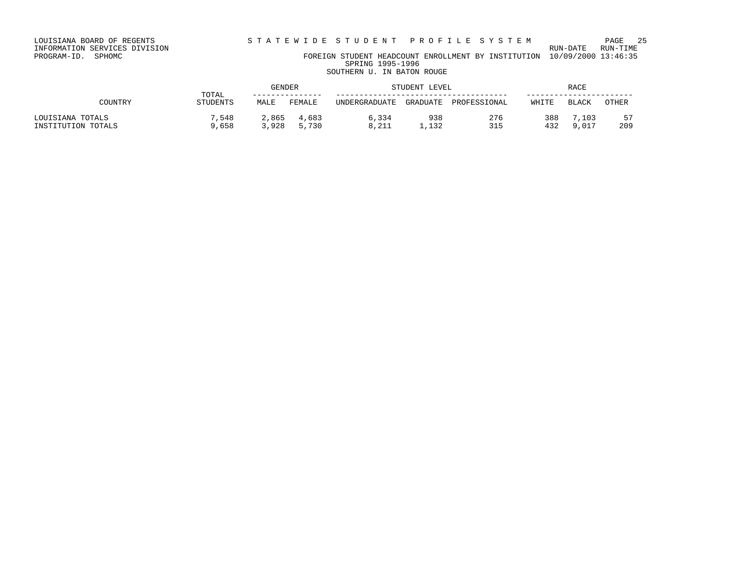## INFORMATION SERVICES DIVISION RUN-DATE RUN-TIME PROGRAM-ID. SPHOMC FOREIGN STUDENT HEADCOUNT ENROLLMENT BY INSTITUTION 10/09/2000 13:46:35

SPRING 1995-1996 SOUTHERN U. IN BATON ROUGE

|                    |                   |       | GENDER<br>STUDENT LEVEL |               |          |              | RACE  |              |       |  |
|--------------------|-------------------|-------|-------------------------|---------------|----------|--------------|-------|--------------|-------|--|
| COUNTRY            | TOTAL<br>STUDENTS | MALE  | FEMALE                  | UNDERGRADUATE | GRADUATE | PROFESSIONAL | WHITE | <b>BLACK</b> | OTHER |  |
| LOUISIANA TOTALS   | 7,548             | 2,865 | 4,683                   | 6,334         | 938      | 276          | 388   | 7,103        | 57    |  |
| INSTITUTION TOTALS | 9,658             | 3,928 | 5,730                   | 8,211         | 1,132    | 315          | 432   | 9 017        | 209   |  |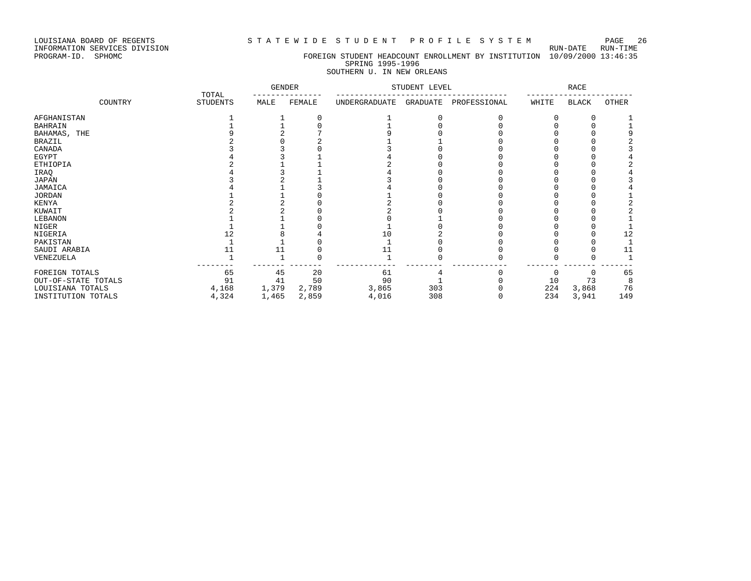### LOUISIANA BOARD OF REGENTS STATEWIDE STUDENT PROFILE SYSTEM PAGE 26

## PROGRAM-ID. SPHOMC FOREIGN STUDENT HEADCOUNT ENROLLMENT BY INSTITUTION 10/09/2000 13:46:35 SPRING 1995-1996 SOUTHERN U. IN NEW ORLEANS

|                     |                          | <b>GENDER</b> |        | STUDENT LEVEL | <b>RACE</b> |              |       |       |       |
|---------------------|--------------------------|---------------|--------|---------------|-------------|--------------|-------|-------|-------|
| COUNTRY             | TOTAL<br><b>STUDENTS</b> | MALE          | FEMALE | UNDERGRADUATE | GRADUATE    | PROFESSIONAL | WHITE | BLACK | OTHER |
| AFGHANISTAN         |                          |               |        |               |             |              |       |       |       |
| BAHRAIN             |                          |               |        |               |             |              |       |       |       |
| BAHAMAS, THE        |                          |               |        |               |             |              |       |       |       |
| BRAZIL              |                          |               |        |               |             |              |       |       |       |
| CANADA              |                          |               |        |               |             |              |       |       |       |
| EGYPT               |                          |               |        |               |             |              |       |       |       |
| ETHIOPIA            |                          |               |        |               |             |              |       |       |       |
| IRAQ                |                          |               |        |               |             |              |       |       |       |
| JAPAN               |                          |               |        |               |             |              |       |       |       |
| JAMAICA             |                          |               |        |               |             |              |       |       |       |
| JORDAN              |                          |               |        |               |             |              |       |       |       |
| KENYA               |                          |               |        |               |             |              |       |       |       |
| KUWAIT              |                          |               |        |               |             |              |       |       |       |
| LEBANON             |                          |               |        |               |             |              |       |       |       |
| NIGER               |                          |               |        |               |             |              |       |       |       |
| NIGERIA             |                          |               |        | 10            |             |              |       |       | 12    |
| PAKISTAN            |                          |               |        |               |             |              |       |       |       |
| SAUDI ARABIA        |                          |               |        | 11            |             |              |       |       | 11    |
| VENEZUELA           |                          |               |        |               |             |              |       |       |       |
| FOREIGN TOTALS      | 65                       | 45            | 20     | 61            |             |              |       | n     | 65    |
| OUT-OF-STATE TOTALS | 91                       | 41            | 50     | 90            |             |              | 10    | 73    | 8     |
| LOUISIANA TOTALS    | 4,168                    | 1,379         | 2,789  | 3,865         | 303         |              | 224   | 3,868 | 76    |
| INSTITUTION TOTALS  | 4,324                    | 1,465         | 2,859  | 4,016         | 308         |              | 234   | 3,941 | 149   |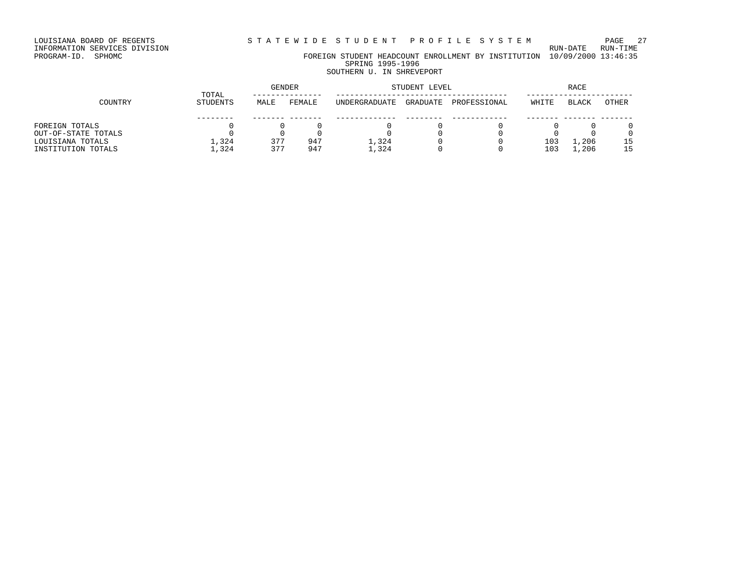LOUISIANA BOARD OF REGENTS STATEWIDE STUDENT PROFILE SYSTEM PAGE 27

# INFORMATION SERVICES DIVISION RUN-DATE RUN-TIME

PROGRAM-ID. SPHOMC FOREIGN STUDENT HEADCOUNT ENROLLMENT BY INSTITUTION 10/09/2000 13:46:35 SPRING 1995-1996 SOUTHERN U. IN SHREVEPORT

## GENDER STUDENT LEVEL RACE TOTAL --------------- ------------------------------------- ----------------------- COUNTRY STUDENTS MALE FEMALE UNDERGRADUATE GRADUATE PROFESSIONAL WHITE BLACK OTHER -------- ------- ------- ------------- -------- ------------ ------- ------- ------- FOREIGN TOTALS 0 0 0 0 0 0 0 0 0 OUT-OF-STATE TOTALS 0 0 0 0 0 0 0 0 0 LOUISIANA TOTALS 1,324 377 947 1,324 0 0 103 1,206 15

INSTITUTION TOTALS 1,324 377 947 1,324 0 0 103 1,206 15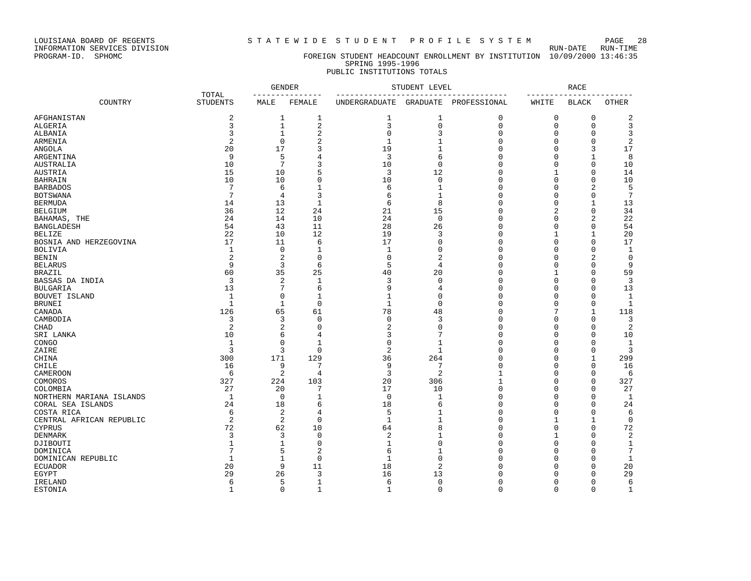LOUISIANA BOARD OF REGENTS<br>INFORMATION SERVICES DIVISION<br>PROGRAM-ID. SPHOMC

STATEWIDE STUDENT PROFILE SYSTEM PAGE 28

### FOREIGN STUDENT HEADCOUNT ENROLLMENT BY INSTITUTION 10/09/2000 13:46:35 SPRING 1995-1996 PUBLIC INSTITUTIONS TOTALS

| COUNTRY<br><b>STUDENTS</b><br>MALE<br>FEMALE<br><b>UNDERGRADUATE</b><br>GRADUATE<br>PROFESSIONAL<br>WHITE<br><b>BLACK</b><br><b>OTHER</b><br>AFGHANISTAN<br>2<br>$1\,$<br>$\mathbf{1}$<br>$\mathbf{1}$<br>$\mathbf 0$<br>$\mathbf 0$<br>$\mathbf 0$<br>2<br>1<br>$\mathbf{1}$<br>$\overline{2}$<br>3<br>$\mathbf 0$<br>3<br>3<br>$\mathbf 0$<br>ALGERIA<br>$\mathbf 0$<br>$\mathbf 0$<br>$\sqrt{2}$<br>$\mathbf 0$<br>3<br>3<br>$\mathbf{1}$<br>$\mathbf{0}$<br>3<br>ALBANIA<br>$\Omega$<br>$\Omega$<br>$\overline{2}$<br>$\mathfrak{D}$<br>$\Omega$<br>$\mathbf{1}$<br>$\mathbf{1}$<br>$\Omega$<br>2<br>ARMENIA<br>$\Omega$<br>$\Omega$<br>20<br>17<br>3<br>19<br>$\mathbf{1}$<br>$\Omega$<br>17<br>3<br>ANGOLA<br>0<br>9<br>5<br>3<br>6<br>$\Omega$<br>8<br>ARGENTINA<br>4<br>$\Omega$<br>$\mathbf{1}$<br>10<br>7<br>3<br>10<br>$\mathbf 0$<br>$\Omega$<br>$\Omega$<br>AUSTRALIA<br>$\Omega$<br>10<br>5<br>12<br>$\mathbf{0}$<br>15<br>10<br>3<br>14<br>AUSTRIA<br>1<br>$\Omega$<br>0<br>10<br>10<br>10<br>$\mathbf{0}$<br>$\mathbf{0}$<br>$\mathbf 0$<br>10<br><b>BAHRAIN</b><br>$\Omega$<br>7<br>6<br>6<br>$\mathbf{0}$<br>5<br>$\mathbf 1$<br>$\mathbf{1}$<br>$\mathbf 0$<br>$\overline{2}$<br><b>BARBADOS</b><br>7<br>3<br>$\Omega$<br>7<br>6<br>$\mathbf{1}$<br><b>BOTSWANA</b><br>4<br>$\Omega$<br>$\Omega$<br>6<br>8<br><b>BERMUDA</b><br>14<br>13<br>$\mathbf{1}$<br>$\Omega$<br>$\Omega$<br>13<br>$\mathbf{1}$<br>21<br>15<br>$\mathbf{0}$<br>34<br>36<br>12<br>24<br>2<br><b>BELGIUM</b><br>0<br>24<br>14<br>10<br>24<br>$\mathbf 0$<br>$\Omega$<br>$\mathbf 0$<br>$\overline{c}$<br>22<br>BAHAMAS, THE<br>54<br>43<br>11<br>28<br>26<br>$\mathbf{0}$<br>54<br><b>BANGLADESH</b><br>$\mathbf 0$<br>$\Omega$<br>22<br>10<br>12<br>19<br>3<br>$\Omega$<br>20<br><b>BELIZE</b><br>17<br>BOSNIA AND HERZEGOVINA<br>17<br>11<br>$\Omega$<br>$\Omega$<br>$\Omega$<br>$\Omega$<br>17<br>6<br>$\mathbf{1}$<br>$\mathbf 0$<br>$\mathbf 1$<br>$\mathbf{1}$<br>$\Omega$<br>$\mathbf{0}$<br>$\mathbf{1}$<br><b>BOLIVIA</b><br>0<br>$\Omega$<br>$\overline{2}$<br>2<br>0<br>$\mathsf 0$<br>$\overline{c}$<br>$\Omega$<br>$\mathsf 0$<br>$\overline{2}$<br><b>BENIN</b><br>0<br>9<br>3<br>5<br>6<br>$\overline{4}$<br>$\Omega$<br>9<br><b>BELARUS</b><br>$\Omega$<br>$\Omega$<br>60<br>35<br>25<br>40<br>20<br>$\Omega$<br>59<br><b>BRAZIL</b><br>$\Omega$<br>-1<br>3<br>$\sqrt{2}$<br>3<br>$\mathbf 0$<br>$\Omega$<br>3<br>$\mathbf{1}$<br>$\mathbf 0$<br>$\Omega$<br>BASSAS DA INDIA<br>13<br>7<br>6<br>9<br>$\mathbf{0}$<br>13<br><b>BULGARIA</b><br>$\overline{4}$<br>$\mathbf 0$<br>$\Omega$<br>$\mathbf 0$<br>$\mathbf 1$<br>$\Omega$<br>BOUVET ISLAND<br>1<br>1<br>$\Omega$<br>0<br>$\Omega$<br>1<br>$\Omega$<br>$\overline{1}$<br>$\mathbf{1}$<br>$\mathbf 0$<br>$\mathbf{1}$<br>$\Omega$<br>$\Omega$<br>$\mathbf{1}$<br><b>BRUNEI</b><br>$\Omega$<br>78<br>CANADA<br>126<br>65<br>61<br>48<br>$\Omega$<br>7<br>118<br>1<br>$\mathbf{3}$<br>$\mathsf 0$<br>3<br>$\Omega$<br>CAMBODIA<br>3<br>0<br>$\mathbf 0$<br>$\Omega$<br>3<br>$\sqrt{2}$<br>$\overline{2}$<br>2<br>0<br>2<br>$\Omega$<br>$\Omega$<br><b>CHAD</b><br>$\Omega$<br>$\Omega$<br>3<br>6<br>7<br>$\Omega$<br>SRI LANKA<br>10<br>4<br>$\Omega$<br>$\Omega$<br>10<br>$\mathbf 0$<br>$\mathbf 0$<br>$\Omega$<br>$\mathbf{1}$<br>$\mathbf{1}$<br>$\Omega$<br>$\mathbf{1}$<br>CONGO<br>1<br>$\Omega$<br>3<br>3<br>0<br>2<br>3<br>ZAIRE<br>$\mathbf{1}$<br>$\Omega$<br>$\mathbf 0$<br>$\mathbf 0$<br>171<br>36<br>264<br>$\Omega$<br>CHINA<br>300<br>129<br>$\mathbf 0$<br>$\mathbf{1}$<br>299<br>$\Omega$<br><b>CHILE</b><br>9<br>9<br>7<br>$\Omega$<br>16<br>7<br>$\Omega$<br>16<br>2<br>$\overline{3}$<br>2<br>$\mathbf{1}$<br>CAMEROON<br>6<br>4<br>$\Omega$<br>$\Omega$<br>6<br>327<br>20<br>$1\,$<br>224<br>103<br>306<br>327<br>COMOROS<br>0<br>0<br>27<br>17<br>10<br>$\mathbf{0}$<br>27<br>COLOMBIA<br>20<br>7<br>$\Omega$<br>$\Omega$<br>$\mathbf{1}$<br>$\mathbf 0$<br>$\mathbf{1}$<br>$\mathbf{0}$<br>$\mathbf{1}$<br>NORTHERN MARIANA ISLANDS<br>$\mathbf 0$<br>1<br>0<br>$\Omega$<br>18<br>24<br>18<br>6<br>$\Omega$<br>24<br>CORAL SEA ISLANDS<br>6<br>$\Omega$<br>$\Omega$<br>2<br>5<br>6<br>4<br>$\mathbf{1}$<br>$\Omega$<br>$\Omega$<br>$\Omega$<br>6<br>COSTA RICA<br>2<br>$\mathbf{1}$<br>$\mathbf{1}$<br>2<br>$\mathbf 0$<br>$\mathbf{0}$<br>$\mathbf 0$<br>CENTRAL AFRICAN REPUBLIC<br>1<br>1<br>72<br>8<br>62<br>$\Omega$<br>72<br><b>CYPRUS</b><br>10<br>64<br>$\mathbf 0$<br>$\Omega$<br>3<br>3<br>2<br>$\Omega$<br>2<br><b>DENMARK</b><br>0<br>1<br>1<br>$\Omega$<br>$\mathbf{1}$<br>$\mathbf 0$<br>$\Omega$<br>$\Omega$<br>DJIBOUTI<br>$\mathbf{1}$<br>1<br>$\Omega$<br>$\Omega$<br>1<br>7<br>5<br>$\boldsymbol{2}$<br>6<br>$\mathbf{1}$<br>$\Omega$<br>$\overline{7}$<br>$\Omega$<br>$\Omega$<br>DOMINICA<br>$\mathbf{1}$<br>0<br>$\mathbf{1}$<br>$\mathbf 0$<br>DOMINICAN REPUBLIC<br>$\mathbf{1}$<br>$\Omega$<br>$\Omega$<br>$\Omega$<br>$\mathbf 1$<br>9<br>$\overline{2}$<br>20<br>18<br>$\Omega$<br>20<br>11<br>$\Omega$<br><b>ECUADOR</b><br>$\Omega$<br>29<br>16<br>26<br>3<br>13<br>$\Omega$<br>29<br>EGYPT<br>$\Omega$<br>$\Omega$<br>5<br>$\mathbf{1}$<br>6<br>$\mathbf{0}$<br>$\Omega$<br>6<br>IRELAND<br>6<br>0<br>$\Omega$<br>$\mathbf 0$<br>$\mathbf 0$<br>$\mathbf 0$<br>$\Omega$<br>$\mathbf{1}$<br>$\mathbf 1$<br>$\Omega$ |         |       | <b>GENDER</b> |              | STUDENT LEVEL | <b>RACE</b> |  |  |             |
|---------------------------------------------------------------------------------------------------------------------------------------------------------------------------------------------------------------------------------------------------------------------------------------------------------------------------------------------------------------------------------------------------------------------------------------------------------------------------------------------------------------------------------------------------------------------------------------------------------------------------------------------------------------------------------------------------------------------------------------------------------------------------------------------------------------------------------------------------------------------------------------------------------------------------------------------------------------------------------------------------------------------------------------------------------------------------------------------------------------------------------------------------------------------------------------------------------------------------------------------------------------------------------------------------------------------------------------------------------------------------------------------------------------------------------------------------------------------------------------------------------------------------------------------------------------------------------------------------------------------------------------------------------------------------------------------------------------------------------------------------------------------------------------------------------------------------------------------------------------------------------------------------------------------------------------------------------------------------------------------------------------------------------------------------------------------------------------------------------------------------------------------------------------------------------------------------------------------------------------------------------------------------------------------------------------------------------------------------------------------------------------------------------------------------------------------------------------------------------------------------------------------------------------------------------------------------------------------------------------------------------------------------------------------------------------------------------------------------------------------------------------------------------------------------------------------------------------------------------------------------------------------------------------------------------------------------------------------------------------------------------------------------------------------------------------------------------------------------------------------------------------------------------------------------------------------------------------------------------------------------------------------------------------------------------------------------------------------------------------------------------------------------------------------------------------------------------------------------------------------------------------------------------------------------------------------------------------------------------------------------------------------------------------------------------------------------------------------------------------------------------------------------------------------------------------------------------------------------------------------------------------------------------------------------------------------------------------------------------------------------------------------------------------------------------------------------------------------------------------------------------------------------------------------------------------------------------------------------------------------------------------------------------------------------------------------------------------------------------------------------------------------------------------------------------------------------------------------------------------------------------------------------------------------------------------------------------------------------------------------------------------------------------------------------------------------------------------------------------------------------------------------------------------------------------------------------------------------------------------------------------------------------------------------------------------------------------------------------------------------------------------------------------------------------------------------------------------------------------------------------------------------------------------------------------------------------------------------------------------------------------------------------------------------------------------------------------------|---------|-------|---------------|--------------|---------------|-------------|--|--|-------------|
|                                                                                                                                                                                                                                                                                                                                                                                                                                                                                                                                                                                                                                                                                                                                                                                                                                                                                                                                                                                                                                                                                                                                                                                                                                                                                                                                                                                                                                                                                                                                                                                                                                                                                                                                                                                                                                                                                                                                                                                                                                                                                                                                                                                                                                                                                                                                                                                                                                                                                                                                                                                                                                                                                                                                                                                                                                                                                                                                                                                                                                                                                                                                                                                                                                                                                                                                                                                                                                                                                                                                                                                                                                                                                                                                                                                                                                                                                                                                                                                                                                                                                                                                                                                                                                                                                                                                                                                                                                                                                                                                                                                                                                                                                                                                                                                                                                                                                                                                                                                                                                                                                                                                                                                                                                                                                                                                       |         | TOTAL |               |              |               |             |  |  |             |
|                                                                                                                                                                                                                                                                                                                                                                                                                                                                                                                                                                                                                                                                                                                                                                                                                                                                                                                                                                                                                                                                                                                                                                                                                                                                                                                                                                                                                                                                                                                                                                                                                                                                                                                                                                                                                                                                                                                                                                                                                                                                                                                                                                                                                                                                                                                                                                                                                                                                                                                                                                                                                                                                                                                                                                                                                                                                                                                                                                                                                                                                                                                                                                                                                                                                                                                                                                                                                                                                                                                                                                                                                                                                                                                                                                                                                                                                                                                                                                                                                                                                                                                                                                                                                                                                                                                                                                                                                                                                                                                                                                                                                                                                                                                                                                                                                                                                                                                                                                                                                                                                                                                                                                                                                                                                                                                                       |         |       |               |              |               |             |  |  |             |
|                                                                                                                                                                                                                                                                                                                                                                                                                                                                                                                                                                                                                                                                                                                                                                                                                                                                                                                                                                                                                                                                                                                                                                                                                                                                                                                                                                                                                                                                                                                                                                                                                                                                                                                                                                                                                                                                                                                                                                                                                                                                                                                                                                                                                                                                                                                                                                                                                                                                                                                                                                                                                                                                                                                                                                                                                                                                                                                                                                                                                                                                                                                                                                                                                                                                                                                                                                                                                                                                                                                                                                                                                                                                                                                                                                                                                                                                                                                                                                                                                                                                                                                                                                                                                                                                                                                                                                                                                                                                                                                                                                                                                                                                                                                                                                                                                                                                                                                                                                                                                                                                                                                                                                                                                                                                                                                                       |         |       |               |              |               |             |  |  |             |
|                                                                                                                                                                                                                                                                                                                                                                                                                                                                                                                                                                                                                                                                                                                                                                                                                                                                                                                                                                                                                                                                                                                                                                                                                                                                                                                                                                                                                                                                                                                                                                                                                                                                                                                                                                                                                                                                                                                                                                                                                                                                                                                                                                                                                                                                                                                                                                                                                                                                                                                                                                                                                                                                                                                                                                                                                                                                                                                                                                                                                                                                                                                                                                                                                                                                                                                                                                                                                                                                                                                                                                                                                                                                                                                                                                                                                                                                                                                                                                                                                                                                                                                                                                                                                                                                                                                                                                                                                                                                                                                                                                                                                                                                                                                                                                                                                                                                                                                                                                                                                                                                                                                                                                                                                                                                                                                                       |         |       |               |              |               |             |  |  |             |
|                                                                                                                                                                                                                                                                                                                                                                                                                                                                                                                                                                                                                                                                                                                                                                                                                                                                                                                                                                                                                                                                                                                                                                                                                                                                                                                                                                                                                                                                                                                                                                                                                                                                                                                                                                                                                                                                                                                                                                                                                                                                                                                                                                                                                                                                                                                                                                                                                                                                                                                                                                                                                                                                                                                                                                                                                                                                                                                                                                                                                                                                                                                                                                                                                                                                                                                                                                                                                                                                                                                                                                                                                                                                                                                                                                                                                                                                                                                                                                                                                                                                                                                                                                                                                                                                                                                                                                                                                                                                                                                                                                                                                                                                                                                                                                                                                                                                                                                                                                                                                                                                                                                                                                                                                                                                                                                                       |         |       |               |              |               |             |  |  |             |
|                                                                                                                                                                                                                                                                                                                                                                                                                                                                                                                                                                                                                                                                                                                                                                                                                                                                                                                                                                                                                                                                                                                                                                                                                                                                                                                                                                                                                                                                                                                                                                                                                                                                                                                                                                                                                                                                                                                                                                                                                                                                                                                                                                                                                                                                                                                                                                                                                                                                                                                                                                                                                                                                                                                                                                                                                                                                                                                                                                                                                                                                                                                                                                                                                                                                                                                                                                                                                                                                                                                                                                                                                                                                                                                                                                                                                                                                                                                                                                                                                                                                                                                                                                                                                                                                                                                                                                                                                                                                                                                                                                                                                                                                                                                                                                                                                                                                                                                                                                                                                                                                                                                                                                                                                                                                                                                                       |         |       |               |              |               |             |  |  |             |
|                                                                                                                                                                                                                                                                                                                                                                                                                                                                                                                                                                                                                                                                                                                                                                                                                                                                                                                                                                                                                                                                                                                                                                                                                                                                                                                                                                                                                                                                                                                                                                                                                                                                                                                                                                                                                                                                                                                                                                                                                                                                                                                                                                                                                                                                                                                                                                                                                                                                                                                                                                                                                                                                                                                                                                                                                                                                                                                                                                                                                                                                                                                                                                                                                                                                                                                                                                                                                                                                                                                                                                                                                                                                                                                                                                                                                                                                                                                                                                                                                                                                                                                                                                                                                                                                                                                                                                                                                                                                                                                                                                                                                                                                                                                                                                                                                                                                                                                                                                                                                                                                                                                                                                                                                                                                                                                                       |         |       |               |              |               |             |  |  |             |
|                                                                                                                                                                                                                                                                                                                                                                                                                                                                                                                                                                                                                                                                                                                                                                                                                                                                                                                                                                                                                                                                                                                                                                                                                                                                                                                                                                                                                                                                                                                                                                                                                                                                                                                                                                                                                                                                                                                                                                                                                                                                                                                                                                                                                                                                                                                                                                                                                                                                                                                                                                                                                                                                                                                                                                                                                                                                                                                                                                                                                                                                                                                                                                                                                                                                                                                                                                                                                                                                                                                                                                                                                                                                                                                                                                                                                                                                                                                                                                                                                                                                                                                                                                                                                                                                                                                                                                                                                                                                                                                                                                                                                                                                                                                                                                                                                                                                                                                                                                                                                                                                                                                                                                                                                                                                                                                                       |         |       |               |              |               |             |  |  |             |
|                                                                                                                                                                                                                                                                                                                                                                                                                                                                                                                                                                                                                                                                                                                                                                                                                                                                                                                                                                                                                                                                                                                                                                                                                                                                                                                                                                                                                                                                                                                                                                                                                                                                                                                                                                                                                                                                                                                                                                                                                                                                                                                                                                                                                                                                                                                                                                                                                                                                                                                                                                                                                                                                                                                                                                                                                                                                                                                                                                                                                                                                                                                                                                                                                                                                                                                                                                                                                                                                                                                                                                                                                                                                                                                                                                                                                                                                                                                                                                                                                                                                                                                                                                                                                                                                                                                                                                                                                                                                                                                                                                                                                                                                                                                                                                                                                                                                                                                                                                                                                                                                                                                                                                                                                                                                                                                                       |         |       |               |              |               |             |  |  |             |
|                                                                                                                                                                                                                                                                                                                                                                                                                                                                                                                                                                                                                                                                                                                                                                                                                                                                                                                                                                                                                                                                                                                                                                                                                                                                                                                                                                                                                                                                                                                                                                                                                                                                                                                                                                                                                                                                                                                                                                                                                                                                                                                                                                                                                                                                                                                                                                                                                                                                                                                                                                                                                                                                                                                                                                                                                                                                                                                                                                                                                                                                                                                                                                                                                                                                                                                                                                                                                                                                                                                                                                                                                                                                                                                                                                                                                                                                                                                                                                                                                                                                                                                                                                                                                                                                                                                                                                                                                                                                                                                                                                                                                                                                                                                                                                                                                                                                                                                                                                                                                                                                                                                                                                                                                                                                                                                                       |         |       |               |              |               |             |  |  |             |
|                                                                                                                                                                                                                                                                                                                                                                                                                                                                                                                                                                                                                                                                                                                                                                                                                                                                                                                                                                                                                                                                                                                                                                                                                                                                                                                                                                                                                                                                                                                                                                                                                                                                                                                                                                                                                                                                                                                                                                                                                                                                                                                                                                                                                                                                                                                                                                                                                                                                                                                                                                                                                                                                                                                                                                                                                                                                                                                                                                                                                                                                                                                                                                                                                                                                                                                                                                                                                                                                                                                                                                                                                                                                                                                                                                                                                                                                                                                                                                                                                                                                                                                                                                                                                                                                                                                                                                                                                                                                                                                                                                                                                                                                                                                                                                                                                                                                                                                                                                                                                                                                                                                                                                                                                                                                                                                                       |         |       |               |              |               |             |  |  |             |
|                                                                                                                                                                                                                                                                                                                                                                                                                                                                                                                                                                                                                                                                                                                                                                                                                                                                                                                                                                                                                                                                                                                                                                                                                                                                                                                                                                                                                                                                                                                                                                                                                                                                                                                                                                                                                                                                                                                                                                                                                                                                                                                                                                                                                                                                                                                                                                                                                                                                                                                                                                                                                                                                                                                                                                                                                                                                                                                                                                                                                                                                                                                                                                                                                                                                                                                                                                                                                                                                                                                                                                                                                                                                                                                                                                                                                                                                                                                                                                                                                                                                                                                                                                                                                                                                                                                                                                                                                                                                                                                                                                                                                                                                                                                                                                                                                                                                                                                                                                                                                                                                                                                                                                                                                                                                                                                                       |         |       |               |              |               |             |  |  |             |
|                                                                                                                                                                                                                                                                                                                                                                                                                                                                                                                                                                                                                                                                                                                                                                                                                                                                                                                                                                                                                                                                                                                                                                                                                                                                                                                                                                                                                                                                                                                                                                                                                                                                                                                                                                                                                                                                                                                                                                                                                                                                                                                                                                                                                                                                                                                                                                                                                                                                                                                                                                                                                                                                                                                                                                                                                                                                                                                                                                                                                                                                                                                                                                                                                                                                                                                                                                                                                                                                                                                                                                                                                                                                                                                                                                                                                                                                                                                                                                                                                                                                                                                                                                                                                                                                                                                                                                                                                                                                                                                                                                                                                                                                                                                                                                                                                                                                                                                                                                                                                                                                                                                                                                                                                                                                                                                                       |         |       |               |              |               |             |  |  |             |
|                                                                                                                                                                                                                                                                                                                                                                                                                                                                                                                                                                                                                                                                                                                                                                                                                                                                                                                                                                                                                                                                                                                                                                                                                                                                                                                                                                                                                                                                                                                                                                                                                                                                                                                                                                                                                                                                                                                                                                                                                                                                                                                                                                                                                                                                                                                                                                                                                                                                                                                                                                                                                                                                                                                                                                                                                                                                                                                                                                                                                                                                                                                                                                                                                                                                                                                                                                                                                                                                                                                                                                                                                                                                                                                                                                                                                                                                                                                                                                                                                                                                                                                                                                                                                                                                                                                                                                                                                                                                                                                                                                                                                                                                                                                                                                                                                                                                                                                                                                                                                                                                                                                                                                                                                                                                                                                                       |         |       |               |              |               |             |  |  |             |
|                                                                                                                                                                                                                                                                                                                                                                                                                                                                                                                                                                                                                                                                                                                                                                                                                                                                                                                                                                                                                                                                                                                                                                                                                                                                                                                                                                                                                                                                                                                                                                                                                                                                                                                                                                                                                                                                                                                                                                                                                                                                                                                                                                                                                                                                                                                                                                                                                                                                                                                                                                                                                                                                                                                                                                                                                                                                                                                                                                                                                                                                                                                                                                                                                                                                                                                                                                                                                                                                                                                                                                                                                                                                                                                                                                                                                                                                                                                                                                                                                                                                                                                                                                                                                                                                                                                                                                                                                                                                                                                                                                                                                                                                                                                                                                                                                                                                                                                                                                                                                                                                                                                                                                                                                                                                                                                                       |         |       |               |              |               |             |  |  |             |
|                                                                                                                                                                                                                                                                                                                                                                                                                                                                                                                                                                                                                                                                                                                                                                                                                                                                                                                                                                                                                                                                                                                                                                                                                                                                                                                                                                                                                                                                                                                                                                                                                                                                                                                                                                                                                                                                                                                                                                                                                                                                                                                                                                                                                                                                                                                                                                                                                                                                                                                                                                                                                                                                                                                                                                                                                                                                                                                                                                                                                                                                                                                                                                                                                                                                                                                                                                                                                                                                                                                                                                                                                                                                                                                                                                                                                                                                                                                                                                                                                                                                                                                                                                                                                                                                                                                                                                                                                                                                                                                                                                                                                                                                                                                                                                                                                                                                                                                                                                                                                                                                                                                                                                                                                                                                                                                                       |         |       |               |              |               |             |  |  |             |
|                                                                                                                                                                                                                                                                                                                                                                                                                                                                                                                                                                                                                                                                                                                                                                                                                                                                                                                                                                                                                                                                                                                                                                                                                                                                                                                                                                                                                                                                                                                                                                                                                                                                                                                                                                                                                                                                                                                                                                                                                                                                                                                                                                                                                                                                                                                                                                                                                                                                                                                                                                                                                                                                                                                                                                                                                                                                                                                                                                                                                                                                                                                                                                                                                                                                                                                                                                                                                                                                                                                                                                                                                                                                                                                                                                                                                                                                                                                                                                                                                                                                                                                                                                                                                                                                                                                                                                                                                                                                                                                                                                                                                                                                                                                                                                                                                                                                                                                                                                                                                                                                                                                                                                                                                                                                                                                                       |         |       |               |              |               |             |  |  |             |
|                                                                                                                                                                                                                                                                                                                                                                                                                                                                                                                                                                                                                                                                                                                                                                                                                                                                                                                                                                                                                                                                                                                                                                                                                                                                                                                                                                                                                                                                                                                                                                                                                                                                                                                                                                                                                                                                                                                                                                                                                                                                                                                                                                                                                                                                                                                                                                                                                                                                                                                                                                                                                                                                                                                                                                                                                                                                                                                                                                                                                                                                                                                                                                                                                                                                                                                                                                                                                                                                                                                                                                                                                                                                                                                                                                                                                                                                                                                                                                                                                                                                                                                                                                                                                                                                                                                                                                                                                                                                                                                                                                                                                                                                                                                                                                                                                                                                                                                                                                                                                                                                                                                                                                                                                                                                                                                                       |         |       |               |              |               |             |  |  |             |
|                                                                                                                                                                                                                                                                                                                                                                                                                                                                                                                                                                                                                                                                                                                                                                                                                                                                                                                                                                                                                                                                                                                                                                                                                                                                                                                                                                                                                                                                                                                                                                                                                                                                                                                                                                                                                                                                                                                                                                                                                                                                                                                                                                                                                                                                                                                                                                                                                                                                                                                                                                                                                                                                                                                                                                                                                                                                                                                                                                                                                                                                                                                                                                                                                                                                                                                                                                                                                                                                                                                                                                                                                                                                                                                                                                                                                                                                                                                                                                                                                                                                                                                                                                                                                                                                                                                                                                                                                                                                                                                                                                                                                                                                                                                                                                                                                                                                                                                                                                                                                                                                                                                                                                                                                                                                                                                                       |         |       |               |              |               |             |  |  |             |
|                                                                                                                                                                                                                                                                                                                                                                                                                                                                                                                                                                                                                                                                                                                                                                                                                                                                                                                                                                                                                                                                                                                                                                                                                                                                                                                                                                                                                                                                                                                                                                                                                                                                                                                                                                                                                                                                                                                                                                                                                                                                                                                                                                                                                                                                                                                                                                                                                                                                                                                                                                                                                                                                                                                                                                                                                                                                                                                                                                                                                                                                                                                                                                                                                                                                                                                                                                                                                                                                                                                                                                                                                                                                                                                                                                                                                                                                                                                                                                                                                                                                                                                                                                                                                                                                                                                                                                                                                                                                                                                                                                                                                                                                                                                                                                                                                                                                                                                                                                                                                                                                                                                                                                                                                                                                                                                                       |         |       |               |              |               |             |  |  |             |
|                                                                                                                                                                                                                                                                                                                                                                                                                                                                                                                                                                                                                                                                                                                                                                                                                                                                                                                                                                                                                                                                                                                                                                                                                                                                                                                                                                                                                                                                                                                                                                                                                                                                                                                                                                                                                                                                                                                                                                                                                                                                                                                                                                                                                                                                                                                                                                                                                                                                                                                                                                                                                                                                                                                                                                                                                                                                                                                                                                                                                                                                                                                                                                                                                                                                                                                                                                                                                                                                                                                                                                                                                                                                                                                                                                                                                                                                                                                                                                                                                                                                                                                                                                                                                                                                                                                                                                                                                                                                                                                                                                                                                                                                                                                                                                                                                                                                                                                                                                                                                                                                                                                                                                                                                                                                                                                                       |         |       |               |              |               |             |  |  |             |
|                                                                                                                                                                                                                                                                                                                                                                                                                                                                                                                                                                                                                                                                                                                                                                                                                                                                                                                                                                                                                                                                                                                                                                                                                                                                                                                                                                                                                                                                                                                                                                                                                                                                                                                                                                                                                                                                                                                                                                                                                                                                                                                                                                                                                                                                                                                                                                                                                                                                                                                                                                                                                                                                                                                                                                                                                                                                                                                                                                                                                                                                                                                                                                                                                                                                                                                                                                                                                                                                                                                                                                                                                                                                                                                                                                                                                                                                                                                                                                                                                                                                                                                                                                                                                                                                                                                                                                                                                                                                                                                                                                                                                                                                                                                                                                                                                                                                                                                                                                                                                                                                                                                                                                                                                                                                                                                                       |         |       |               |              |               |             |  |  |             |
|                                                                                                                                                                                                                                                                                                                                                                                                                                                                                                                                                                                                                                                                                                                                                                                                                                                                                                                                                                                                                                                                                                                                                                                                                                                                                                                                                                                                                                                                                                                                                                                                                                                                                                                                                                                                                                                                                                                                                                                                                                                                                                                                                                                                                                                                                                                                                                                                                                                                                                                                                                                                                                                                                                                                                                                                                                                                                                                                                                                                                                                                                                                                                                                                                                                                                                                                                                                                                                                                                                                                                                                                                                                                                                                                                                                                                                                                                                                                                                                                                                                                                                                                                                                                                                                                                                                                                                                                                                                                                                                                                                                                                                                                                                                                                                                                                                                                                                                                                                                                                                                                                                                                                                                                                                                                                                                                       |         |       |               |              |               |             |  |  |             |
|                                                                                                                                                                                                                                                                                                                                                                                                                                                                                                                                                                                                                                                                                                                                                                                                                                                                                                                                                                                                                                                                                                                                                                                                                                                                                                                                                                                                                                                                                                                                                                                                                                                                                                                                                                                                                                                                                                                                                                                                                                                                                                                                                                                                                                                                                                                                                                                                                                                                                                                                                                                                                                                                                                                                                                                                                                                                                                                                                                                                                                                                                                                                                                                                                                                                                                                                                                                                                                                                                                                                                                                                                                                                                                                                                                                                                                                                                                                                                                                                                                                                                                                                                                                                                                                                                                                                                                                                                                                                                                                                                                                                                                                                                                                                                                                                                                                                                                                                                                                                                                                                                                                                                                                                                                                                                                                                       |         |       |               |              |               |             |  |  |             |
|                                                                                                                                                                                                                                                                                                                                                                                                                                                                                                                                                                                                                                                                                                                                                                                                                                                                                                                                                                                                                                                                                                                                                                                                                                                                                                                                                                                                                                                                                                                                                                                                                                                                                                                                                                                                                                                                                                                                                                                                                                                                                                                                                                                                                                                                                                                                                                                                                                                                                                                                                                                                                                                                                                                                                                                                                                                                                                                                                                                                                                                                                                                                                                                                                                                                                                                                                                                                                                                                                                                                                                                                                                                                                                                                                                                                                                                                                                                                                                                                                                                                                                                                                                                                                                                                                                                                                                                                                                                                                                                                                                                                                                                                                                                                                                                                                                                                                                                                                                                                                                                                                                                                                                                                                                                                                                                                       |         |       |               |              |               |             |  |  |             |
|                                                                                                                                                                                                                                                                                                                                                                                                                                                                                                                                                                                                                                                                                                                                                                                                                                                                                                                                                                                                                                                                                                                                                                                                                                                                                                                                                                                                                                                                                                                                                                                                                                                                                                                                                                                                                                                                                                                                                                                                                                                                                                                                                                                                                                                                                                                                                                                                                                                                                                                                                                                                                                                                                                                                                                                                                                                                                                                                                                                                                                                                                                                                                                                                                                                                                                                                                                                                                                                                                                                                                                                                                                                                                                                                                                                                                                                                                                                                                                                                                                                                                                                                                                                                                                                                                                                                                                                                                                                                                                                                                                                                                                                                                                                                                                                                                                                                                                                                                                                                                                                                                                                                                                                                                                                                                                                                       |         |       |               |              |               |             |  |  |             |
|                                                                                                                                                                                                                                                                                                                                                                                                                                                                                                                                                                                                                                                                                                                                                                                                                                                                                                                                                                                                                                                                                                                                                                                                                                                                                                                                                                                                                                                                                                                                                                                                                                                                                                                                                                                                                                                                                                                                                                                                                                                                                                                                                                                                                                                                                                                                                                                                                                                                                                                                                                                                                                                                                                                                                                                                                                                                                                                                                                                                                                                                                                                                                                                                                                                                                                                                                                                                                                                                                                                                                                                                                                                                                                                                                                                                                                                                                                                                                                                                                                                                                                                                                                                                                                                                                                                                                                                                                                                                                                                                                                                                                                                                                                                                                                                                                                                                                                                                                                                                                                                                                                                                                                                                                                                                                                                                       |         |       |               |              |               |             |  |  |             |
|                                                                                                                                                                                                                                                                                                                                                                                                                                                                                                                                                                                                                                                                                                                                                                                                                                                                                                                                                                                                                                                                                                                                                                                                                                                                                                                                                                                                                                                                                                                                                                                                                                                                                                                                                                                                                                                                                                                                                                                                                                                                                                                                                                                                                                                                                                                                                                                                                                                                                                                                                                                                                                                                                                                                                                                                                                                                                                                                                                                                                                                                                                                                                                                                                                                                                                                                                                                                                                                                                                                                                                                                                                                                                                                                                                                                                                                                                                                                                                                                                                                                                                                                                                                                                                                                                                                                                                                                                                                                                                                                                                                                                                                                                                                                                                                                                                                                                                                                                                                                                                                                                                                                                                                                                                                                                                                                       |         |       |               |              |               |             |  |  |             |
|                                                                                                                                                                                                                                                                                                                                                                                                                                                                                                                                                                                                                                                                                                                                                                                                                                                                                                                                                                                                                                                                                                                                                                                                                                                                                                                                                                                                                                                                                                                                                                                                                                                                                                                                                                                                                                                                                                                                                                                                                                                                                                                                                                                                                                                                                                                                                                                                                                                                                                                                                                                                                                                                                                                                                                                                                                                                                                                                                                                                                                                                                                                                                                                                                                                                                                                                                                                                                                                                                                                                                                                                                                                                                                                                                                                                                                                                                                                                                                                                                                                                                                                                                                                                                                                                                                                                                                                                                                                                                                                                                                                                                                                                                                                                                                                                                                                                                                                                                                                                                                                                                                                                                                                                                                                                                                                                       |         |       |               |              |               |             |  |  |             |
|                                                                                                                                                                                                                                                                                                                                                                                                                                                                                                                                                                                                                                                                                                                                                                                                                                                                                                                                                                                                                                                                                                                                                                                                                                                                                                                                                                                                                                                                                                                                                                                                                                                                                                                                                                                                                                                                                                                                                                                                                                                                                                                                                                                                                                                                                                                                                                                                                                                                                                                                                                                                                                                                                                                                                                                                                                                                                                                                                                                                                                                                                                                                                                                                                                                                                                                                                                                                                                                                                                                                                                                                                                                                                                                                                                                                                                                                                                                                                                                                                                                                                                                                                                                                                                                                                                                                                                                                                                                                                                                                                                                                                                                                                                                                                                                                                                                                                                                                                                                                                                                                                                                                                                                                                                                                                                                                       |         |       |               |              |               |             |  |  |             |
|                                                                                                                                                                                                                                                                                                                                                                                                                                                                                                                                                                                                                                                                                                                                                                                                                                                                                                                                                                                                                                                                                                                                                                                                                                                                                                                                                                                                                                                                                                                                                                                                                                                                                                                                                                                                                                                                                                                                                                                                                                                                                                                                                                                                                                                                                                                                                                                                                                                                                                                                                                                                                                                                                                                                                                                                                                                                                                                                                                                                                                                                                                                                                                                                                                                                                                                                                                                                                                                                                                                                                                                                                                                                                                                                                                                                                                                                                                                                                                                                                                                                                                                                                                                                                                                                                                                                                                                                                                                                                                                                                                                                                                                                                                                                                                                                                                                                                                                                                                                                                                                                                                                                                                                                                                                                                                                                       |         |       |               |              |               |             |  |  |             |
|                                                                                                                                                                                                                                                                                                                                                                                                                                                                                                                                                                                                                                                                                                                                                                                                                                                                                                                                                                                                                                                                                                                                                                                                                                                                                                                                                                                                                                                                                                                                                                                                                                                                                                                                                                                                                                                                                                                                                                                                                                                                                                                                                                                                                                                                                                                                                                                                                                                                                                                                                                                                                                                                                                                                                                                                                                                                                                                                                                                                                                                                                                                                                                                                                                                                                                                                                                                                                                                                                                                                                                                                                                                                                                                                                                                                                                                                                                                                                                                                                                                                                                                                                                                                                                                                                                                                                                                                                                                                                                                                                                                                                                                                                                                                                                                                                                                                                                                                                                                                                                                                                                                                                                                                                                                                                                                                       |         |       |               |              |               |             |  |  |             |
|                                                                                                                                                                                                                                                                                                                                                                                                                                                                                                                                                                                                                                                                                                                                                                                                                                                                                                                                                                                                                                                                                                                                                                                                                                                                                                                                                                                                                                                                                                                                                                                                                                                                                                                                                                                                                                                                                                                                                                                                                                                                                                                                                                                                                                                                                                                                                                                                                                                                                                                                                                                                                                                                                                                                                                                                                                                                                                                                                                                                                                                                                                                                                                                                                                                                                                                                                                                                                                                                                                                                                                                                                                                                                                                                                                                                                                                                                                                                                                                                                                                                                                                                                                                                                                                                                                                                                                                                                                                                                                                                                                                                                                                                                                                                                                                                                                                                                                                                                                                                                                                                                                                                                                                                                                                                                                                                       |         |       |               |              |               |             |  |  |             |
|                                                                                                                                                                                                                                                                                                                                                                                                                                                                                                                                                                                                                                                                                                                                                                                                                                                                                                                                                                                                                                                                                                                                                                                                                                                                                                                                                                                                                                                                                                                                                                                                                                                                                                                                                                                                                                                                                                                                                                                                                                                                                                                                                                                                                                                                                                                                                                                                                                                                                                                                                                                                                                                                                                                                                                                                                                                                                                                                                                                                                                                                                                                                                                                                                                                                                                                                                                                                                                                                                                                                                                                                                                                                                                                                                                                                                                                                                                                                                                                                                                                                                                                                                                                                                                                                                                                                                                                                                                                                                                                                                                                                                                                                                                                                                                                                                                                                                                                                                                                                                                                                                                                                                                                                                                                                                                                                       |         |       |               |              |               |             |  |  |             |
|                                                                                                                                                                                                                                                                                                                                                                                                                                                                                                                                                                                                                                                                                                                                                                                                                                                                                                                                                                                                                                                                                                                                                                                                                                                                                                                                                                                                                                                                                                                                                                                                                                                                                                                                                                                                                                                                                                                                                                                                                                                                                                                                                                                                                                                                                                                                                                                                                                                                                                                                                                                                                                                                                                                                                                                                                                                                                                                                                                                                                                                                                                                                                                                                                                                                                                                                                                                                                                                                                                                                                                                                                                                                                                                                                                                                                                                                                                                                                                                                                                                                                                                                                                                                                                                                                                                                                                                                                                                                                                                                                                                                                                                                                                                                                                                                                                                                                                                                                                                                                                                                                                                                                                                                                                                                                                                                       |         |       |               |              |               |             |  |  |             |
|                                                                                                                                                                                                                                                                                                                                                                                                                                                                                                                                                                                                                                                                                                                                                                                                                                                                                                                                                                                                                                                                                                                                                                                                                                                                                                                                                                                                                                                                                                                                                                                                                                                                                                                                                                                                                                                                                                                                                                                                                                                                                                                                                                                                                                                                                                                                                                                                                                                                                                                                                                                                                                                                                                                                                                                                                                                                                                                                                                                                                                                                                                                                                                                                                                                                                                                                                                                                                                                                                                                                                                                                                                                                                                                                                                                                                                                                                                                                                                                                                                                                                                                                                                                                                                                                                                                                                                                                                                                                                                                                                                                                                                                                                                                                                                                                                                                                                                                                                                                                                                                                                                                                                                                                                                                                                                                                       |         |       |               |              |               |             |  |  |             |
|                                                                                                                                                                                                                                                                                                                                                                                                                                                                                                                                                                                                                                                                                                                                                                                                                                                                                                                                                                                                                                                                                                                                                                                                                                                                                                                                                                                                                                                                                                                                                                                                                                                                                                                                                                                                                                                                                                                                                                                                                                                                                                                                                                                                                                                                                                                                                                                                                                                                                                                                                                                                                                                                                                                                                                                                                                                                                                                                                                                                                                                                                                                                                                                                                                                                                                                                                                                                                                                                                                                                                                                                                                                                                                                                                                                                                                                                                                                                                                                                                                                                                                                                                                                                                                                                                                                                                                                                                                                                                                                                                                                                                                                                                                                                                                                                                                                                                                                                                                                                                                                                                                                                                                                                                                                                                                                                       |         |       |               |              |               |             |  |  |             |
|                                                                                                                                                                                                                                                                                                                                                                                                                                                                                                                                                                                                                                                                                                                                                                                                                                                                                                                                                                                                                                                                                                                                                                                                                                                                                                                                                                                                                                                                                                                                                                                                                                                                                                                                                                                                                                                                                                                                                                                                                                                                                                                                                                                                                                                                                                                                                                                                                                                                                                                                                                                                                                                                                                                                                                                                                                                                                                                                                                                                                                                                                                                                                                                                                                                                                                                                                                                                                                                                                                                                                                                                                                                                                                                                                                                                                                                                                                                                                                                                                                                                                                                                                                                                                                                                                                                                                                                                                                                                                                                                                                                                                                                                                                                                                                                                                                                                                                                                                                                                                                                                                                                                                                                                                                                                                                                                       |         |       |               |              |               |             |  |  |             |
|                                                                                                                                                                                                                                                                                                                                                                                                                                                                                                                                                                                                                                                                                                                                                                                                                                                                                                                                                                                                                                                                                                                                                                                                                                                                                                                                                                                                                                                                                                                                                                                                                                                                                                                                                                                                                                                                                                                                                                                                                                                                                                                                                                                                                                                                                                                                                                                                                                                                                                                                                                                                                                                                                                                                                                                                                                                                                                                                                                                                                                                                                                                                                                                                                                                                                                                                                                                                                                                                                                                                                                                                                                                                                                                                                                                                                                                                                                                                                                                                                                                                                                                                                                                                                                                                                                                                                                                                                                                                                                                                                                                                                                                                                                                                                                                                                                                                                                                                                                                                                                                                                                                                                                                                                                                                                                                                       |         |       |               |              |               |             |  |  |             |
|                                                                                                                                                                                                                                                                                                                                                                                                                                                                                                                                                                                                                                                                                                                                                                                                                                                                                                                                                                                                                                                                                                                                                                                                                                                                                                                                                                                                                                                                                                                                                                                                                                                                                                                                                                                                                                                                                                                                                                                                                                                                                                                                                                                                                                                                                                                                                                                                                                                                                                                                                                                                                                                                                                                                                                                                                                                                                                                                                                                                                                                                                                                                                                                                                                                                                                                                                                                                                                                                                                                                                                                                                                                                                                                                                                                                                                                                                                                                                                                                                                                                                                                                                                                                                                                                                                                                                                                                                                                                                                                                                                                                                                                                                                                                                                                                                                                                                                                                                                                                                                                                                                                                                                                                                                                                                                                                       |         |       |               |              |               |             |  |  |             |
|                                                                                                                                                                                                                                                                                                                                                                                                                                                                                                                                                                                                                                                                                                                                                                                                                                                                                                                                                                                                                                                                                                                                                                                                                                                                                                                                                                                                                                                                                                                                                                                                                                                                                                                                                                                                                                                                                                                                                                                                                                                                                                                                                                                                                                                                                                                                                                                                                                                                                                                                                                                                                                                                                                                                                                                                                                                                                                                                                                                                                                                                                                                                                                                                                                                                                                                                                                                                                                                                                                                                                                                                                                                                                                                                                                                                                                                                                                                                                                                                                                                                                                                                                                                                                                                                                                                                                                                                                                                                                                                                                                                                                                                                                                                                                                                                                                                                                                                                                                                                                                                                                                                                                                                                                                                                                                                                       |         |       |               |              |               |             |  |  |             |
|                                                                                                                                                                                                                                                                                                                                                                                                                                                                                                                                                                                                                                                                                                                                                                                                                                                                                                                                                                                                                                                                                                                                                                                                                                                                                                                                                                                                                                                                                                                                                                                                                                                                                                                                                                                                                                                                                                                                                                                                                                                                                                                                                                                                                                                                                                                                                                                                                                                                                                                                                                                                                                                                                                                                                                                                                                                                                                                                                                                                                                                                                                                                                                                                                                                                                                                                                                                                                                                                                                                                                                                                                                                                                                                                                                                                                                                                                                                                                                                                                                                                                                                                                                                                                                                                                                                                                                                                                                                                                                                                                                                                                                                                                                                                                                                                                                                                                                                                                                                                                                                                                                                                                                                                                                                                                                                                       |         |       |               |              |               |             |  |  |             |
|                                                                                                                                                                                                                                                                                                                                                                                                                                                                                                                                                                                                                                                                                                                                                                                                                                                                                                                                                                                                                                                                                                                                                                                                                                                                                                                                                                                                                                                                                                                                                                                                                                                                                                                                                                                                                                                                                                                                                                                                                                                                                                                                                                                                                                                                                                                                                                                                                                                                                                                                                                                                                                                                                                                                                                                                                                                                                                                                                                                                                                                                                                                                                                                                                                                                                                                                                                                                                                                                                                                                                                                                                                                                                                                                                                                                                                                                                                                                                                                                                                                                                                                                                                                                                                                                                                                                                                                                                                                                                                                                                                                                                                                                                                                                                                                                                                                                                                                                                                                                                                                                                                                                                                                                                                                                                                                                       |         |       |               |              |               |             |  |  |             |
|                                                                                                                                                                                                                                                                                                                                                                                                                                                                                                                                                                                                                                                                                                                                                                                                                                                                                                                                                                                                                                                                                                                                                                                                                                                                                                                                                                                                                                                                                                                                                                                                                                                                                                                                                                                                                                                                                                                                                                                                                                                                                                                                                                                                                                                                                                                                                                                                                                                                                                                                                                                                                                                                                                                                                                                                                                                                                                                                                                                                                                                                                                                                                                                                                                                                                                                                                                                                                                                                                                                                                                                                                                                                                                                                                                                                                                                                                                                                                                                                                                                                                                                                                                                                                                                                                                                                                                                                                                                                                                                                                                                                                                                                                                                                                                                                                                                                                                                                                                                                                                                                                                                                                                                                                                                                                                                                       |         |       |               |              |               |             |  |  |             |
|                                                                                                                                                                                                                                                                                                                                                                                                                                                                                                                                                                                                                                                                                                                                                                                                                                                                                                                                                                                                                                                                                                                                                                                                                                                                                                                                                                                                                                                                                                                                                                                                                                                                                                                                                                                                                                                                                                                                                                                                                                                                                                                                                                                                                                                                                                                                                                                                                                                                                                                                                                                                                                                                                                                                                                                                                                                                                                                                                                                                                                                                                                                                                                                                                                                                                                                                                                                                                                                                                                                                                                                                                                                                                                                                                                                                                                                                                                                                                                                                                                                                                                                                                                                                                                                                                                                                                                                                                                                                                                                                                                                                                                                                                                                                                                                                                                                                                                                                                                                                                                                                                                                                                                                                                                                                                                                                       |         |       |               |              |               |             |  |  |             |
|                                                                                                                                                                                                                                                                                                                                                                                                                                                                                                                                                                                                                                                                                                                                                                                                                                                                                                                                                                                                                                                                                                                                                                                                                                                                                                                                                                                                                                                                                                                                                                                                                                                                                                                                                                                                                                                                                                                                                                                                                                                                                                                                                                                                                                                                                                                                                                                                                                                                                                                                                                                                                                                                                                                                                                                                                                                                                                                                                                                                                                                                                                                                                                                                                                                                                                                                                                                                                                                                                                                                                                                                                                                                                                                                                                                                                                                                                                                                                                                                                                                                                                                                                                                                                                                                                                                                                                                                                                                                                                                                                                                                                                                                                                                                                                                                                                                                                                                                                                                                                                                                                                                                                                                                                                                                                                                                       |         |       |               |              |               |             |  |  |             |
|                                                                                                                                                                                                                                                                                                                                                                                                                                                                                                                                                                                                                                                                                                                                                                                                                                                                                                                                                                                                                                                                                                                                                                                                                                                                                                                                                                                                                                                                                                                                                                                                                                                                                                                                                                                                                                                                                                                                                                                                                                                                                                                                                                                                                                                                                                                                                                                                                                                                                                                                                                                                                                                                                                                                                                                                                                                                                                                                                                                                                                                                                                                                                                                                                                                                                                                                                                                                                                                                                                                                                                                                                                                                                                                                                                                                                                                                                                                                                                                                                                                                                                                                                                                                                                                                                                                                                                                                                                                                                                                                                                                                                                                                                                                                                                                                                                                                                                                                                                                                                                                                                                                                                                                                                                                                                                                                       |         |       |               |              |               |             |  |  |             |
|                                                                                                                                                                                                                                                                                                                                                                                                                                                                                                                                                                                                                                                                                                                                                                                                                                                                                                                                                                                                                                                                                                                                                                                                                                                                                                                                                                                                                                                                                                                                                                                                                                                                                                                                                                                                                                                                                                                                                                                                                                                                                                                                                                                                                                                                                                                                                                                                                                                                                                                                                                                                                                                                                                                                                                                                                                                                                                                                                                                                                                                                                                                                                                                                                                                                                                                                                                                                                                                                                                                                                                                                                                                                                                                                                                                                                                                                                                                                                                                                                                                                                                                                                                                                                                                                                                                                                                                                                                                                                                                                                                                                                                                                                                                                                                                                                                                                                                                                                                                                                                                                                                                                                                                                                                                                                                                                       |         |       |               |              |               |             |  |  |             |
|                                                                                                                                                                                                                                                                                                                                                                                                                                                                                                                                                                                                                                                                                                                                                                                                                                                                                                                                                                                                                                                                                                                                                                                                                                                                                                                                                                                                                                                                                                                                                                                                                                                                                                                                                                                                                                                                                                                                                                                                                                                                                                                                                                                                                                                                                                                                                                                                                                                                                                                                                                                                                                                                                                                                                                                                                                                                                                                                                                                                                                                                                                                                                                                                                                                                                                                                                                                                                                                                                                                                                                                                                                                                                                                                                                                                                                                                                                                                                                                                                                                                                                                                                                                                                                                                                                                                                                                                                                                                                                                                                                                                                                                                                                                                                                                                                                                                                                                                                                                                                                                                                                                                                                                                                                                                                                                                       |         |       |               |              |               |             |  |  |             |
|                                                                                                                                                                                                                                                                                                                                                                                                                                                                                                                                                                                                                                                                                                                                                                                                                                                                                                                                                                                                                                                                                                                                                                                                                                                                                                                                                                                                                                                                                                                                                                                                                                                                                                                                                                                                                                                                                                                                                                                                                                                                                                                                                                                                                                                                                                                                                                                                                                                                                                                                                                                                                                                                                                                                                                                                                                                                                                                                                                                                                                                                                                                                                                                                                                                                                                                                                                                                                                                                                                                                                                                                                                                                                                                                                                                                                                                                                                                                                                                                                                                                                                                                                                                                                                                                                                                                                                                                                                                                                                                                                                                                                                                                                                                                                                                                                                                                                                                                                                                                                                                                                                                                                                                                                                                                                                                                       | ESTONIA |       |               | $\mathbf{1}$ |               |             |  |  | $\mathbf 1$ |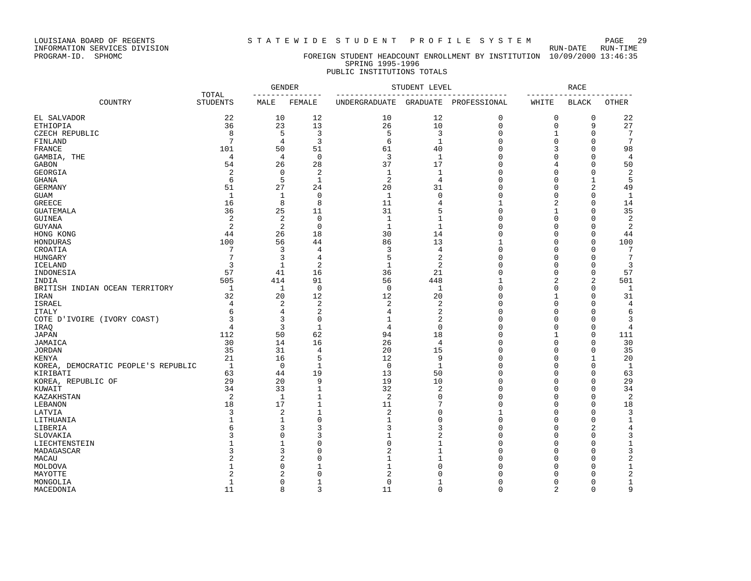LOUISIANA BOARD OF REGENTS S T A T E W I D E S T U D E N T P R O F I L E S Y S T E M PAGE 29 INFORMATION SERVICES DIVISION<br>PROGRAM-ID. SPHOMC

### FOREIGN STUDENT HEADCOUNT ENROLLMENT BY INSTITUTION 10/09/2000 13:46:35 SPRING 1995-1996 PUBLIC INSTITUTIONS TOTALS

|                                     | TOTAL<br><b>STUDENTS</b> | <b>GENDER</b><br>--------------- |              | STUDENT LEVEL                                                                 | RACE<br>-------------- |              |                |                |              |
|-------------------------------------|--------------------------|----------------------------------|--------------|-------------------------------------------------------------------------------|------------------------|--------------|----------------|----------------|--------------|
| COUNTRY                             |                          | MALE                             | FEMALE       | --------------------------------------<br>UNDERGRADUATE GRADUATE PROFESSIONAL |                        |              | WHITE          | <b>BLACK</b>   | <b>OTHER</b> |
| EL SALVADOR                         | 22                       | 10                               | 12           | 10                                                                            | 12                     | 0            | 0              | 0              | 22           |
| ETHIOPIA                            | 36                       | 23                               | 13           | 26                                                                            | 10                     | $\Omega$     | $\mathbf 0$    | 9              | 27           |
| CZECH REPUBLIC                      | 8                        | 5                                | 3            | 5                                                                             | 3                      | 0            | 1              | 0              | 7            |
| FINLAND                             | 7                        | 4                                | 3            | 6                                                                             | $\mathbf{1}$           | $\Omega$     | $\Omega$       | $\Omega$       | 7            |
| FRANCE                              | 101                      | 50                               | 51           | 61                                                                            | 40                     | $\Omega$     | 3              | $\Omega$       | 98           |
| GAMBIA, THE                         | 4                        | 4                                | $\mathbf 0$  | 3                                                                             | $\mathbf{1}$           | $\Omega$     | $\Omega$       | $\Omega$       | 4            |
| GABON                               | 54                       | 26                               | 28           | 37                                                                            | 17                     | $\Omega$     | 4              | $\Omega$       | 50           |
| GEORGIA                             | 2                        | $\Omega$                         | 2            | 1                                                                             | 1                      | $\Omega$     | $\Omega$       | $\Omega$       | 2            |
| GHANA                               | 6                        | 5                                | 1            | $\overline{2}$                                                                | 4                      | U            | 0              | -1             | 5            |
| GERMANY                             | 51                       | 27                               | 24           | 20                                                                            | 31                     | $\Omega$     | $\Omega$       | $\overline{2}$ | 49           |
| GUAM                                | $\mathbf{1}$             | $\mathbf{1}$                     | $\Omega$     | $\mathbf{1}$                                                                  | $\Omega$               | $\Omega$     | $\Omega$       | $\Omega$       | 1            |
| GREECE                              | 16                       | 8                                | 8            | 11                                                                            | 4                      | 1            | 2              | 0              | 14           |
| GUATEMALA                           | 36                       | 25                               | 11           | 31                                                                            | 5                      | $\Omega$     | 1              | $\Omega$       | 35           |
| GUINEA                              | 2                        | $\overline{2}$                   | $\mathbf 0$  | $\mathbf{1}$                                                                  | 1                      | $\Omega$     | $\Omega$       | $\Omega$       | 2            |
| GUYANA                              | 2                        | $\overline{2}$                   | $\mathbf 0$  | $\mathbf{1}$                                                                  | $\mathbf{1}$           | $\Omega$     | $\Omega$       | $\Omega$       | 2            |
| HONG KONG                           | 44                       | 26                               | 18           | 30                                                                            | 14                     | $\Omega$     | U              | ∩              | 44           |
| HONDURAS                            | 100                      | 56                               | 44           | 86                                                                            | 13                     | $\mathbf{1}$ | 0              | $\Omega$       | 100          |
| CROATIA                             | 7                        | 3                                | 4            | 3                                                                             | 4                      | $\Omega$     | 0              | ∩              | 7            |
| HUNGARY                             | 7                        | 3                                | 4            | 5                                                                             | $\overline{2}$         | $\Omega$     | $\Omega$       |                | 7            |
| ICELAND                             | 3                        | $\mathbf{1}$                     | 2            | $\mathbf{1}$                                                                  | 2                      | $\Omega$     | $\Omega$       | $\Omega$       | 3            |
| INDONESIA                           | 57                       | 41                               | 16           | 36                                                                            | 21                     | U            | $\Omega$       | $\Omega$       | 57           |
| INDIA                               | 505                      | 414                              | 91           | 56                                                                            | 448                    | $\mathbf{1}$ | 2              | $\overline{2}$ | 501          |
| BRITISH INDIAN OCEAN TERRITORY      | 1                        | 1                                | $\mathbf 0$  | $\Omega$                                                                      | 1                      | $\Omega$     | $\Omega$       | $\Omega$       | 1            |
| IRAN                                | 32                       | 20                               | 12           | 12                                                                            | 20                     | 0            | 1              | $\Omega$       | 31           |
| ISRAEL                              | 4                        | $\mathfrak{D}$                   | 2            | $\overline{2}$                                                                | 2                      | $\Omega$     | 0              | ∩              | 4            |
| ITALY                               | 6                        | 4                                | 2            | 4                                                                             | 2                      | $\Omega$     | $\Omega$       | ∩              | 6            |
| COTE D'IVOIRE (IVORY COAST)         | 3                        | 3                                | 0            | 1                                                                             | 2                      | $\Omega$     | $\Omega$       | ∩              | 3            |
| IRAO                                | 4                        | 3                                | $\mathbf{1}$ | 4                                                                             | $\Omega$               | $\Omega$     | $\cap$         | $\Omega$       | 4            |
| JAPAN                               | 112                      | 50                               | 62           | 94                                                                            | 18                     | $\Omega$     | $\mathbf{1}$   | $\Omega$       | 111          |
| JAMAICA                             | 30                       | 14                               | 16           | 26                                                                            | 4                      | 0            | 0              | $\Omega$       | 30           |
| JORDAN                              | 35                       | 31                               | 4            | 20                                                                            | 15                     | $\Omega$     | $\Omega$       | $\Omega$       | 35           |
| KENYA                               | 21                       | 16                               | 5            | 12                                                                            | 9                      | $\Omega$     | $\Omega$       | 1              | 20           |
| KOREA, DEMOCRATIC PEOPLE'S REPUBLIC | 1                        | $\Omega$                         | $\mathbf{1}$ | $\Omega$                                                                      | $\mathbf{1}$           | $\Omega$     | $\Omega$       | $\Omega$       | $\mathbf{1}$ |
| KIRIBATI                            | 63                       | 44                               | 19           | 13                                                                            | 50                     | $\Omega$     | $\Omega$       | ∩              | 63           |
| KOREA, REPUBLIC OF                  | 29                       | 20                               | 9            | 19                                                                            | 10                     | $\Omega$     | 0              | $\Omega$       | 29           |
| KUWAIT                              | 34                       | 33                               | 1            | 32                                                                            | 2                      | $\Omega$     | 0              | $\Omega$       | 34           |
| KAZAKHSTAN                          | 2                        | 1                                | 1            | 2                                                                             | $\Omega$               | $\Omega$     | 0              | $\Omega$       | 2            |
| LEBANON                             | 18                       | 17                               | 1            | 11                                                                            |                        | O            | $\Omega$       | $\Omega$       | 18           |
| LATVIA                              | 3                        | 2                                | 1            | $\overline{2}$                                                                | U                      | $\mathbf{1}$ | $\Omega$       | $\Omega$       | 3            |
| LITHUANIA                           |                          |                                  | $\Omega$     | 1                                                                             | U                      | $\Omega$     | $\Omega$       | $\Omega$       | 1            |
| LIBERIA                             |                          | 3                                | 3            | 3                                                                             | 3                      | $\Omega$     | $\Omega$       | $\overline{c}$ | 4            |
| SLOVAKIA                            |                          |                                  | 3            | $\mathbf{1}$                                                                  | 2                      | O            | $\Omega$       | $\Omega$       | 3            |
| LIECHTENSTEIN                       |                          |                                  | 0            | $\Omega$                                                                      |                        | $\Omega$     | O              | $\Omega$       | -1           |
| MADAGASCAR                          |                          |                                  | 0            | $\overline{c}$                                                                | 1                      | $\Omega$     | 0              | $\Omega$       |              |
| MACAU                               |                          |                                  | $\Omega$     | 1                                                                             |                        | U            | U              | ∩              |              |
| MOLDOVA                             |                          | U                                |              | 1                                                                             |                        | U            | U              | $\Omega$       | $\mathbf{1}$ |
| MAYOTTE                             |                          |                                  | $\Omega$     | $\overline{c}$                                                                |                        |              | O              | n              | 2            |
| MONGOLIA                            | 1                        | O                                |              | $\Omega$                                                                      |                        | O            | 0              | $\Omega$       | 1            |
| MACEDONIA                           | 11                       | 8                                | 3            | 11                                                                            | $\Omega$               | $\Omega$     | $\overline{a}$ | $\Omega$       | 9            |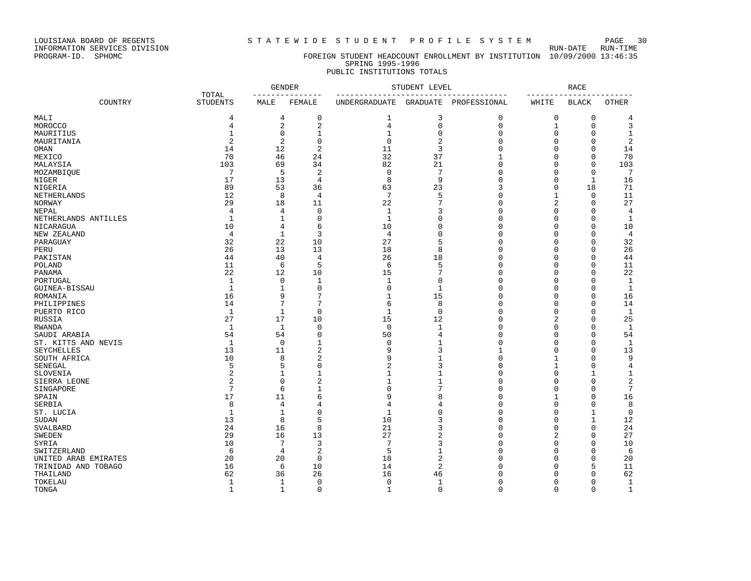LOUISIANA BOARD OF REGENTS<br>INFORMATION SERVICES DIVISION<br>PROGRAM-ID. SPHOMC

STATEWIDE STUDENT PROFILE SYSTEM PAGE 30<br>RUN-DATE RUN-TIME

### FOREIGN STUDENT HEADCOUNT ENROLLMENT BY INSTITUTION 10/09/2000 13:46:35 SPRING 1995-1996 PUBLIC INSTITUTIONS TOTALS

|                      |                          |              | <b>GENDER</b><br>---------------- | STUDENT LEVEL                            | <b>RACE</b>    |              |                   |                        |                |
|----------------------|--------------------------|--------------|-----------------------------------|------------------------------------------|----------------|--------------|-------------------|------------------------|----------------|
| COUNTRY              | TOTAL<br><b>STUDENTS</b> | MALE         | FEMALE                            | -----------------------<br>UNDERGRADUATE | GRADUATE       | PROFESSIONAL | --------<br>WHITE | ------<br><b>BLACK</b> | OTHER          |
| MALI                 | 4                        | 4            | 0                                 | 1                                        | 3              | $\mathbf 0$  | 0                 | 0                      | 4              |
| MOROCCO              | 4                        | 2            | $\sqrt{2}$                        | 4                                        | $\mathbf 0$    | $\mathbf 0$  | $\mathbf{1}$      | $\mathbf{0}$           | 3              |
| MAURITIUS            | 1                        | $\mathbf 0$  | 1                                 | 1                                        | $\Omega$       | $\mathbf{0}$ | 0                 | $\Omega$               | 1              |
| MAURITANIA           | $\overline{2}$           | 2            | 0                                 | $\Omega$                                 | $\overline{c}$ | $\Omega$     | $\Omega$          | $\Omega$               | $\overline{2}$ |
| OMAN                 | 14                       | 12           | $\overline{2}$                    | 11                                       | 3              | $\Omega$     | $\Omega$          | $\Omega$               | 14             |
| MEXICO               | 70                       | 46           | 24                                | 32                                       | 37             | $\mathbf 1$  | 0                 | 0                      | 70             |
| MALAYSIA             | 103                      | 69           | 34                                | 82                                       | 21             | $\mathbf 0$  | 0                 | $\mathbf 0$            | 103            |
| MOZAMBIQUE           | 7                        | 5            | 2                                 | $\mathbf 0$                              | 7              | $\mathbf{0}$ | $\Omega$          | $\Omega$               | 7              |
| NIGER                | 17                       | 13           | 4                                 | 8                                        | 9              | $\Omega$     | $\Omega$          | $\mathbf{1}$           | 16             |
| <b>NIGERIA</b>       | 89                       | 53           | 36                                | 63                                       | 23             | 3            | $\Omega$          | 18                     | 71             |
| NETHERLANDS          | 12                       | 8            | $\overline{4}$                    | $7\phantom{.0}$                          | 5              | $\mathbf{0}$ | $\mathbf{1}$      | $\mathbf{0}$           | 11             |
| NORWAY               | 29                       | 18           | 11                                | 22                                       | $\overline{7}$ | $\Omega$     | 2                 | 0                      | 27             |
| <b>NEPAL</b>         | $\overline{4}$           | 4            | 0                                 | $\mathbf{1}$                             | 3              | $\mathbf{0}$ | $\mathbf 0$       | $\Omega$               | $\overline{4}$ |
| NETHERLANDS ANTILLES | $\mathbf{1}$             | 1            | $\mathbf 0$                       | $\mathbf{1}$                             | $\Omega$       | $\Omega$     | 0                 | $\Omega$               | 1              |
| NICARAGUA            | 10                       | 4            | 6                                 | 10                                       | $\Omega$       | $\Omega$     | $\Omega$          | $\Omega$               | 10             |
| NEW ZEALAND          | $\overline{4}$           | $\mathbf{1}$ | 3                                 | 4                                        | $\Omega$       | $\Omega$     | $\Omega$          | $\Omega$               | 4              |
| PARAGUAY             | 32                       | 22           | 10                                | 27                                       | 5              | $\Omega$     | 0                 | $\Omega$               | 32             |
| PERU                 | 26                       | 13           | 13                                | 18                                       | 8              | $\mathbf{0}$ | $\mathbf 0$       | $\Omega$               | 26             |
| PAKISTAN             | 44                       | 40           | 4                                 | 26                                       | 18             | $\Omega$     | $\Omega$          | $\Omega$               | 44             |
| POLAND               | 11                       | 6            | 5                                 | 6                                        | 5              | $\mathbf{0}$ | 0                 | $\Omega$               | 11             |
| PANAMA               | 22                       | 12           | 10                                | 15                                       | 7              | $\Omega$     | $\Omega$          | $\Omega$               | 22             |
| PORTUGAL             | $\mathbf{1}$             | $\mathbf 0$  | $\mathbf{1}$                      | $\mathbf{1}$                             | $\Omega$       | $\mathbf{0}$ | $\Omega$          | $\Omega$               | $\mathbf{1}$   |
| GUINEA-BISSAU        | $\mathbf{1}$             | $\mathbf{1}$ | $\mathbf 0$                       | $\mathbf 0$                              | $\mathbf{1}$   | $\mathbf{0}$ | 0                 | $\Omega$               | $\mathbf{1}$   |
| ROMANIA              | 16                       | 9            | 7                                 | 1                                        | 15             | $\Omega$     | $\Omega$          | $\Omega$               | 16             |
| PHILIPPINES          | 14                       | 7            | 7                                 | 6                                        | 8              | $\mathbf{0}$ | 0                 | $\Omega$               | 14             |
| PUERTO RICO          | $\mathbf{1}$             | $\mathbf{1}$ | $\mathbf 0$                       | 1                                        | $\Omega$       | $\Omega$     | $\Omega$          | $\Omega$               | $\mathbf{1}$   |
| RUSSIA               | 27                       | 17           | 10                                | 15                                       | 12             | $\mathbf{0}$ | $\sqrt{2}$        | $\Omega$               | 25             |
| <b>RWANDA</b>        | $\mathbf{1}$             | $\mathbf{1}$ | $\mathbf 0$                       | $\mathbf 0$                              | $\mathbf{1}$   | $\mathbf{0}$ | $\Omega$          | $\Omega$               | $\mathbf{1}$   |
| SAUDI ARABIA         | 54                       | 54           | 0                                 | 50                                       | $\overline{4}$ | $\mathbf{0}$ | 0                 | $\Omega$               | 54             |
| ST. KITTS AND NEVIS  | $\mathbf{1}$             | $\mathbf 0$  | $\mathbf 1$                       | $\mathbf 0$                              | $\mathbf{1}$   | $\mathbf{0}$ | $\Omega$          | $\Omega$               | $\mathbf{1}$   |
| <b>SEYCHELLES</b>    | 13                       | 11           | $\overline{2}$                    | 9                                        | 3              | $\mathbf{1}$ | $\Omega$          | $\Omega$               | 13             |
| SOUTH AFRICA         | 10                       | 8            | $\overline{2}$                    | 9                                        | $\mathbf{1}$   | $\Omega$     | 1                 | $\Omega$               | 9              |
| SENEGAL              | 5                        | 5            | 0                                 | 2                                        | ζ              | $\Omega$     | $\mathbf{1}$      | $\Omega$               | $\overline{4}$ |
| SLOVENIA             | 2                        | $\mathbf 1$  | $\mathbf{1}$                      | $\mathbf 1$                              | $\mathbf{1}$   | $\Omega$     | $\mathbf 0$       | $\mathbf{1}$           | $\mathbf{1}$   |
| SIERRA LEONE         | $\overline{2}$           | $\mathbf 0$  | $\overline{2}$                    | $\mathbf{1}$                             | $\mathbf{1}$   | $\mathbf{0}$ | $\mathbf 0$       | $\Omega$               | $\sqrt{2}$     |
| SINGAPORE            | 7                        | 6            | $\mathbf{1}$                      | 0                                        | 7              | $\Omega$     | $\Omega$          | $\Omega$               | 7              |
| SPAIN                | 17                       | 11           | 6                                 | 9                                        | 8              | $\Omega$     | 1                 | $\Omega$               | 16             |
| SERBIA               | 8                        | 4            | 4                                 | 4                                        | 4              | $\Omega$     | $\Omega$          | $\Omega$               | 8              |
| ST. LUCIA            | $\mathbf{1}$             | $\mathbf{1}$ | 0                                 | $\mathbf{1}$                             | $\Omega$       | $\Omega$     | $\Omega$          | $\mathbf{1}$           | $\mathbf 0$    |
| SUDAN                | 13                       | 8            | 5                                 | 10                                       | 3              | $\mathbf{0}$ | 0                 | 1                      | 12             |
| SVALBARD             | 24                       | 16           | 8                                 | 21                                       | 3              | $\Omega$     | $\Omega$          | $\Omega$               | 24             |
| <b>SWEDEN</b>        | 29                       | 16           | 13                                | 27                                       | $\overline{c}$ | $\Omega$     | $\overline{2}$    | $\Omega$               | 27             |
| SYRIA                | 10                       | 7            | 3                                 | 7                                        | 3              | $\Omega$     | 0                 | $\Omega$               | 10             |
| SWITZERLAND          | 6                        | 4            | $\boldsymbol{2}$                  | 5                                        | $\mathbf{1}$   | $\Omega$     | $\Omega$          | $\Omega$               | 6              |
| UNITED ARAB EMIRATES | 20                       | 20           | $\mathbf 0$                       | 18                                       | $\overline{2}$ | $\Omega$     | $\Omega$          | $\Omega$               | 20             |
| TRINIDAD AND TOBAGO  | 16                       | 6            | 10                                | 14                                       | $\overline{c}$ | $\Omega$     | $\Omega$          | 5                      | 11             |
| THAILAND             | 62                       | 36           | 26                                | 16                                       | 46             | $\Omega$     | $\Omega$          | $\Omega$               | 62             |
| TOKELAU              | $\mathbf{1}$             | 1            | $\mathbf 0$                       | $\mathbf 0$                              | $\mathbf{1}$   | $\mathbf{0}$ | $\Omega$          | $\Omega$               | 1              |
| TONGA                | $\mathbf{1}$             | $\mathbf{1}$ | 0                                 | $\mathbf 1$                              | $\mathbf 0$    | $\mathbf 0$  | $\Omega$          | $\Omega$               | $\mathbf 1$    |